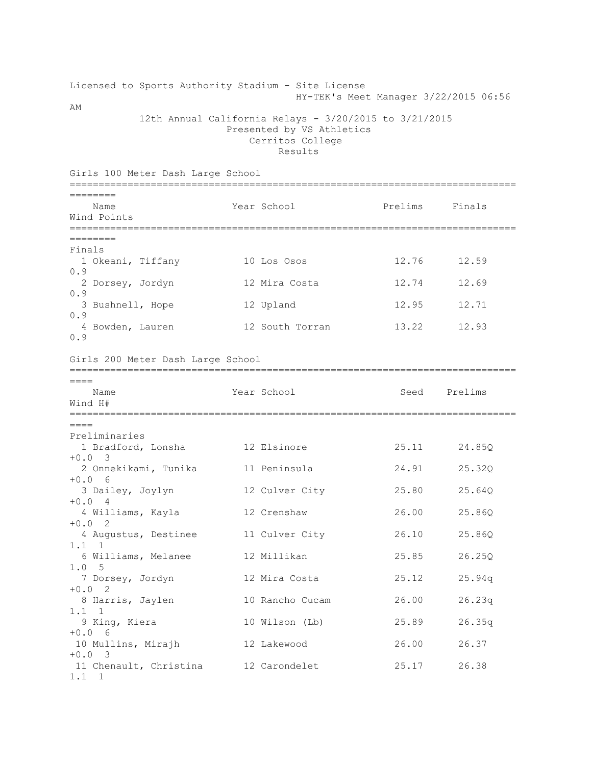## Licensed to Sports Authority Stadium - Site License HY-TEK's Meet Manager 3/22/2015 06:56

AM

 12th Annual California Relays - 3/20/2015 to 3/21/2015 Presented by VS Athletics Cerritos College Results

| Girls 100 Meter Dash Large School               |  |                 |         |              |  |  |
|-------------------------------------------------|--|-----------------|---------|--------------|--|--|
| ========<br>Name<br>Wind Points                 |  | Year School     | Prelims | Finals       |  |  |
| $=$ = = = = = = = =                             |  |                 |         |              |  |  |
| Finals<br>1 Okeani, Tiffany<br>0.9              |  | 10 Los Osos     | 12.76   | 12.59        |  |  |
| 2 Dorsey, Jordyn<br>0.9                         |  | 12 Mira Costa   | 12.74   | 12.69        |  |  |
| 3 Bushnell, Hope<br>0.9                         |  | 12 Upland       | 12.95   | 12.71        |  |  |
| 4 Bowden, Lauren<br>0.9                         |  | 12 South Torran | 13.22   | 12.93        |  |  |
| Girls 200 Meter Dash Large School               |  |                 |         |              |  |  |
| $====$<br>Name<br>Wind H#                       |  | Year School     | Seed    | Prelims      |  |  |
| $====$                                          |  |                 |         |              |  |  |
| Preliminaries<br>1 Bradford, Lonsha<br>$+0.0$ 3 |  | 12 Elsinore     | 25.11   | 24.85Q       |  |  |
| 2 Onnekikami, Tunika<br>$+0.06$                 |  | 11 Peninsula    | 24.91   | 25.32Q       |  |  |
| 3 Dailey, Joylyn<br>$+0.04$                     |  | 12 Culver City  | 25.80   | 25.64Q       |  |  |
| 4 Williams, Kayla<br>$+0.0$ 2                   |  | 12 Crenshaw     | 26.00   | 25.86Q       |  |  |
| 4 Augustus, Destinee<br>$1.1 \quad 1$           |  | 11 Culver City  | 26.10   | 25.86Q       |  |  |
| 6 Williams, Melanee<br>1.0 5                    |  | 12 Millikan     | 25.85   | 26.25Q       |  |  |
| 7 Dorsey, Jordyn<br>$+0.0$ 2                    |  | 12 Mira Costa   | 25.12   | 25.94q       |  |  |
| 8 Harris, Jaylen<br>$1.1 \quad 1$               |  | 10 Rancho Cucam | 26.00   | 26.23q       |  |  |
| 9 King, Kiera<br>$+0.06$                        |  | 10 Wilson (Lb)  |         | 25.89 26.35q |  |  |
| 10 Mullins, Mirajh<br>$+0.0$ 3                  |  | 12 Lakewood     | 26.00   | 26.37        |  |  |
| 11 Chenault, Christina<br>$1.1 \quad 1$         |  | 12 Carondelet   | 25.17   | 26.38        |  |  |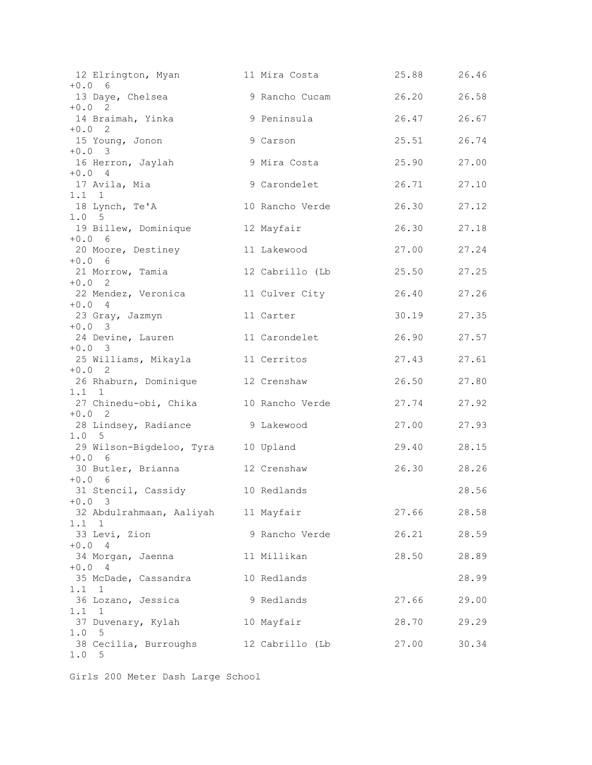| 12 Elrington, Myan<br>$+0.06$                          | 11 Mira Costa   | 25.88       | 26.46 |
|--------------------------------------------------------|-----------------|-------------|-------|
| 13 Daye, Chelsea                                       | 9 Rancho Cucam  | 26.20 26.58 |       |
| $+0.0$ 2<br>14 Braimah, Yinka                          | 9 Peninsula     | 26.47 26.67 |       |
| $+0.0$ 2<br>15 Young, Jonon                            | 9 Carson        | 25.51       | 26.74 |
| $+0.0$ 3<br>16 Herron, Jaylah                          | 9 Mira Costa    | 25.90       | 27.00 |
| $+0.04$<br>17 Avila, Mia                               | 9 Carondelet    | 26.71       | 27.10 |
| $1.1 \quad 1$                                          |                 |             |       |
| 18 Lynch, Te'A<br>1.0 5                                | 10 Rancho Verde | 26.30       | 27.12 |
| 19 Billew, Dominique<br>$+0.06$                        | 12 Mayfair      | 26.30       | 27.18 |
| 20 Moore, Destiney<br>$+0.06$                          | 11 Lakewood     | 27.00       | 27.24 |
| 21 Morrow, Tamia                                       | 12 Cabrillo (Lb | 25.50       | 27.25 |
| $+0.0$ 2<br>22 Mendez, Veronica                        | 11 Culver City  | 26.40       | 27.26 |
| $+0.04$<br>23 Gray, Jazmyn                             | 11 Carter       | 30.19       | 27.35 |
| $+0.0$ 3<br>24 Devine, Lauren                          | 11 Carondelet   | 26.90       | 27.57 |
| $+0.0$ 3<br>25 Williams, Mikayla                       | 11 Cerritos     | 27.43       | 27.61 |
| $+0.0$ 2<br>26 Rhaburn, Dominique 12 Crenshaw          |                 | 26.50       | 27.80 |
| $1.1 \quad 1$<br>27 Chinedu-obi, Chika 10 Rancho Verde |                 | 27.74       | 27.92 |
| $+0.0$ 2                                               |                 |             |       |
| 28 Lindsey, Radiance 9 Lakewood<br>1.0 <sub>5</sub>    |                 | 27.00       | 27.93 |
| 29 Wilson-Bigdeloo, Tyra 10 Upland<br>$+0.06$          |                 | 29.40       | 28.15 |
| 30 Butler, Brianna 12 Crenshaw<br>$+0.06$              |                 | 26.30 28.26 |       |
| 31 Stencil, Cassidy 10 Redlands                        |                 |             | 28.56 |
| $+0.0$ 3<br>32 Abdulrahmaan, Aaliyah 11 Mayfair        |                 | 27.66       | 28.58 |
| $1.1 \quad 1$<br>33 Levi, Zion                         | 9 Rancho Verde  | 26.21       | 28.59 |
| $+0.04$<br>34 Morgan, Jaenna                           | 11 Millikan     | 28.50       | 28.89 |
| $+0.04$<br>35 McDade, Cassandra                        | 10 Redlands     |             | 28.99 |
| $1.1 \quad 1$<br>36 Lozano, Jessica                    | 9 Redlands      | 27.66       | 29.00 |
| $1.1 \quad 1$                                          |                 |             |       |
| 37 Duvenary, Kylah<br>$1.0$<br>$-5$                    | 10 Mayfair      | 28.70       | 29.29 |
| 38 Cecilia, Burroughs<br>1.0<br>5                      | 12 Cabrillo (Lb | 27.00       | 30.34 |

Girls 200 Meter Dash Large School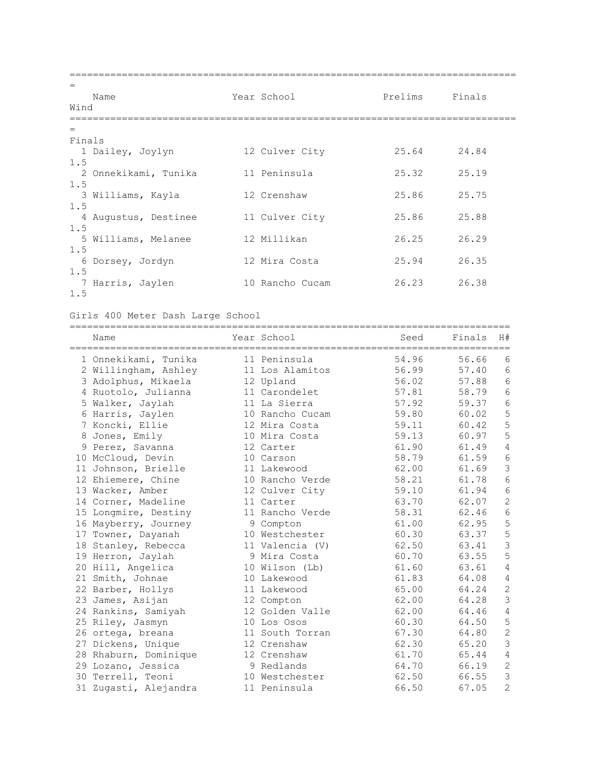| $=$<br>Name<br>Wind                | Year School     | Prelims | Finals |
|------------------------------------|-----------------|---------|--------|
| $=$                                |                 |         |        |
| Finals<br>1 Dailey, Joylyn         | 12 Culver City  | 25.64   | 24.84  |
| 1.5<br>2 Onnekikami, Tunika<br>1.5 | 11 Peninsula    | 25.32   | 25.19  |
| 3 Williams, Kayla<br>1.5           | 12 Crenshaw     | 25.86   | 25.75  |
| 4 Augustus, Destinee<br>1.5        | 11 Culver City  | 25.86   | 25.88  |
| 5 Williams, Melanee<br>1.5         | 12 Millikan     | 26.25   | 26.29  |
| 6<br>Dorsey, Jordyn<br>1.5         | 12 Mira Costa   | 25.94   | 26.35  |
| 7 Harris, Jaylen<br>1.5            | 10 Rancho Cucam | 26.23   | 26.38  |

Girls 400 Meter Dash Large School

| Name                  | Year School     | Seed  | Finals | H#              |
|-----------------------|-----------------|-------|--------|-----------------|
| 1 Onnekikami, Tunika  | 11 Peninsula    | 54.96 | 56.66  | 6               |
| 2 Willingham, Ashley  | 11 Los Alamitos | 56.99 | 57.40  | 6               |
| 3 Adolphus, Mikaela   | 12 Upland       | 56.02 | 57.88  | $6\phantom{1}6$ |
| 4 Ruotolo, Julianna   | 11 Carondelet   | 57.81 | 58.79  | $6\phantom{1}$  |
| 5 Walker, Jaylah      | 11 La Sierra    | 57.92 | 59.37  | $\sqrt{6}$      |
| 6 Harris, Jaylen      | 10 Rancho Cucam | 59.80 | 60.02  | 5               |
| 7 Koncki, Ellie       | 12 Mira Costa   | 59.11 | 60.42  | 5               |
| 8 Jones, Emily        | 10 Mira Costa   | 59.13 | 60.97  | 5               |
| 9 Perez, Savanna      | 12 Carter       | 61.90 | 61.49  | $\overline{4}$  |
| 10 McCloud, Devin     | 10 Carson       | 58.79 | 61.59  | 6               |
| 11 Johnson, Brielle   | 11 Lakewood     | 62.00 | 61.69  | 3               |
| 12 Ehiemere, Chine    | 10 Rancho Verde | 58.21 | 61.78  | 6               |
| 13 Wacker, Amber      | 12 Culver City  | 59.10 | 61.94  | $6\phantom{1}$  |
| 14 Corner, Madeline   | 11 Carter       | 63.70 | 62.07  | $\overline{c}$  |
| 15 Longmire, Destiny  | 11 Rancho Verde | 58.31 | 62.46  | $\sqrt{6}$      |
| 16 Mayberry, Journey  | 9 Compton       | 61.00 | 62.95  | 5               |
| 17 Towner, Dayanah    | 10 Westchester  | 60.30 | 63.37  | 5               |
| 18 Stanley, Rebecca   | 11 Valencia (V) | 62.50 | 63.41  | 3               |
| 19 Herron, Jaylah     | 9 Mira Costa    | 60.70 | 63.55  | 5               |
| 20 Hill, Angelica     | 10 Wilson (Lb)  | 61.60 | 63.61  | 4               |
| 21 Smith, Johnae      | 10 Lakewood     | 61.83 | 64.08  | 4               |
| 22 Barber, Hollys     | 11 Lakewood     | 65.00 | 64.24  | $\overline{c}$  |
| 23 James, Asijan      | 12 Compton      | 62.00 | 64.28  | 3               |
| 24 Rankins, Samiyah   | 12 Golden Valle | 62.00 | 64.46  | $\sqrt{4}$      |
| 25 Riley, Jasmyn      | 10 Los Osos     | 60.30 | 64.50  | 5               |
| 26 ortega, breana     | 11 South Torran | 67.30 | 64.80  | $\overline{2}$  |
| 27 Dickens, Unique    | 12 Crenshaw     | 62.30 | 65.20  | 3               |
| 28 Rhaburn, Dominique | 12 Crenshaw     | 61.70 | 65.44  | $\sqrt{4}$      |
| 29 Lozano, Jessica    | 9 Redlands      | 64.70 | 66.19  | $\overline{c}$  |
| 30 Terrell, Teoni     | 10 Westchester  | 62.50 | 66.55  | 3               |
| 31 Zugasti, Alejandra | 11 Peninsula    | 66.50 | 67.05  | $\overline{2}$  |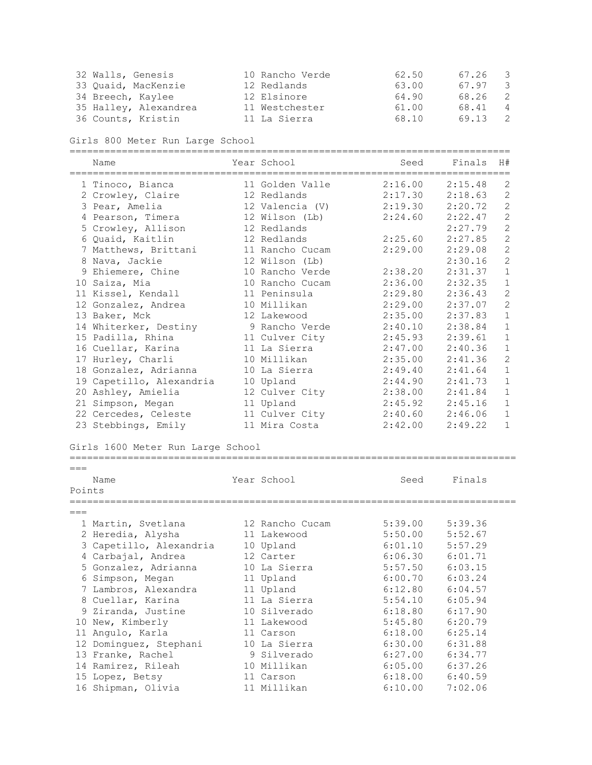| 32 Walls, Genesis     | 10 Rancho Verde | 62.50 | 67.26 3 |                         |
|-----------------------|-----------------|-------|---------|-------------------------|
| 33 Ouaid, MacKenzie   | 12 Redlands     | 63.00 | 67.97   | $\overline{\mathbf{3}}$ |
| 34 Breech, Kaylee     | 12 Elsinore     | 64.90 | 68.26   | 2                       |
| 35 Halley, Alexandrea | 11 Westchester  | 61.00 | 68.41   | 4                       |
| 36 Counts, Kristin    | 11 La Sierra    | 68.10 | 69.13   |                         |

Girls 800 Meter Run Large School

|        | Name                              |  | Year School     | Seed    | Finals  | H#             |  |  |  |
|--------|-----------------------------------|--|-----------------|---------|---------|----------------|--|--|--|
|        | 1 Tinoco, Bianca                  |  | 11 Golden Valle | 2:16.00 | 2:15.48 | 2              |  |  |  |
|        | 2 Crowley, Claire                 |  | 12 Redlands     | 2:17.30 | 2:18.63 | $\overline{2}$ |  |  |  |
|        | 3 Pear, Amelia                    |  | 12 Valencia (V) | 2:19.30 | 2:20.72 | $\overline{2}$ |  |  |  |
|        | 4 Pearson, Timera                 |  | 12 Wilson (Lb)  | 2:24.60 | 2:22.47 | $\overline{2}$ |  |  |  |
|        | 5 Crowley, Allison                |  | 12 Redlands     |         | 2:27.79 | $\overline{2}$ |  |  |  |
|        | 6 Quaid, Kaitlin                  |  | 12 Redlands     | 2:25.60 | 2:27.85 | $\overline{2}$ |  |  |  |
|        | 7 Matthews, Brittani              |  | 11 Rancho Cucam | 2:29.00 | 2:29.08 | $\overline{2}$ |  |  |  |
|        | 8 Nava, Jackie                    |  | 12 Wilson (Lb)  |         | 2:30.16 | $\overline{2}$ |  |  |  |
|        | 9 Ehiemere, Chine                 |  | 10 Rancho Verde | 2:38.20 | 2:31.37 | $\mathbf 1$    |  |  |  |
|        | 10 Saiza, Mia                     |  | 10 Rancho Cucam | 2:36.00 | 2:32.35 | $\mathbf{1}$   |  |  |  |
|        | 11 Kissel, Kendall                |  | 11 Peninsula    | 2:29.80 | 2:36.43 | $\overline{2}$ |  |  |  |
|        | 12 Gonzalez, Andrea               |  | 10 Millikan     | 2:29.00 | 2:37.07 | $\overline{2}$ |  |  |  |
|        | 13 Baker, Mck                     |  | 12 Lakewood     | 2:35.00 | 2:37.83 | $\mathbf 1$    |  |  |  |
|        | 14 Whiterker, Destiny             |  | 9 Rancho Verde  | 2:40.10 | 2:38.84 | $\mathbf{1}$   |  |  |  |
|        | 15 Padilla, Rhina                 |  | 11 Culver City  | 2:45.93 | 2:39.61 | $\mathbf{1}$   |  |  |  |
|        | 16 Cuellar, Karina                |  | 11 La Sierra    | 2:47.00 | 2:40.36 | $\mathbf 1$    |  |  |  |
|        | 17 Hurley, Charli                 |  | 10 Millikan     | 2:35.00 | 2:41.36 | $\overline{2}$ |  |  |  |
|        | 18 Gonzalez, Adrianna             |  | 10 La Sierra    | 2:49.40 | 2:41.64 | $\mathbf{1}$   |  |  |  |
|        | 19 Capetillo, Alexandria          |  | 10 Upland       | 2:44.90 | 2:41.73 | $\mathbf{1}$   |  |  |  |
|        | 20 Ashley, Amielia                |  | 12 Culver City  | 2:38.00 | 2:41.84 | $\mathbf{1}$   |  |  |  |
|        | 21 Simpson, Megan                 |  | 11 Upland       | 2:45.92 | 2:45.16 | $\mathbf{1}$   |  |  |  |
|        | 22 Cercedes, Celeste              |  | 11 Culver City  | 2:40.60 | 2:46.06 | $\mathbf{1}$   |  |  |  |
|        | 23 Stebbings, Emily               |  | 11 Mira Costa   | 2:42.00 | 2:49.22 | $\mathbf{1}$   |  |  |  |
|        | Girls 1600 Meter Run Large School |  |                 |         |         |                |  |  |  |
| $===$  |                                   |  |                 |         |         |                |  |  |  |
| Points | Name                              |  | Year School     | Seed    | Finals  |                |  |  |  |

| 1 Martin, Svetlana      | 12 Rancho Cucam | 5:39.00 | 5:39.36 |
|-------------------------|-----------------|---------|---------|
| 2 Heredia, Alysha       | 11 Lakewood     | 5:50.00 | 5:52.67 |
| 3 Capetillo, Alexandria | 10 Upland       | 6:01.10 | 5:57.29 |
| 4 Carbajal, Andrea      | 12 Carter       | 6:06.30 | 6:01.71 |
| 5 Gonzalez, Adrianna    | 10 La Sierra    | 5:57.50 | 6:03.15 |
| 6 Simpson, Megan        | 11 Upland       | 6:00.70 | 6:03.24 |
| 7 Lambros, Alexandra    | 11 Upland       | 6:12.80 | 6:04.57 |
| 8 Cuellar, Karina       | 11 La Sierra    | 5:54.10 | 6:05.94 |
| 9 Ziranda, Justine      | 10 Silverado    | 6:18.80 | 6:17.90 |
| 10 New, Kimberly        | 11 Lakewood     | 5:45.80 | 6:20.79 |
| 11 Angulo, Karla        | 11 Carson       | 6:18.00 | 6:25.14 |
| 12 Dominguez, Stephani  | 10 La Sierra    | 6:30.00 | 6:31.88 |
| 13 Franke, Rachel       | 9 Silverado     | 6:27.00 | 6:34.77 |
| 14 Ramirez, Rileah      | 10 Millikan     | 6:05.00 | 6:37.26 |
| 15 Lopez, Betsy         | 11 Carson       | 6:18.00 | 6:40.59 |
| 16 Shipman, Olivia      | 11 Millikan     | 6:10.00 | 7:02.06 |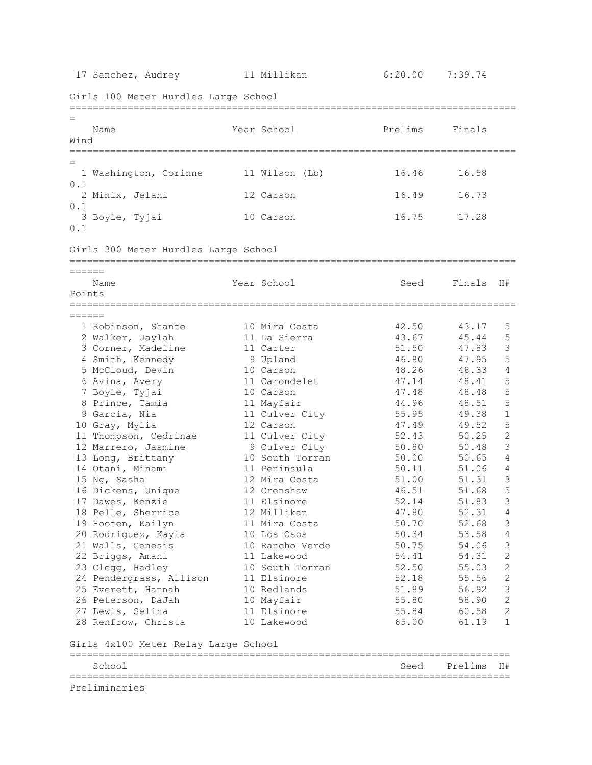17 Sanchez, Audrey 11 Millikan 6:20.00 7:39.74 Girls 100 Meter Hurdles Large School ============================================================================= = Name The Year School Prelims Finals Wind ============================================================================= = 1 Washington, Corinne 11 Wilson (Lb) 16.46 16.58 0.1 2 Minix, Jelani 12 Carson 16.49 16.73 0.1 3 Boyle, Tyjai 10 Carson 16.75 17.28 0.1 Girls 300 Meter Hurdles Large School ============================================================================= ====== Name The Year School Seed Finals H# Points ============================================================================= ====== 1 Robinson, Shante 10 Mira Costa 42.50 43.17 5 2 Walker, Jaylah 11 La Sierra 43.67 45.44 5 3 Corner, Madeline 11 Carter 51.50 47.83 3 4 Smith, Kennedy 9 Upland 46.80 47.95 5 5 McCloud, Devin 10 Carson 48.26 48.33 4 6 Avina, Avery 11 Carondelet 47.14 48.41 5 7 Boyle, Tyjai 10 Carson 47.48 48.48 5 8 Prince, Tamia 11 Mayfair 44.96 48.51 5 9 Garcia, Nia 11 Culver City 55.95 49.38 1 10 Gray, Mylia 12 Carson 47.49 49.52 5 11 Thompson, Cedrinae 11 Culver City 52.43 50.25 2 12 Marrero, Jasmine 9 Culver City 50.80 50.48 3 13 Long, Brittany 10 South Torran 50.00 50.65 4 14 Otani, Minami 11 Peninsula 50.11 51.06 4 15 Ng, Sasha 12 Mira Costa 51.00 51.31 3 16 Dickens, Unique 12 Crenshaw 46.51 51.68 5 17 Dawes, Kenzie 11 Elsinore 52.14 51.83 3 18 Pelle, Sherrice 12 Millikan 47.80 52.31 4 19 Hooten, Kailyn 11 Mira Costa 50.70 52.68 3 20 Rodriguez, Kayla 10 Los Osos 50.34 53.58 4 21 Walls, Genesis 10 Rancho Verde 50.75 54.06 3 22 Briggs, Amani 11 Lakewood 54.41 54.31 2 23 Clegg, Hadley 10 South Torran 52.50 55.03 2 24 Pendergrass, Allison 11 Elsinore 52.18 55.56 2 25 Everett, Hannah 10 Redlands 51.89 56.92 3 26 Peterson, DaJah 10 Mayfair 55.80 58.90 2 27 Lewis, Selina 11 Elsinore 55.84 60.58 2 26 Peterson, DaJah (10 Maylail)<br>27 Lewis, Selina (11 Elsinore (11 Elsinore (55.84 (60.58 2)<br>28 Renfrow, Christa (10 Lakewood (65.00 (61.19 1) Girls 4x100 Meter Relay Large School ============================================================================ School Seed Prelims H# ============================================================================ Preliminaries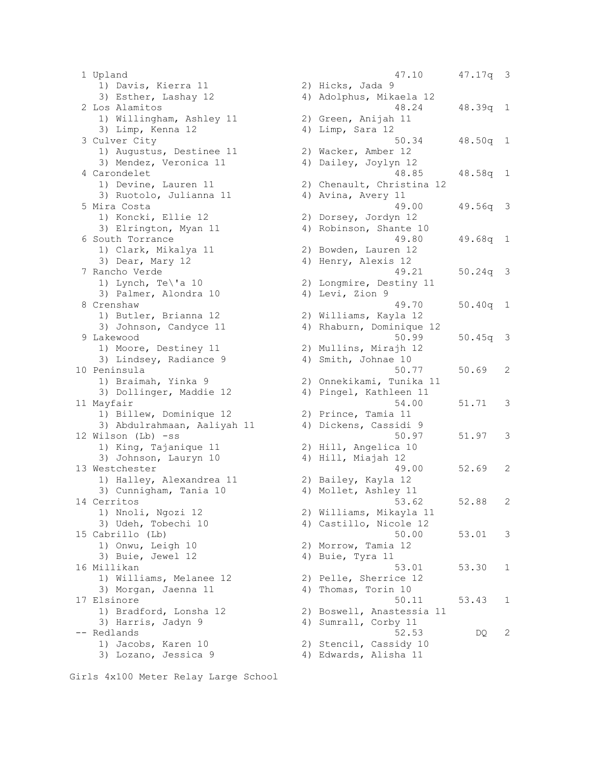1 Upland 47.10 47.17q 3 1) Davis, Kierra 11 3) Esther, Lashay 12 2 Los Alamitos 1) Willingham, Ashley 11 3) Limp, Kenna 12 3 Culver City 1) Augustus, Destinee 11 3) Mendez, Veronica 11 4 Carondelet 1) Devine, Lauren 11 3) Ruotolo, Julianna 11 5 Mira Costa 1) Koncki, Ellie 12 3) Elrington, Myan 11 6 South Torrance 1) Clark, Mikalya 11 3) Dear, Mary 12 7 Rancho Verde 1) Lynch, Te $\iota$ 'a 10 3) Palmer, Alondra 10 8 Crenshaw 1) Butler, Brianna 12 3) Johnson, Candyce 11 9 Lakewood 1) Moore, Destiney 11 3) Lindsey, Radiance 9 10 Peninsula 1) Braimah, Yinka 9 3) Dollinger, Maddie 12 11 Mayfair 1) Billew, Dominique 12 3) Abdulrahmaan, Aaliyah 11 12 Wilson (Lb)  $-ss$ 1) King, Tajanique 11 3) Johnson, Lauryn 10 13 Westchester 1) Halley, Alexandrea 11 3) Cunnigham, Tania 10 14 Cerritos 1) Nnoli, Ngozi 12 3) Udeh, Tobechi 10 15 Cabrillo (Lb) 1) Onwu, Leigh 10 3) Buie, Jewel 12 16 Millikan 1) Williams, Melanee 12 3) Morgan, Jaenna 11 17 Elsinore 1) Bradford, Lonsha 12 3) Harris, Jadyn 9 -- Redlands 1) Jacobs, Karen 10 3) Lozano, Jessica 9

|       | 47.10                     | 47.17q | 3                        |
|-------|---------------------------|--------|--------------------------|
| 2)    | Hicks, Jada 9             |        |                          |
| 4)    | Adolphus, Mikaela 12      |        |                          |
|       | 48.24                     | 48.39q | 1                        |
| 2)    | Green, Anijah 11          |        |                          |
|       | Limp, Sara 12             |        |                          |
| 4)    |                           |        |                          |
|       | 50.34                     | 48.50q | 1                        |
| 2)    | Wacker, Amber 12          |        |                          |
| 4)    | Dailey, Joylyn 12         |        |                          |
|       | 48.85                     | 48.58q | 1                        |
| 2)    | Chenault, Christina<br>12 |        |                          |
| 4)    | Avina, Avery 11           |        |                          |
|       | 49.00                     | 49.56q | 3                        |
| 2)    | Dorsey, Jordyn 12         |        |                          |
| 4)    | Robinson, Shante 10       |        |                          |
|       | 49.80                     | 49.68q |                          |
|       |                           |        | 1                        |
| 2)    | Bowden, Lauren 12         |        |                          |
| 4)    | Henry, Alexis 12          |        |                          |
|       | 49.21                     | 50.24q | 3                        |
| 2)    | Longmire, Destiny 11      |        |                          |
| 4)    | Levi, Zion 9              |        |                          |
|       | 49.70                     | 50.40q | 1                        |
| 2)    | Williams, Kayla 12        |        |                          |
| 4)    | Rhaburn, Dominique<br>12  |        |                          |
|       | 50.99                     | 50.45q | 3                        |
|       |                           |        |                          |
| 2)    | Mullins, Mirajh 12        |        |                          |
| 4)    | Smith, Johnae 10          |        |                          |
|       | 50.77                     | 50.69  | 2                        |
| 2)    | Onnekikami, Tunika<br>11  |        |                          |
| 4)    | Pingel, Kathleen 11       |        |                          |
|       | 54.00                     | 51.71  | 3                        |
| 2)    | Prince, Tamia 11          |        |                          |
| 4)    | Dickens, Cassidi 9        |        |                          |
|       | 50.97                     | 51.97  | 3                        |
| 2)    | Hill, Angelica 10         |        |                          |
| $4$ ) | Hill, Miajah 12           |        |                          |
|       |                           |        |                          |
|       | 49.00                     | 52.69  | 2                        |
| 2)    | Bailey, Kayla 12          |        |                          |
| 4)    | Mollet, Ashley 11         |        |                          |
|       | 53.62                     | 52.88  | $\overline{\mathcal{L}}$ |
| 2)    | Williams, Mikayla 11      |        |                          |
|       | 4) Castillo, Nicole 12    |        |                          |
|       | 50.00                     | 53.01  | 3                        |
| 2)    | Morrow, Tamia 12          |        |                          |
| 4)    | Buie, Tyra 11             |        |                          |
|       |                           |        |                          |
|       | 53.01                     | 53.30  | 1                        |
| 2)    | Pelle, Sherrice 12        |        |                          |
| 4)    | Thomas, Torin 10          |        |                          |
|       | 50.11                     | 53.43  | 1                        |
| 2)    | Boswell, Anastessia 11    |        |                          |
| 4)    | Sumrall, Corby 11         |        |                          |
|       | 52.53                     | DQ     | 2                        |
|       | 2) Stencil, Cassidy 10    |        |                          |
|       | 4) Edwards, Alisha 11     |        |                          |
|       |                           |        |                          |

Girls 4x100 Meter Relay Large School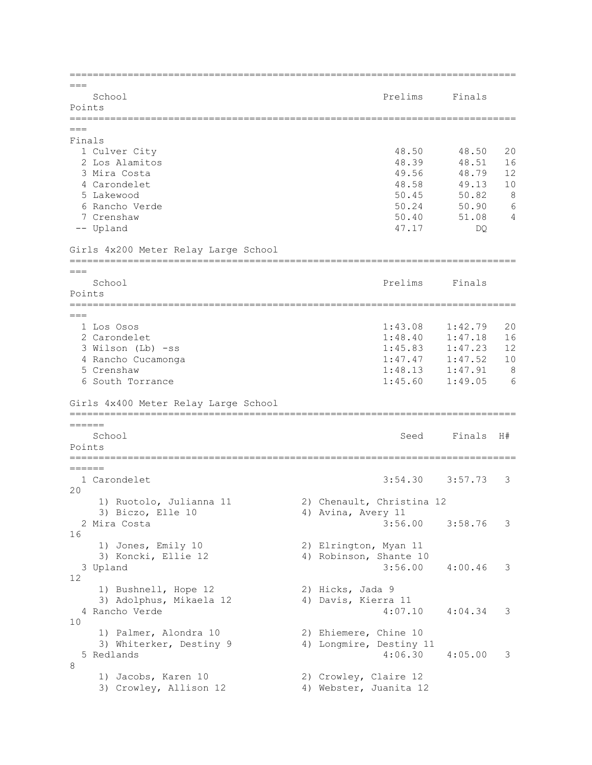| $===$<br>School<br>Points                                                 |  | Prelims                                                     | Finals                                 |                   |
|---------------------------------------------------------------------------|--|-------------------------------------------------------------|----------------------------------------|-------------------|
| $===$                                                                     |  |                                                             |                                        |                   |
| Finals<br>1 Culver City<br>2 Los Alamitos<br>3 Mira Costa                 |  | 48.50<br>48.39<br>49.56                                     | 48.50<br>48.51<br>48.79                | 20<br>16<br>12    |
| 4 Carondelet<br>5 Lakewood<br>6 Rancho Verde<br>7 Crenshaw<br>-- Upland   |  | 48.58<br>50.45<br>50.24<br>50.40<br>47.17                   | 49.13<br>50.82<br>50.90<br>51.08<br>DQ | 10<br>8<br>6<br>4 |
| Girls 4x200 Meter Relay Large School                                      |  |                                                             |                                        |                   |
| ===                                                                       |  |                                                             |                                        |                   |
| School<br>Points                                                          |  | Prelims                                                     | Finals                                 |                   |
| $===$<br>1 Los Osos<br>2 Carondelet                                       |  | 1:43.08<br>1:48.40                                          | 1:42.79<br>1:47.18                     | 20<br>16          |
| 3 Wilson (Lb) -ss<br>4 Rancho Cucamonga<br>5 Crenshaw                     |  | 1:45.83<br>1:47.47<br>1:48.13                               | 1:47.23<br>1:47.52<br>1:47.91          | 12<br>10<br>8     |
| 6 South Torrance<br>Girls 4x400 Meter Relay Large School                  |  | 1:45.60                                                     | 1:49.05                                | 6                 |
|                                                                           |  |                                                             |                                        |                   |
| ======<br>School<br>Points                                                |  | Seed                                                        | Finals                                 | H#                |
| =====<br>======                                                           |  |                                                             |                                        |                   |
| 1 Carondelet<br>20                                                        |  | 3:54.30                                                     | 3:57.73                                | 3                 |
| 1) Ruotolo, Julianna 11<br>3) Biczo, Elle 10<br>2 Mira Costa              |  | 2) Chenault, Christina 12<br>4) Avina, Avery 11<br>3:56.00  | 3:58.76                                | 3                 |
| 16<br>1) Jones, Emily 10<br>3) Koncki, Ellie 12<br>3 Upland<br>12         |  | 2) Elrington, Myan 11<br>4) Robinson, Shante 10<br>3:56.00  | 4:00.46                                | 3                 |
| 1) Bushnell, Hope 12<br>3) Adolphus, Mikaela 12<br>4 Rancho Verde         |  | 2) Hicks, Jada 9<br>4) Davis, Kierra 11<br>4:07.10          | 4:04.34                                | 3                 |
| 10<br>1) Palmer, Alondra 10<br>3) Whiterker, Destiny 9<br>5 Redlands<br>8 |  | 2) Ehiemere, Chine 10<br>4) Longmire, Destiny 11<br>4:06.30 | 4:05.00                                | 3                 |
| 1) Jacobs, Karen 10<br>3) Crowley, Allison 12                             |  | 2) Crowley, Claire 12<br>4) Webster, Juanita 12             |                                        |                   |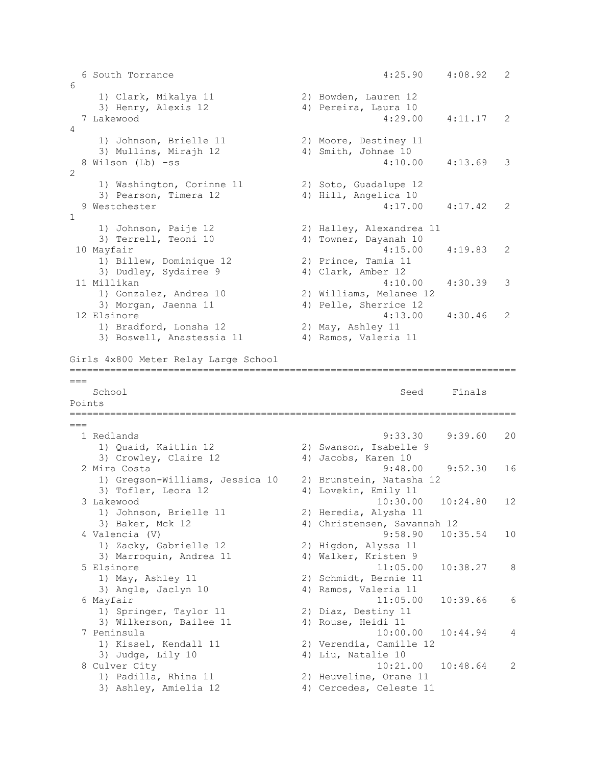```
 6 South Torrance 4:25.90 4:08.92 2 
6<sup>1</sup> 1) Clark, Mikalya 11 2) Bowden, Lauren 12 
 3) Henry, Alexis 12 4) Pereira, Laura 10 
  7 Lakewood 4:29.00 4:11.17 2 
\Lambda 1) Johnson, Brielle 11 2) Moore, Destiney 11 
3) Mullins, Mirajh 12 (4) Smith, Johnae 10
  8 Wilson (Lb) -ss 4:10.00 4:13.69 3 
\mathfrak{D} 1) Washington, Corinne 11 2) Soto, Guadalupe 12 
3) Pearson, Timera 12 4) Hill, Angelica 10
  9 Westchester 4:17.00 4:17.42 2 
1 
 1) Johnson, Paije 12 2) Halley, Alexandrea 11 
 3) Terrell, Teoni 10 4) Towner, Dayanah 10 
10 Mayfair 4:15.00 4:19.83 2 
1) Billew, Dominique 12 2) Prince, Tamia 11
3) Dudley, Sydairee 9 4) Clark, Amber 12
11 Millikan 4:10.00 4:30.39 3 
 1) Gonzalez, Andrea 10 2) Williams, Melanee 12 
 3) Morgan, Jaenna 11 4) Pelle, Sherrice 12 
12 Elsinore 4:13.00 4:30.46 2 
1) Bradford, Lonsha 12 2) May, Ashley 11
 3) Boswell, Anastessia 11 4) Ramos, Valeria 11 
Girls 4x800 Meter Relay Large School
=============================================================================
=School School Seed Finals
Points
=============================================================================
--- 1 Redlands 9:33.30 9:39.60 20 
   1) Quaid, Kaitlin 12 2) Swanson, Isabelle 9 
  3) Crowley, Claire 12 (4) Jacobs, Karen 10
  2 Mira Costa 9:48.00 9:52.30 16 
    1) Gregson-Williams, Jessica 10 2) Brunstein, Natasha 12 
   3) Tofler, Leora 12 4) Lovekin, Emily 11
  3 Lakewood 10:30.00 10:24.80 12 
 1) Johnson, Brielle 11 2) Heredia, Alysha 11 
 3) Baker, Mck 12 4) Christensen, Savannah 12 
  4 Valencia (V) 9:58.90 10:35.54 10 
 1) Zacky, Gabrielle 12 2) Higdon, Alyssa 11 
3) Marroquin, Andrea 11 4) Walker, Kristen 9
  5 Elsinore 11:05.00 10:38.27 8 
 1) May, Ashley 11 2) Schmidt, Bernie 11 
 3) Angle, Jaclyn 10 4) Ramos, Valeria 11 
 6 Mayfair 11:05.00 10:39.66 6<br>1) Springer, Taylor 11 2) Diaz, Destiny 11
1) Springer, Taylor 11 2) Diaz, Destiny 11
3) Wilkerson, Bailee 11 (4) Rouse, Heidi 11
  7 Peninsula 10:00.00 10:44.94 4 
 1) Kissel, Kendall 11 2) Verendia, Camille 12 
3) Judge, Lily 10 4) Liu, Natalie 10
  8 Culver City 10:21.00 10:48.64 2 
 1) Padilla, Rhina 11 2) Heuveline, Orane 11 
 3) Ashley, Amielia 12 4) Cercedes, Celeste 11
```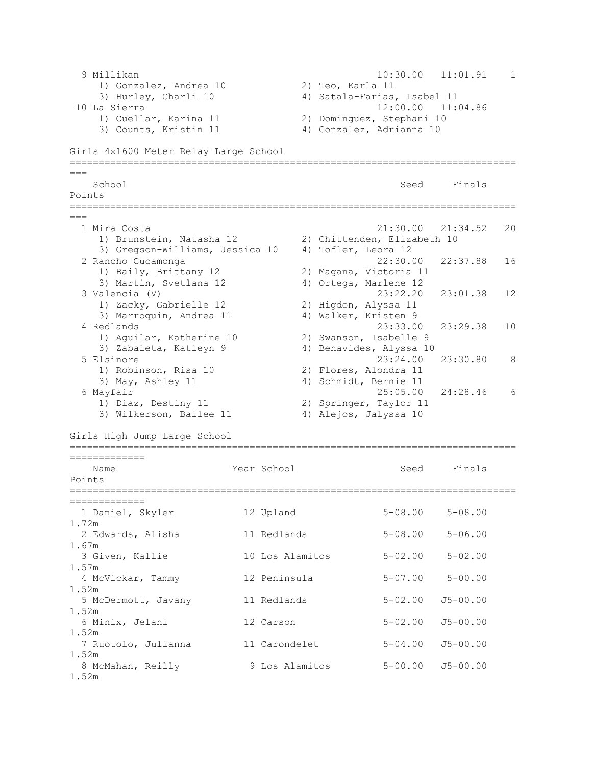```
 9 Millikan 10:30.00 11:01.91 1 
 1) Gonzalez, Andrea 10 2) Teo, Karla 11 
 3) Hurley, Charli 10 4) Satala-Farias, Isabel 11 
10 La Sierra 12:00.00 11:04.86 
 1) Cuellar, Karina 11 2) Dominguez, Stephani 10 
3) Counts, Kristin 11 4) Gonzalez, Adrianna 10
Girls 4x1600 Meter Relay Large School
=============================================================================
===
School School Seed Finals
Points
=============================================================================
===
 1 Mira Costa 21:30.00 21:34.52 20 
 1) Brunstein, Natasha 12 2) Chittenden, Elizabeth 10 
 3) Gregson-Williams, Jessica 10 4) Tofler, Leora 12 
  2 Rancho Cucamonga 22:30.00 22:37.88 16 
    1) Baily, Brittany 12 2) Magana, Victoria 11 
    3) Martin, Svetlana 12 4) Ortega, Marlene 12 
  3 Valencia (V) 23:22.20 23:01.38 12 
    1) Zacky, Gabrielle 12 2) Higdon, Alyssa 11 
   3) Marroquin, Andrea 11 4) Walker, Kristen 9
  4 Redlands 23:33.00 23:29.38 10 
 1) Aguilar, Katherine 10 2) Swanson, Isabelle 9 
3) Zabaleta, Katleyn 9 (4) Benavides, Alyssa 10
  5 Elsinore 23:24.00 23:30.80 8 
 1) Robinson, Risa 10 2) Flores, Alondra 11 
3) May, Ashley 11 4) Schmidt, Bernie 11
  6 Mayfair 25:05.00 24:28.46 6 
 1) Diaz, Destiny 11 2) Springer, Taylor 11 
 3) Wilkerson, Bailee 11 4) Alejos, Jalyssa 10 
Girls High Jump Large School
=============================================================================
=============
  Name Year School Seed Finals
Points
=============================================================================
=============
 1 Daniel, Skyler 12 Upland 5-08.00 5-08.00 
1.72m 
  2 Edwards, Alisha 11 Redlands 5-08.00 5-06.00 
1.67m 
  3 Given, Kallie 10 Los Alamitos 5-02.00 5-02.00 
1.57m 
  4 McVickar, Tammy 12 Peninsula 5-07.00 5-00.00 
1.52m 
  5 McDermott, Javany 11 Redlands 5-02.00 J5-00.00 
1.52m 
  6 Minix, Jelani 12 Carson 5-02.00 J5-00.00 
1.52m 
  7 Ruotolo, Julianna 11 Carondelet 5-04.00 J5-00.00 
1.52m 
  8 McMahan, Reilly 9 Los Alamitos 5-00.00 J5-00.00 
1.52m
```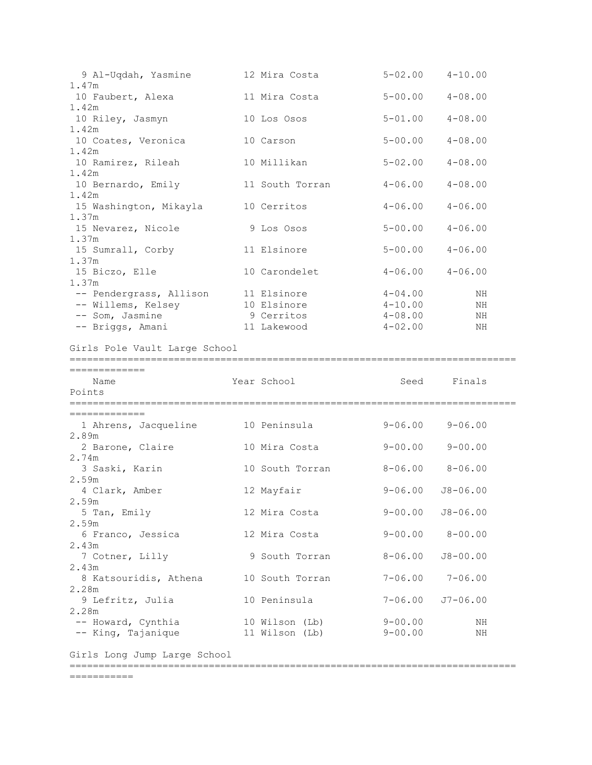| 9 Al-Uqdah, Yasmine                   | 12 Mira Costa             | $5 - 02.00$ $4 - 10.00$    |              |
|---------------------------------------|---------------------------|----------------------------|--------------|
| 1.47m<br>10 Faubert, Alexa            | 11 Mira Costa             | $5 - 00.00$                | $4 - 08.00$  |
| 1.42m                                 |                           |                            |              |
| 10 Riley, Jasmyn                      | 10 Los Osos               | $5 - 01.00$                | $4 - 08.00$  |
| 1.42m<br>10 Coates, Veronica          | 10 Carson                 | $5 - 00.00$                | $4 - 08.00$  |
| 1.42m                                 |                           |                            |              |
| 10 Ramirez, Rileah<br>1.42m           | 10 Millikan               | $5 - 02.00$                | $4 - 08.00$  |
| 10 Bernardo, Emily                    | 11 South Torran           | $4 - 06.00$                | $4 - 08.00$  |
| 1.42m                                 |                           |                            |              |
| 15 Washington, Mikayla<br>1.37m       | 10 Cerritos               | $4 - 06.00$                | $4 - 06.00$  |
| 15 Nevarez, Nicole                    | 9 Los Osos                | $5 - 00.00$                | $4 - 06.00$  |
| 1.37m                                 |                           |                            |              |
| 15 Sumrall, Corby                     | 11 Elsinore               | $5 - 00.00$                | $4 - 06.00$  |
| 1.37m                                 |                           |                            |              |
| 15 Biczo, Elle                        | 10 Carondelet             | $4 - 06.00$                | $4 - 06.00$  |
| 1.37m                                 |                           | $4 - 04.00$                |              |
| -- Pendergrass, Allison               | 11 Elsinore               |                            | ΝH           |
| -- Willems, Kelsey<br>-- Som, Jasmine | 10 Elsinore<br>9 Cerritos | $4 - 10.00$<br>$4 - 08.00$ | ΝH<br>ΝH     |
| -- Briggs, Amani                      | 11 Lakewood               | $4 - 02.00$                |              |
|                                       |                           |                            | ΝH           |
| Girls Pole Vault Large School         |                           |                            |              |
|                                       |                           |                            |              |
| =============                         |                           |                            |              |
| Name                                  | Year School               | Seed                       | Finals       |
| Points                                |                           |                            |              |
|                                       |                           |                            |              |
| =============                         |                           |                            |              |
| 1 Ahrens, Jacqueline 10 Peninsula     |                           | $9 - 06.00$                | $9 - 06.00$  |
| 2.89m                                 |                           |                            |              |
| 2 Barone, Claire<br>2.74m             | 10 Mira Costa             | $9 - 00.00$                | $9 - 00.00$  |
| 3 Saski, Karin                        | 10 South Torran           | $8 - 06.00$ $8 - 06.00$    |              |
| 2.59m                                 |                           |                            |              |
| 4 Clark, Amber                        | 12 Mayfair                | $9 - 06.00$ $J8 - 06.00$   |              |
| 2.59m                                 |                           |                            |              |
| 5 Tan, Emily                          | 12 Mira Costa             | $9 - 00.00$ $J8 - 06.00$   |              |
| 2.59m                                 |                           |                            |              |
| 6 Franco, Jessica                     | 12 Mira Costa             | $9 - 00.00$ $8 - 00.00$    |              |
| 2.43m                                 |                           |                            |              |
| 7 Cotner, Lilly                       | 9 South Torran            | $8 - 06.00$                | $J8 - 00.00$ |
| 2.43m                                 |                           |                            |              |
| 8 Katsouridis, Athena                 | 10 South Torran           | $7 - 06.00$                | $7 - 06.00$  |
| 2.28m                                 |                           |                            |              |
| 9 Lefritz, Julia                      | 10 Peninsula              | $7 - 06.00$                | J7-06.00     |
| 2.28m                                 |                           |                            |              |
| -- Howard, Cynthia                    | 10 Wilson (Lb)            | $9 - 00.00$<br>9-00.00     | ΝH<br>ΝH     |
| -- King, Tajanique                    | 11 Wilson (Lb)            |                            |              |

Girls Long Jump Large School

=============================================================================

===========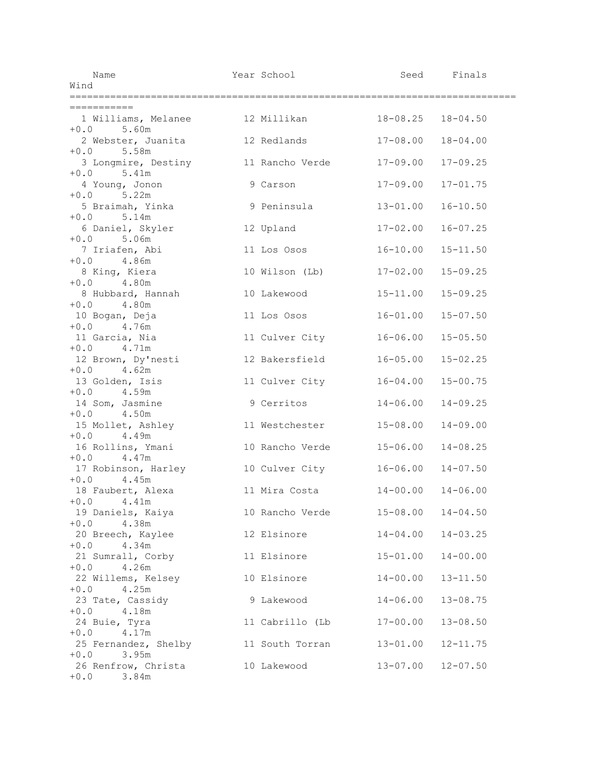| Name<br>Wind                                      | Year School     |              | Seed Finals               |  |
|---------------------------------------------------|-----------------|--------------|---------------------------|--|
|                                                   |                 |              |                           |  |
| ===========                                       |                 |              |                           |  |
| 1 Williams, Melanee 12 Millikan 18-08.25 18-04.50 |                 |              |                           |  |
| $+0.0$ 5.60m<br>2 Webster, Juanita                | 12 Redlands     | $17 - 08.00$ | $18 - 04.00$              |  |
| $+0.0$ 5.58m                                      |                 |              |                           |  |
| 3 Longmire, Destiny                               | 11 Rancho Verde | $17 - 09.00$ | $17 - 09.25$              |  |
| $+0.0$ 5.41m<br>4 Young, Jonon                    | 9 Carson        | $17 - 09.00$ | $17 - 01.75$              |  |
| $+0.0$ 5.22m<br>5 Braimah, Yinka                  | 9 Peninsula     | $13 - 01.00$ | $16 - 10.50$              |  |
| $+0.0$ 5.14m                                      |                 |              |                           |  |
| 6 Daniel, Skyler<br>$+0.0$ 5.06m                  | 12 Upland       | $17 - 02.00$ | $16 - 07.25$              |  |
| 7 Iriafen, Abi<br>$+0.0$ 4.86m                    | 11 Los Osos     | $16 - 10.00$ | $15 - 11.50$              |  |
| 8 King, Kiera                                     | 10 Wilson (Lb)  | $17 - 02.00$ | $15 - 09.25$              |  |
| 4.80m<br>$+0.0$<br>8 Hubbard, Hannah              | 10 Lakewood     | $15 - 11.00$ | $15 - 09.25$              |  |
| $+0.0$ 4.80m                                      |                 |              |                           |  |
| 10.0 4.00m<br>10 Bogan, Deja<br>$+0.0$ 4.76m      | 11 Los Osos     | $16 - 01.00$ | $15 - 07.50$              |  |
| 11 Garcia, Nia                                    | 11 Culver City  | $16 - 06.00$ | $15 - 05.50$              |  |
| $+0.0$ 4.71m<br>12 Brown, Dy'nesti                | 12 Bakersfield  | $16 - 05.00$ | $15 - 02.25$              |  |
| $+0.0$ 4.62m<br>13 Golden, Isis                   | 11 Culver City  | $16 - 04.00$ | $15 - 00.75$              |  |
| $+0.0$ 4.59m                                      |                 |              |                           |  |
| 14 Som, Jasmine<br>$+0.0$ 4.50m                   | 9 Cerritos      | $14 - 06.00$ | $14 - 09.25$              |  |
| 15 Mollet, Ashley                                 | 11 Westchester  | $15 - 08.00$ | $14 - 09.00$              |  |
| $+0.0$ 4.49m<br>16 Rollins, Ymani                 | 10 Rancho Verde | $15 - 06.00$ | $14 - 08.25$              |  |
| $+0.0$ 4.47m                                      |                 |              |                           |  |
| 17 Robinson, Harley<br>$+0.0$ 4.45m               | 10 Culver City  |              | $16 - 06.00$ $14 - 07.50$ |  |
| 18 Faubert, Alexa                                 | 11 Mira Costa   |              | $14 - 00.00$ $14 - 06.00$ |  |
| $+0.0$ 4.41m<br>19 Daniels, Kaiya                 | 10 Rancho Verde | $15 - 08.00$ | $14 - 04.50$              |  |
| $+0.0$ 4.38m                                      |                 |              |                           |  |
| 20 Breech, Kaylee                                 | 12 Elsinore     | $14 - 04.00$ | $14 - 03.25$              |  |
| $+0.0$ 4.34m<br>21 Sumrall, Corby                 | 11 Elsinore     | $15 - 01.00$ | $14 - 00.00$              |  |
| $+0.0$<br>4.26m                                   |                 |              |                           |  |
| 22 Willems, Kelsey<br>$+0.0$<br>4.25m             | 10 Elsinore     | $14 - 00.00$ | $13 - 11.50$              |  |
| 23 Tate, Cassidy                                  | 9 Lakewood      | $14 - 06.00$ | $13 - 08.75$              |  |
| $+0.0$<br>4.18m<br>24 Buie, Tyra                  | 11 Cabrillo (Lb | $17 - 00.00$ | $13 - 08.50$              |  |
| $+0.0$ 4.17m                                      |                 |              |                           |  |
| 25 Fernandez, Shelby                              | 11 South Torran | $13 - 01.00$ | $12 - 11.75$              |  |
| $+0.0$ 3.95m<br>26 Renfrow, Christa               | 10 Lakewood     | $13 - 07.00$ | $12 - 07.50$              |  |
| $+0.0$<br>3.84m                                   |                 |              |                           |  |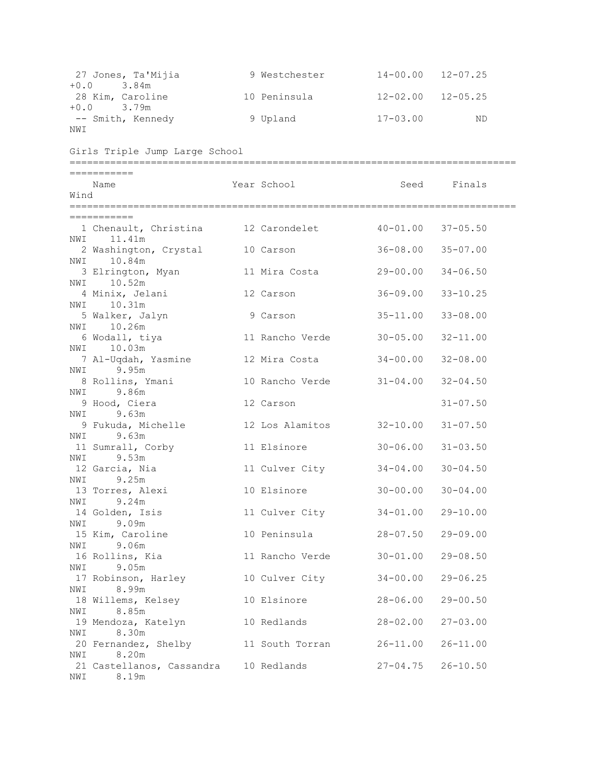| 27 Jones, Ta'Mijia<br>3.84m<br>$+0.0$  |                                       | 9 Westchester   | $14 - 00.00$ $12 - 07.25$ |              |
|----------------------------------------|---------------------------------------|-----------------|---------------------------|--------------|
| 28 Kim, Caroline<br>3.79m<br>$+0.0$    |                                       | 10 Peninsula    | $12 - 02.00$ $12 - 05.25$ |              |
| -- Smith, Kennedy                      |                                       | 9 Upland        | $17 - 03.00$              | ND           |
| NWI                                    |                                       |                 |                           |              |
| Girls Triple Jump Large School         |                                       |                 |                           |              |
| ===========                            |                                       |                 |                           |              |
| Name<br>Wind                           |                                       | Year School     | Seed                      | Finals       |
|                                        |                                       |                 |                           |              |
| ===========                            |                                       |                 |                           |              |
| 11.41m<br>NWI                          | 1 Chenault, Christina 12 Carondelet   |                 | $40 - 01.00$              | $37 - 05.50$ |
| 2 Washington, Crystal<br>10.84m<br>NWI |                                       | 10 Carson       | $36 - 08.00$              | $35 - 07.00$ |
| 3 Elrington, Myan                      |                                       | 11 Mira Costa   | 29-00.00                  | $34 - 06.50$ |
| 10.52m<br>NWI<br>4 Minix, Jelani       |                                       | 12 Carson       | $36 - 09.00$              | $33 - 10.25$ |
| 10.31m<br>NWI<br>5 Walker, Jalyn       |                                       | 9 Carson        | $35 - 11.00$              | $33 - 08.00$ |
| 10.26m<br>NWI                          |                                       |                 |                           |              |
| 6 Wodall, tiya<br>10.03m<br>NWI        |                                       | 11 Rancho Verde | $30 - 05.00$              | $32 - 11.00$ |
| 7 Al-Uqdah, Yasmine                    |                                       | 12 Mira Costa   | $34 - 00.00$              | $32 - 08.00$ |
| NWI 9.95m<br>8 Rollins, Ymani          |                                       | 10 Rancho Verde | $31 - 04.00$              | $32 - 04.50$ |
| NWI 9.86m                              |                                       |                 |                           |              |
| 9 Hood, Ciera<br>9.63m<br>NWI          |                                       | 12 Carson       |                           | $31 - 07.50$ |
| 9 Fukuda, Michelle                     |                                       | 12 Los Alamitos | $32 - 10.00$              | $31 - 07.50$ |
| NWI 9.63m                              |                                       |                 |                           |              |
| 11 Sumrall, Corby<br>NWI 9.53m         |                                       | 11 Elsinore     | $30 - 06.00$              | $31 - 03.50$ |
| 12 Garcia, Nia                         |                                       | 11 Culver City  | $34 - 04.00$              | $30 - 04.50$ |
| 9.25m<br>NWI<br>13 Torres, Alexi       |                                       | 10 Elsinore     | $30 - 00.00$ $30 - 04.00$ |              |
| NWI 9.24m                              |                                       |                 |                           |              |
| 14 Golden, Isis<br>NWI 9.09m           |                                       | 11 Culver City  | $34 - 01.00$ 29-10.00     |              |
| 15 Kim, Caroline                       |                                       | 10 Peninsula    | $28 - 07.50$              | $29 - 09.00$ |
| NWI 9.06m                              |                                       |                 |                           |              |
| 16 Rollins, Kia<br>9.05m<br>NWI        |                                       | 11 Rancho Verde | $30 - 01.00$              | $29 - 08.50$ |
| 17 Robinson, Harley                    |                                       | 10 Culver City  | $34 - 00.00$              | $29 - 06.25$ |
| NWI 8.99m                              |                                       |                 |                           |              |
| 18 Willems, Kelsey<br>8.85m<br>NWI     |                                       | 10 Elsinore     | $28 - 06.00$              | $29 - 00.50$ |
| 19 Mendoza, Katelyn                    |                                       | 10 Redlands     | $28 - 02.00$              | $27 - 03.00$ |
| NWI 8.30m                              | 20 Fernandez, Shelby 11 South Torran  |                 | $26 - 11.00$              | $26 - 11.00$ |
| NWI 8.20m                              |                                       |                 |                           |              |
| 8.19m<br>NWI                           | 21 Castellanos, Cassandra 10 Redlands |                 | $27 - 04.75$ $26 - 10.50$ |              |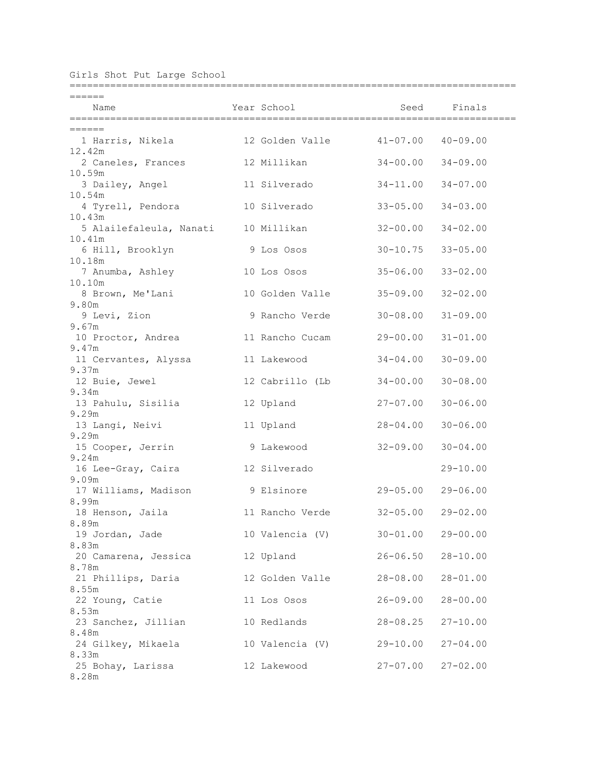Girls Shot Put Large School

| ======                                  |                          |                           |              |
|-----------------------------------------|--------------------------|---------------------------|--------------|
| Name                                    | Year School              |                           | Seed Finals  |
|                                         |                          |                           |              |
| ======<br>1 Harris, Nikela              | 12 Golden Valle 41-07.00 |                           | $40 - 09.00$ |
| 12.42m<br>2 Caneles, Frances            | 12 Millikan              | $34 - 00.00$              | $34 - 09.00$ |
| 10.59m                                  |                          |                           |              |
| 3 Dailey, Angel<br>10.54m               | 11 Silverado             | $34 - 11.00$              | $34 - 07.00$ |
| 4 Tyrell, Pendora<br>10.43m             | 10 Silverado             | $33 - 05.00$              | $34 - 03.00$ |
| 5 Alailefaleula, Nanati<br>10.41m       | 10 Millikan              | $32 - 00.00$              | $34 - 02.00$ |
| 6 Hill, Brooklyn                        | 9 Los Osos               | $30 - 10.75$              | $33 - 05.00$ |
| 10.18m                                  |                          |                           |              |
| 7 Anumba, Ashley<br>10.10m              | 10 Los Osos              | $35 - 06.00$              | $33 - 02.00$ |
| 8 Brown, Me'Lani                        | 10 Golden Valle          | $35 - 09.00$              | $32 - 02.00$ |
| 9.80m<br>9 Levi, Zion                   | 9 Rancho Verde           | $30 - 08.00$              | $31 - 09.00$ |
| 9.67m<br>10 Proctor, Andrea             | 11 Rancho Cucam          | 29-00.00                  | $31 - 01.00$ |
| 9.47m<br>11 Cervantes, Alyssa           | 11 Lakewood              | $34 - 04.00$              | $30 - 09.00$ |
| 9.37m                                   |                          |                           |              |
| 12 Buie, Jewel<br>9.34m                 | 12 Cabrillo (Lb          | $34 - 00.00$              | $30 - 08.00$ |
| 13 Pahulu, Sisilia                      | 12 Upland                | $27 - 07.00$              | $30 - 06.00$ |
| 9.29m<br>13 Langi, Neivi                | 11 Upland                | $28 - 04.00$              | $30 - 06.00$ |
| 9.29m<br>15 Cooper, Jerrin              | 9 Lakewood               | $32 - 09.00$              | $30 - 04.00$ |
| 9.24m                                   |                          |                           |              |
| 16 Lee-Gray, Caira<br>9.09m             | 12 Silverado             |                           | $29 - 10.00$ |
| 17 Williams, Madison<br>8.99m           | 9 Elsinore               | $29 - 05.00$              | $29 - 06.00$ |
| 18 Henson, Jaila                        | 11 Rancho Verde          | $32 - 05.00$ $29 - 02.00$ |              |
| 8.89m<br>19 Jordan, Jade                | 10 Valencia (V)          | $30 - 01.00$ 29-00.00     |              |
| 8.83m<br>20 Camarena, Jessica 12 Upland |                          | $26 - 06.50$ $28 - 10.00$ |              |
| 8.78m                                   |                          |                           |              |
| 21 Phillips, Daria<br>8.55m             | 12 Golden Valle          | $28 - 08.00$              | $28 - 01.00$ |
| 22 Young, Catie                         | 11 Los Osos              | $26 - 09.00$              | $28 - 00.00$ |
| 8.53m<br>23 Sanchez, Jillian            | 10 Redlands              | $28 - 08.25$              | $27 - 10.00$ |
| 8.48m<br>24 Gilkey, Mikaela             | 10 Valencia (V)          | 29-10.00 27-04.00         |              |
| 8.33m                                   |                          |                           |              |
| 25 Bohay, Larissa<br>8.28m              | 12 Lakewood              | $27 - 07.00$ $27 - 02.00$ |              |

=============================================================================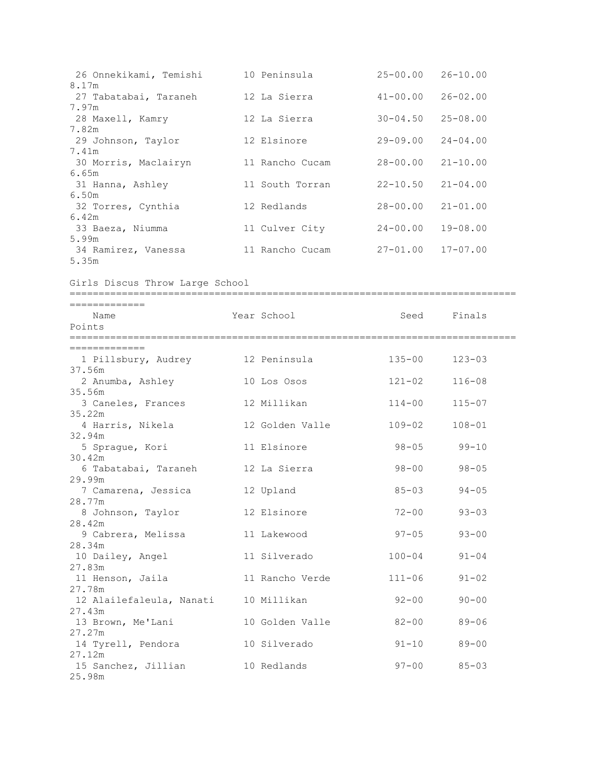| 26 Onnekikami, Temishi | 10 Peninsula    | $25 - 00.00$              | $26 - 10.00$ |
|------------------------|-----------------|---------------------------|--------------|
| 8.17m                  |                 |                           |              |
| 27 Tabatabai, Taraneh  | 12 La Sierra    | $41 - 00.00$              | $26 - 02.00$ |
| 7.97m                  |                 |                           |              |
| 28 Maxell, Kamry       | 12 La Sierra    | $30 - 04.50$              | $25 - 08.00$ |
| 7.82m                  |                 |                           |              |
| 29 Johnson, Taylor     | 12 Elsinore     | $29 - 09.00$              | $24 - 04.00$ |
| 7.41m                  |                 |                           |              |
| 30 Morris, Maclairyn   | 11 Rancho Cucam | $28 - 00.00$              | $21 - 10.00$ |
| 6.65m                  |                 |                           |              |
| 31 Hanna, Ashley       | 11 South Torran | $22 - 10.50$ $21 - 04.00$ |              |
| 6.50m                  |                 |                           |              |
| 32 Torres, Cynthia     | 12 Redlands     | $28 - 00.00$              | $21 - 01.00$ |
| 6.42m                  |                 |                           |              |
| 33 Baeza, Niumma       | 11 Culver City  | $24 - 00.00$              | $19 - 08.00$ |
| 5.99m                  |                 |                           |              |
| 34 Ramirez, Vanessa    | 11 Rancho Cucam | 27-01.00                  | $17 - 07.00$ |
| 5.35m                  |                 |                           |              |

Girls Discus Throw Large School

| .============<br>Name<br>Points             | Year School States and the School |            | Seed Finals |  |
|---------------------------------------------|-----------------------------------|------------|-------------|--|
| =============                               |                                   |            |             |  |
| 1 Pillsbury, Audrey 12 Peninsula            |                                   | $135 - 00$ | $123 - 03$  |  |
| 37.56m<br>2 Anumba, Ashley                  | 10 Los Osos                       | $121 - 02$ | $116 - 08$  |  |
| 35.56m<br>3 Caneles, Frances                | 12 Millikan                       | $114 - 00$ | $115 - 07$  |  |
| 35.22m<br>4 Harris, Nikela                  | 12 Golden Valle                   | $109 - 02$ | $108 - 01$  |  |
| 32.94m<br>5 Sprague, Kori                   | 11 Elsinore                       | $98 - 05$  | $99 - 10$   |  |
| 30.42m<br>6 Tabatabai, Taraneh 12 La Sierra |                                   | $98 - 00$  | $98 - 05$   |  |
| 29.99m<br>7 Camarena, Jessica               | 12 Upland                         | $85 - 03$  | $94 - 05$   |  |
| 28.77m<br>8 Johnson, Taylor                 | 12 Elsinore                       | $72 - 00$  | $93 - 03$   |  |
| 28.42m<br>9 Cabrera, Melissa                | 11 Lakewood                       | $97 - 05$  | $93 - 00$   |  |
| 28.34m<br>10 Dailey, Angel                  | 11 Silverado                      | $100 - 04$ | $91 - 04$   |  |
| 27.83m                                      |                                   |            |             |  |
| 11 Henson, Jaila<br>27.78m                  | 11 Rancho Verde                   | $111 - 06$ | $91 - 02$   |  |
| 12 Alailefaleula, Nanati<br>27.43m          | 10 Millikan                       | $92 - 00$  | $90 - 00$   |  |
| 13 Brown, Me'Lani<br>27.27m                 | 10 Golden Valle                   | $82 - 00$  | 89-06       |  |
| 14 Tyrell, Pendora<br>27.12m                | 10 Silverado                      | $91 - 10$  | 89-00       |  |
| 15 Sanchez, Jillian<br>25.98m               | 10 Redlands                       | $97 - 00$  | $85 - 03$   |  |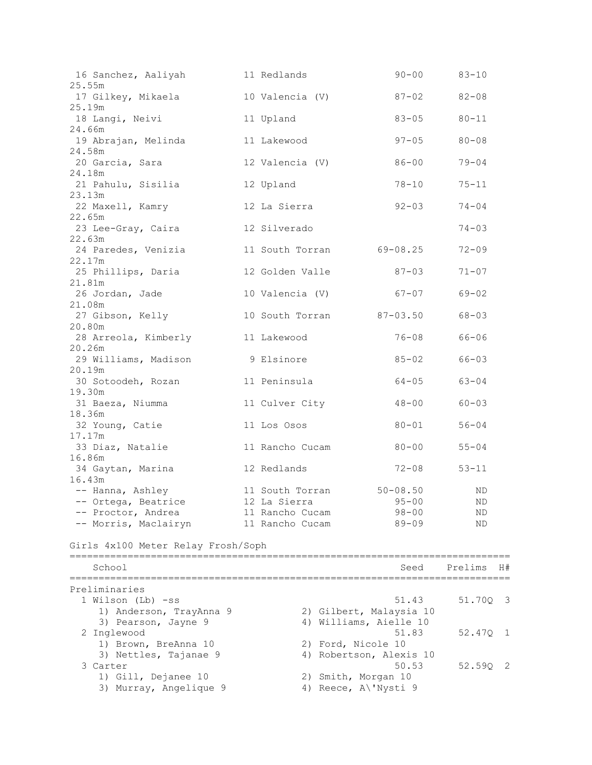| 16 Sanchez, Aaliyah 11 Redlands                                                        |                                |                         | $90 - 00$ $83 - 10$ |      |
|----------------------------------------------------------------------------------------|--------------------------------|-------------------------|---------------------|------|
| 25.55m                                                                                 |                                |                         |                     |      |
| 17 Gilkey, Mikaela                 10 Valencia (V)                 87-02         82-08 |                                |                         |                     |      |
| 25.19m                                                                                 |                                |                         |                     |      |
| 18 Langi, Neivi and 11 Upland                                                          |                                | $83 - 05$ $80 - 11$     |                     |      |
| 24.66m<br>19 Abrajan, Melinda               11 Lakewood                                |                                | $97 - 05$ 80-08         |                     |      |
| 24.58m                                                                                 |                                |                         |                     |      |
| 20 Garcia, Sara                                                                        | 12 Valencia (V)                | $86 - 00$ 79-04         |                     |      |
| 24.18m                                                                                 |                                |                         |                     |      |
| 21 Pahulu, Sisilia                                                                     | 12 Upland                      |                         | 78-10 75-11         |      |
| 23.13m                                                                                 |                                |                         |                     |      |
| 22 Maxell, Kamry                                                                       | 12 La Sierra                   | $92 - 03$ $74 - 04$     |                     |      |
| 22.65m                                                                                 |                                |                         |                     |      |
| 23 Lee-Gray, Caira and 12 Silverado                                                    |                                |                         | $74 - 03$           |      |
| 22.63m                                                                                 |                                |                         |                     |      |
| 24 Paredes, Venizia 11 South Torran 69-08.25 72-09                                     |                                |                         |                     |      |
| 22.17m                                                                                 |                                |                         |                     |      |
| 25 Phillips, Daria (12 Golden Valle (27-03 / 71-07)                                    |                                |                         |                     |      |
| 21.81m<br>26 Jordan, Jade                                                              | 10 Valencia (V) 67-07 69-02    |                         |                     |      |
| 21.08m                                                                                 |                                |                         |                     |      |
| 27 Gibson, Kelly                                                                       | 10 South Torran 87-03.50 68-03 |                         |                     |      |
| 20.80m                                                                                 |                                |                         |                     |      |
| 28 Arreola, Kimberly 11 Lakewood                                                       |                                |                         | $76 - 08$ 66-06     |      |
| 20.26m                                                                                 |                                |                         |                     |      |
| 29 Williams, Madison 9 Elsinore                                                        |                                | $85 - 02$ 66-03         |                     |      |
| 20.19m                                                                                 |                                |                         |                     |      |
| 30 Sotoodeh, Rozan 11 Peninsula                                                        |                                | $64 - 05$ 63-04         |                     |      |
| 19.30m                                                                                 |                                |                         |                     |      |
| 31 Baeza, Niumma (a) 11 Culver City (a) 48-00 (60-03                                   |                                |                         |                     |      |
| 18.36m                                                                                 |                                |                         |                     |      |
| 32 Young, Catie                                                                        | 11 Los Osos                    | $80 - 01$ $56 - 04$     |                     |      |
| 17.17m<br>33 Diaz, Natalie 11 Rancho Cucam 80-00 55-04                                 |                                |                         |                     |      |
| 16.86m                                                                                 |                                |                         |                     |      |
| 34 Gaytan, Marina                       12 Redlands                                    |                                | $72 - 08$ 53-11         |                     |      |
| 16.43m                                                                                 |                                |                         |                     |      |
|                                                                                        |                                |                         | ND                  |      |
| -- Ortega, Beatrice 12 La Sierra 35-00                                                 |                                |                         | ND                  |      |
| -- Proctor, Andrea                                                                     | 11 Rancho Cucam                | $98 - 00$               | ΝD                  |      |
| -- Morris, Maclairyn                                                                   | 11 Rancho Cucam                | $89 - 09$               | <b>ND</b>           |      |
|                                                                                        |                                |                         |                     |      |
| Girls 4x100 Meter Relay Frosh/Soph                                                     |                                |                         |                     |      |
|                                                                                        |                                |                         |                     |      |
| School                                                                                 |                                | Seed                    | Prelims             | - H# |
| Preliminaries                                                                          |                                |                         |                     |      |
| 1 Wilson (Lb) -ss                                                                      |                                | 51.43                   | 51.700 3            |      |
| 1) Anderson, TrayAnna 9                                                                |                                | 2) Gilbert, Malaysia 10 |                     |      |
| 3) Pearson, Jayne 9                                                                    | 4) Williams, Aielle 10         |                         |                     |      |
| 2 Inglewood                                                                            |                                | 51.83                   | 52.47Q              | 1    |
| 1) Brown, BreAnna 10                                                                   | 2) Ford, Nicole 10             |                         |                     |      |
| 3) Nettles, Tajanae 9                                                                  |                                | 4) Robertson, Alexis 10 |                     |      |
| 3 Carter                                                                               |                                | 50.53                   | $52.59Q$ 2          |      |
| 1) Gill, Dejanee 10                                                                    | 2) Smith, Morgan 10            |                         |                     |      |
| 3) Murray, Angelique 9                                                                 | 4) Reece, A\'Nysti 9           |                         |                     |      |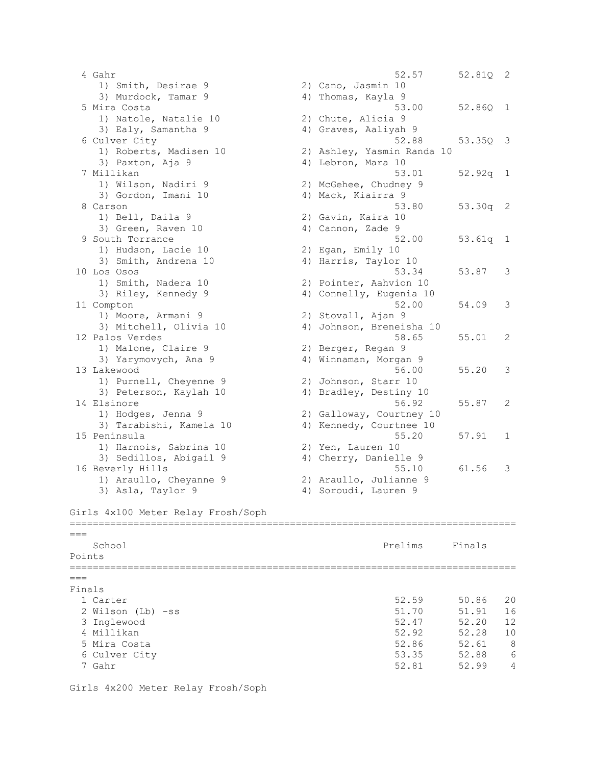```
 4 Gahr 52.57 52.81Q 2 
1) Smith, Desirae 9 2) Cano, Jasmin 10
3) Murdock, Tamar 9 4) Thomas, Kayla 9
 5 Mira Costa 53.00 52.86Q 1 
 1) Natole, Natalie 10 2) Chute, Alicia 9 
3) Ealy, Samantha 9 4) Graves, Aaliyah 9
 6 Culver City 52.88 53.35Q 3 
 1) Roberts, Madisen 10 2) Ashley, Yasmin Randa 10 
3) Paxton, Aja 9 4) Lebron, Mara 10
 7 Millikan 53.01 52.92q 1 
                  2) McGehee, Chudney 9<br>4) Mack, Kiairra 9
  1) Wilson, Nadiri 9<br>3) Gordon, Imani 10
  8 Carson 53.80 53.30q 2 
 1) Bell, Daila 9 2) Gavin, Kaira 10 
3) Green, Raven 10 (4) Cannon, Zade 9
  9 South Torrance 52.00 53.61q 1 
1) Hudson, Lacie 10 2) Egan, Emily 10
3) Smith, Andrena 10 4) Harris, Taylor 10
10 Los Osos 53.34 53.87 3 
 1) Smith, Nadera 10 2) Pointer, Aahvion 10 
3) Riley, Kennedy 9 4) Connelly, Eugenia 10
11 Compton 52.00 54.09 3 
1) Moore, Armani 9 2) Stovall, Ajan 9
 3) Mitchell, Olivia 10 4) Johnson, Breneisha 10 
12 Palos Verdes 58.65 55.01 2 
1) Malone, Claire 9 2) Berger, Regan 9
 3) Yarymovych, Ana 9 4) Winnaman, Morgan 9 
13 Lakewood 56.00 55.20 3 
 1) Purnell, Cheyenne 9 2) Johnson, Starr 10 
3) Peterson, Kaylah 10 4) Bradley, Destiny 10
14 Elsinore 56.92 55.87 2 
 1) Hodges, Jenna 9 2) Galloway, Courtney 10 
3) Tarabishi, Kamela 10 4) Kennedy, Courtnee 10
15 Peninsula 55.20 57.91 1 
 1) Harnois, Sabrina 10 2) Yen, Lauren 10 
3) Sedillos, Abigail 9 4) Cherry, Danielle 9
16 Beverly Hills 55.10 61.56 3 
 1) Araullo, Cheyanne 9 2) Araullo, Julianne 9 
3) Asla, Taylor 9 4) Soroudi, Lauren 9
Girls 4x100 Meter Relay Frosh/Soph
=============================================================================
=School Prelims Finals
Points
=============================================================================
---Finals
 1 Carter 52.59 50.86 20 
 2 Wilson (Lb) -ss 51.70 51.91 16 
 3 Inglewood 52.47 52.20 12 
 4 Millikan 52.92 52.28 10 
 5 Mira Costa 52.86 52.61 8 
 6 Culver City 53.35 52.88 6 
  7 Gahr 52.81 52.99 4
```
Girls 4x200 Meter Relay Frosh/Soph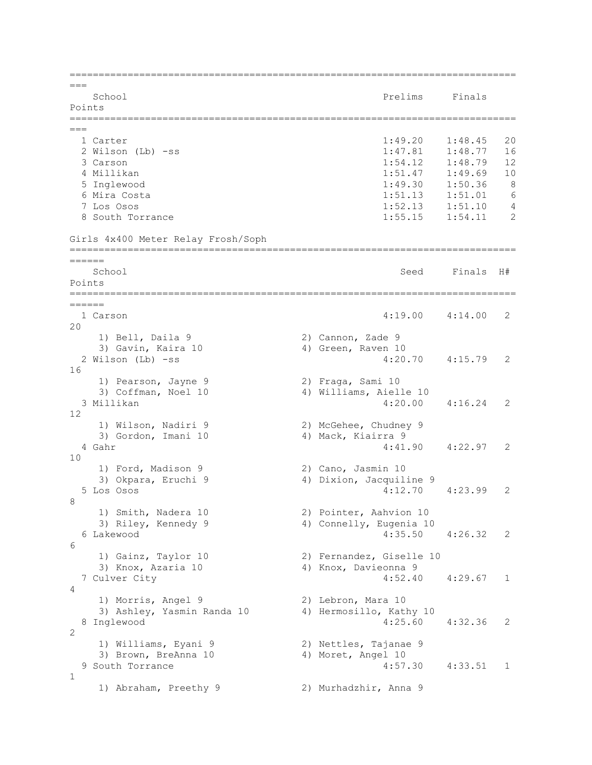=============================================================================  $---$ School **Prelims** Finals Points =============================================================================  $---$  1 Carter 1:49.20 1:48.45 20 2 Wilson (Lb) -ss 1:47.81 1:48.77 16 3 Carson 1:54.12 1:48.79 12 4 Millikan 1:51.47 1:49.69 10 5 Inglewood 1:49.30 1:50.36 8 6 Mira Costa 1:51.13 1:51.01 6 7 Los Osos 1:52.13 1:51.10 4 8 South Torrance 1:55.15 1:54.11 2 Girls 4x400 Meter Relay Frosh/Soph ============================================================================= ====== School School Seed Finals H# Points ============================================================================= ====== 1 Carson 4:19.00 4:14.00 2  $20$ 1) Bell, Daila 9 2) Cannon, Zade 9 3) Gavin, Kaira 10 4) Green, Raven 10 2 Wilson (Lb) -ss 4:20.70 4:15.79 2 16 1) Pearson, Jayne 9 2) Fraga, Sami 10 1) Pearson, Jayne 9<br>3) Coffman, Noel 10 4) Williams, Aielle 10 3 Millikan 4:20.00 4:16.24 2 12 1) Wilson, Nadiri 9 2) McGehee, Chudney 9 3) Gordon, Imani 10 4) Mack, Kiairra 9 4 Gahr 4:41.90 4:22.97 2 10 1) Ford, Madison 9 2) Cano, Jasmin 10 3) Okpara, Eruchi 9 4) Dixion, Jacquiline 9 5 Los Osos 4:12.70 4:23.99 2 8 1) Smith, Nadera 10 2) Pointer, Aahvion 10<br>3) Riley, Kennedy 9 31 4) Connelly, Eugenia 10 4) Connelly, Eugenia 10 6 Lakewood 4:35.50 4:26.32 2 6 2) Fernandez, Giselle 10 a 3) Gainz, Taylor 10 (3) Fernandez, Giselle 3) Knox, Azaria 10 (4) 4) Knox, Davieonna 9 7 Culver City 4:52.40 4:29.67 1  $\Lambda$ 1) Morris, Angel 9 2) Lebron, Mara 10 3) Ashley, Yasmin Randa 10 4) Hermosillo, Kathy 10 8 Inglewood 4:25.60 4:32.36 2  $\mathcal{L}$  1) Williams, Eyani 9 2) Nettles, Tajanae 9 3) Brown, BreAnna 10 4) Moret, Angel 10 9 South Torrance 4:57.30 4:33.51 1 1 1) Abraham, Preethy 9 2) Murhadzhir, Anna 9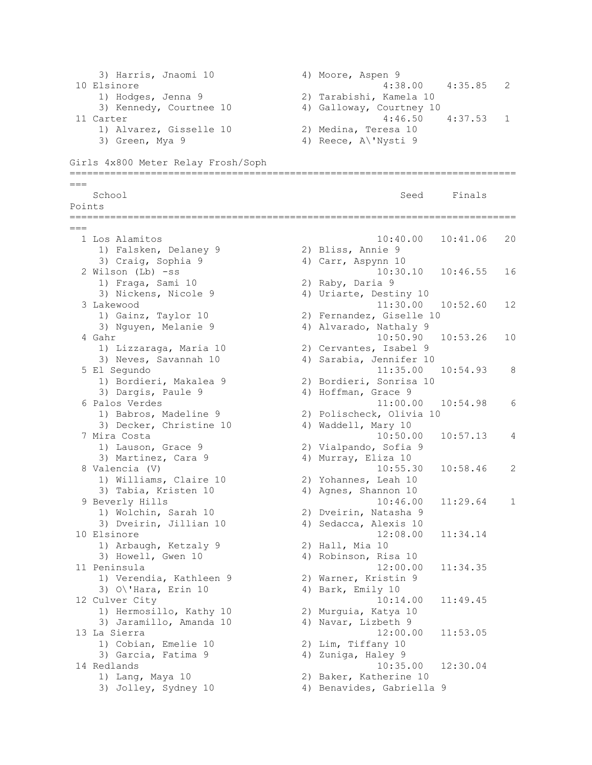```
3) Harris, Jnaomi 10 (4) Moore, Aspen 9<br>Elsinore (4:38.00 (4:35.85 )
10 Elsinore 4:38.00 4:35.85 2 
 1) Hodges, Jenna 9 2) Tarabishi, Kamela 10 
 3) Kennedy, Courtnee 10 4) Galloway, Courtney 10 
11 Carter 4:46.50 4:37.53 1 
 1) Alvarez, Gisselle 10 2) Medina, Teresa 10 
3) Green, Mya 9 4) Reece, A\'Nysti 9
Girls 4x800 Meter Relay Frosh/Soph
=============================================================================
=School School Seed Finals
Points
=============================================================================
= 1 Los Alamitos 10:40.00 10:41.06 20 
 1) Falsken, Delaney 9 2) Bliss, Annie 9 
3) Craig, Sophia 9 4) Carr, Aspynn 10
 2 Wilson (Lb) -ss 10:30.10 10:46.55 16 
 1) Fraga, Sami 10 2) Raby, Daria 9 
3) Nickens, Nicole 9 4) Uriarte, Destiny 10
 3 Lakewood 11:30.00 10:52.60 12 
 1) Gainz, Taylor 10 2) Fernandez, Giselle 10 
3) Nguyen, Melanie 9 1988 (4) Alvarado, Nathaly 9
 4 Gahr 10:50.90 10:53.26 10 
 1) Lizzaraga, Maria 10 2) Cervantes, Isabel 9 
 3) Neves, Savannah 10 4) Sarabia, Jennifer 10 
  5 El Segundo 11:35.00 10:54.93 8 
 1) Bordieri, Makalea 9 2) Bordieri, Sonrisa 10 
3) Dargis, Paule 9 4) Hoffman, Grace 9
 6 Palos Verdes 11:00.00 10:54.98 6 
 1) Babros, Madeline 9 2) Polischeck, Olivia 10 
3) Decker, Christine 10 4) Waddell, Mary 10
 7 Mira Costa 10:50.00 10:57.13 4 
 1) Lauson, Grace 9 2) Vialpando, Sofia 9 
3) Martinez, Cara 9 1988 4) Murray, Eliza 10
 8 Valencia (V) 10:55.30 10:58.46 2 
 1) Williams, Claire 10 2) Yohannes, Leah 10 
 3) Tabia, Kristen 10 4) Agnes, Shannon 10 
  9 Beverly Hills 10:46.00 11:29.64 1 
 1) Wolchin, Sarah 10 2) Dveirin, Natasha 9 
3) Dveirin, Jillian 10 4) Sedacca, Alexis 10
10 Elsinore 12:08.00 11:34.14 
1) Arbaugh, Ketzaly 9 2) Hall, Mia 10
3) Howell, Gwen 10 4) Robinson, Risa 10
11 Peninsula 12:00.00 11:34.35 
 1) Verendia, Kathleen 9 2) Warner, Kristin 9 
3) O\'Hara, Erin 10 4) Bark, Emily 10
12 Culver City 10:14.00 11:49.45 
 1) Hermosillo, Kathy 10 2) Murguia, Katya 10 
3) Jaramillo, Amanda 10 4) Navar, Lizbeth 9
13 La Sierra 12:00.00 11:53.05 
 1) Cobian, Emelie 10 2) Lim, Tiffany 10 
 3) Garcia, Fatima 9 4) Zuniga, Haley 9 
14 Redlands 10:35.00 12:30.04 
 1) Lang, Maya 10 2) Baker, Katherine 10 
 3) Jolley, Sydney 10 4) Benavides, Gabriella 9
```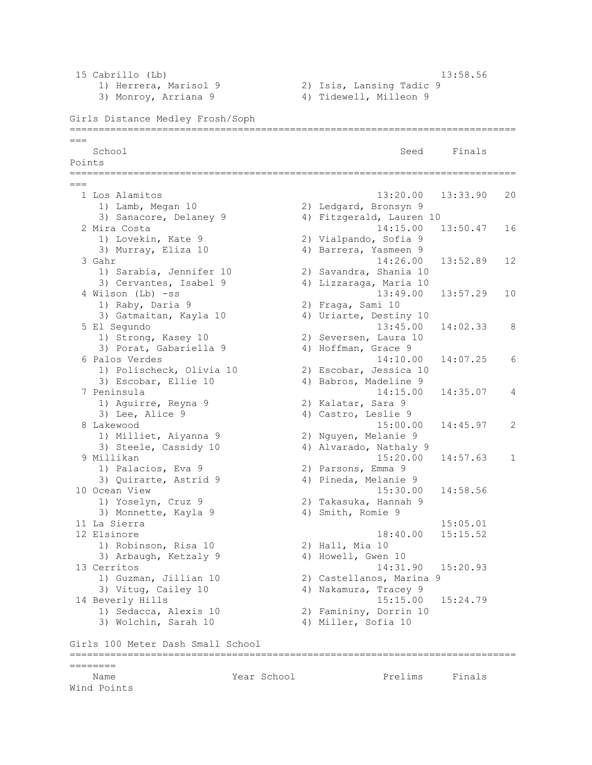| 15 Cabrillo (Lb)                  |             |                          | 13:58.56 |              |
|-----------------------------------|-------------|--------------------------|----------|--------------|
| 1) Herrera, Marisol 9             |             | 2) Isis, Lansing Tadic 9 |          |              |
| 3) Monroy, Arriana 9              |             | 4) Tidewell, Milleon 9   |          |              |
| Girls Distance Medley Frosh/Soph  |             |                          |          |              |
|                                   |             |                          |          |              |
| School                            |             | Seed                     | Finals   |              |
| Points                            |             |                          |          |              |
| $===$                             |             |                          |          |              |
| 1 Los Alamitos                    |             | 13:20.00                 | 13:33.90 | 20           |
| 1) Lamb, Megan 10                 |             | 2) Ledgard, Bronsyn 9    |          |              |
| 3) Sanacore, Delaney 9            |             | 4) Fitzgerald, Lauren 10 |          |              |
| 2 Mira Costa                      |             | 14:15.00                 | 13:50.47 | 16           |
| 1) Lovekin, Kate 9                |             | 2) Vialpando, Sofia 9    |          |              |
| 3) Murray, Eliza 10               |             | 4) Barrera, Yasmeen 9    |          |              |
| 3 Gahr                            |             | 14:26.00                 | 13:52.89 | 12           |
| 1) Sarabia, Jennifer 10           |             | 2) Savandra, Shania 10   |          |              |
| 3) Cervantes, Isabel 9            |             | 4) Lizzaraga, Maria 10   |          |              |
| 4 Wilson (Lb) -ss                 |             | 13:49.00                 | 13:57.29 | 10           |
| 1) Raby, Daria 9                  |             | 2) Fraga, Sami 10        |          |              |
| 3) Gatmaitan, Kayla 10            |             | 4) Uriarte, Destiny 10   |          |              |
| 5 El Segundo                      |             | 13:45.00                 | 14:02.33 | 8            |
| 1) Strong, Kasey 10               |             | 2) Seversen, Laura 10    |          |              |
| 3) Porat, Gabariella 9            |             | 4) Hoffman, Grace 9      |          |              |
| 6 Palos Verdes                    |             | 14:10.00                 | 14:07.25 | 6            |
| 1) Polischeck, Olivia 10          |             | 2) Escobar, Jessica 10   |          |              |
| 3) Escobar, Ellie 10              |             | 4) Babros, Madeline 9    |          |              |
| 7 Peninsula                       |             | 14:15.00                 | 14:35.07 | 4            |
| 1) Aguirre, Reyna 9               |             | 2) Kalatar, Sara 9       |          |              |
| 3) Lee, Alice 9                   |             | 4) Castro, Leslie 9      |          |              |
| 8 Lakewood                        |             | 15:00.00                 | 14:45.97 | 2            |
| 1) Milliet, Aiyanna 9             |             | 2) Nguyen, Melanie 9     |          |              |
| 3) Steele, Cassidy 10             |             | 4) Alvarado, Nathaly 9   |          |              |
| 9 Millikan                        |             | 15:20.00                 | 14:57.63 | $\mathbf{1}$ |
| 1) Palacios, Eva 9                |             | 2) Parsons, Emma 9       |          |              |
| 3) Quirarte, Astrid 9             |             | 4) Pineda, Melanie 9     |          |              |
| 10 Ocean View                     |             | 15:30.00                 | 14:58.56 |              |
| 1) Yoselyn, Cruz 9                |             | 2) Takasuka, Hannah 9    |          |              |
| 3) Monnette, Kayla 9              |             | 4) Smith, Romie 9        |          |              |
| 11 La Sierra                      |             |                          | 15:05.01 |              |
| 12 Elsinore                       |             | 18:40.00                 | 15:15.52 |              |
| 1) Robinson, Risa 10              |             | 2) Hall, Mia 10          |          |              |
| 3) Arbaugh, Ketzaly 9             |             | 4) Howell, Gwen 10       |          |              |
| 13 Cerritos                       |             | 14:31.90  15:20.93       |          |              |
| 1) Guzman, Jillian 10             |             | 2) Castellanos, Marina 9 |          |              |
| 3) Vitug, Cailey 10               |             | 4) Nakamura, Tracey 9    |          |              |
| 14 Beverly Hills                  |             | 15:15.00                 | 15:24.79 |              |
| 1) Sedacca, Alexis 10             |             | 2) Famininy, Dorrin 10   |          |              |
| 3) Wolchin, Sarah 10              |             | 4) Miller, Sofia 10      |          |              |
| Girls 100 Meter Dash Small School |             |                          |          |              |
| ========                          |             |                          |          |              |
| Name                              | Year School | Prelims                  | Finals   |              |
| Wind Points                       |             |                          |          |              |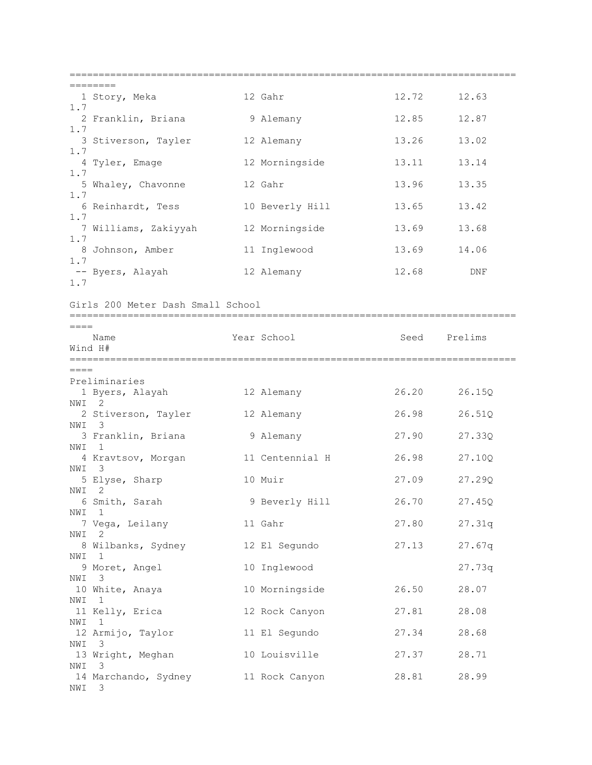| 1.7            | 1 Story, Meka                     | 12 Gahr         | 12.72 | 12.63   |
|----------------|-----------------------------------|-----------------|-------|---------|
| 1.7            | 2 Franklin, Briana                | 9 Alemany       | 12.85 | 12.87   |
| 1.7            | 3 Stiverson, Tayler               | 12 Alemany      | 13.26 | 13.02   |
| 1.7            | 4 Tyler, Emage                    | 12 Morningside  | 13.11 | 13.14   |
| 1.7            | 5 Whaley, Chavonne                | 12 Gahr         | 13.96 | 13.35   |
|                | 6 Reinhardt, Tess                 | 10 Beverly Hill | 13.65 | 13.42   |
| 1.7            | 7 Williams, Zakiyyah              | 12 Morningside  | 13.69 | 13.68   |
| 1.7            | 8 Johnson, Amber                  | 11 Inglewood    | 13.69 | 14.06   |
| 1.7<br>1.7     | -- Byers, Alayah                  | 12 Alemany      | 12.68 | DNF     |
|                | Girls 200 Meter Dash Small School |                 |       |         |
| $====$         |                                   |                 |       |         |
| Wind H#        | Name                              | Year School     | Seed  | Prelims |
|                |                                   |                 |       |         |
| $====$         | Preliminaries                     |                 |       |         |
|                | 1 Byers, Alayah                   | 12 Alemany      | 26.20 | 26.15Q  |
| NWI 2<br>NWI 3 | 2 Stiverson, Tayler               | 12 Alemany      | 26.98 | 26.51Q  |
| NWI 1          | 3 Franklin, Briana                | 9 Alemany       | 27.90 | 27.33Q  |
| NWI 3          | 4 Kravtsov, Morgan                | 11 Centennial H | 26.98 | 27.10Q  |
|                | 5 Elyse, Sharp                    | 10 Muir         | 27.09 | 27.29Q  |
| NWI 2          | 6 Smith, Sarah                    | 9 Beverly Hill  | 26.70 | 27.45Q  |
| NWI 1          | 7 Vega, Leilany                   | 11 Gahr         | 27.80 | 27.31q  |
| NWI            | 2<br>8 Wilbanks, Sydney           | 12 El Segundo   | 27.13 | 27.67q  |
| NWI            | -1<br>9 Moret, Angel              | 10 Inglewood    |       | 27.73q  |
| NWI 3          | 10 White, Anaya                   | 10 Morningside  | 26.50 | 28.07   |
| NWI            | 1<br>11 Kelly, Erica              | 12 Rock Canyon  | 27.81 | 28.08   |
| NWI 1          | 12 Armijo, Taylor                 | 11 El Segundo   | 27.34 | 28.68   |
| NWI            | 3<br>13 Wright, Meghan            | 10 Louisville   | 27.37 | 28.71   |
| NWI<br>NWI 3   | - 3<br>14 Marchando, Sydney       | 11 Rock Canyon  | 28.81 | 28.99   |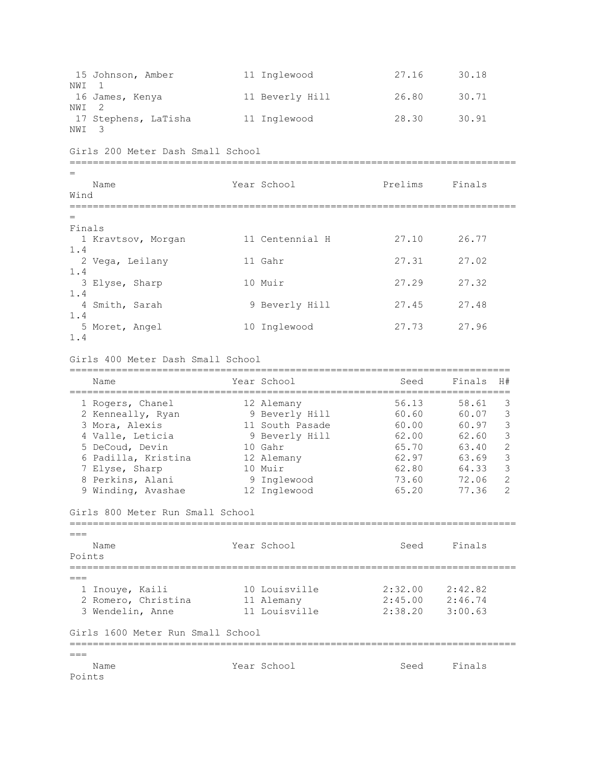15 Johnson, Amber 11 Inglewood 27.16 30.18 NWI 1 16 James, Kenya 11 Beverly Hill 26.80 30.71 NWI 2 17 Stephens, LaTisha 11 Inglewood 28.30 30.91 NWI 3 Girls 200 Meter Dash Small School ============================================================================= = Name Year School Prelims Finals Wind ============================================================================= = Finals 1 Kravtsov, Morgan 11 Centennial H 27.10 26.77 1.4 2 Vega, Leilany 11 Gahr 27.31 27.02 1.4 3 Elyse, Sharp 10 Muir 27.29 27.32 1.4 4 Smith, Sarah 9 Beverly Hill 27.45 27.48 1.4 5 Moret, Angel 10 Inglewood 27.73 27.96 1.4 Girls 400 Meter Dash Small School ============================================================================ Name The Year School Contract Seed Finals H# ============================================================================ 1 Rogers, Chanel 12 Alemany 56.13 58.61 3 2 Kenneally, Ryan 9 Beverly Hill 60.60 60.07 3 3 Mora, Alexis 11 South Pasade 60.00 60.97 3 4 Valle, Leticia 9 Beverly Hill 62.00 62.60 3 5 DeCoud, Devin 10 Gahr 65.70 63.40 2 6 Padilla, Kristina 12 Alemany 62.97 63.69 3 7 Elyse, Sharp 10 Muir 62.80 64.33 3 8 Perkins, Alani 9 Inglewood 73.60 72.06 2 9 Winding, Avashae 12 Inglewood 65.20 77.36 2 Girls 800 Meter Run Small School =============================================================================  $=$ Name Tear School Seed Finals Points =============================================================================  $---$  1 Inouye, Kaili 10 Louisville 2:32.00 2:42.82 2 Romero, Christina 11 Alemany 2:45.00 2:46.74 3 Wendelin, Anne 11 Louisville 2:38.20 3:00.63 Girls 1600 Meter Run Small School =============================================================================  $=$ Name Year School Seed Finals Points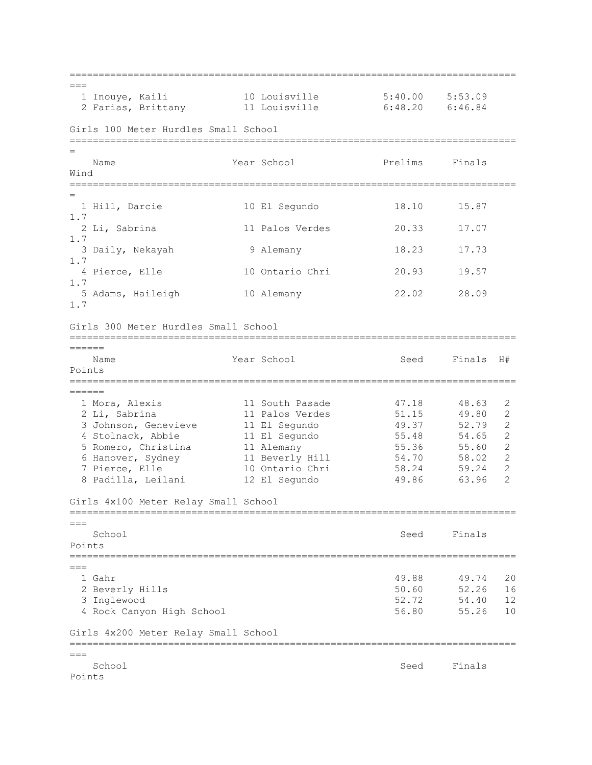=============================================================================  $=$  1 Inouye, Kaili 10 Louisville 5:40.00 5:53.09 2 Farias, Brittany 11 Louisville 6:48.20 6:46.84 Girls 100 Meter Hurdles Small School ============================================================================= = Name **The Year School** Prelims Finals Wind ============================================================================= = 1 Hill, Darcie 10 El Segundo 18.10 15.87 1.7 2 Li, Sabrina 11 Palos Verdes 20.33 17.07 1.7 3 Daily, Nekayah 9 Alemany 18.23 17.73 1.7 4 Pierce, Elle 10 Ontario Chri 20.93 19.57 1.7 5 Adams, Haileigh 10 Alemany 22.02 28.09 1.7 Girls 300 Meter Hurdles Small School ============================================================================= ====== Name Year School Seed Finals H# Points ============================================================================= ====== 1 Mora, Alexis 11 South Pasade 47.18 48.63 2 2 Li, Sabrina 11 Palos Verdes 51.15 49.80 2 3 Johnson, Genevieve 11 El Segundo 49.37 52.79 2 4 Stolnack, Abbie 11 El Segundo 55.48 54.65 2 1 Stolnack, Abbie 19 11 Bibliography<br>
5 Romero, Christina 11 Alemany 11 1 55.36 55.60 2<br>
5 Banover, Sydney 11 Beverly Hill 54.70 58.02 2 6 Hanover, Sydney 11 Beverly Hill 54.70 58.02 2 7 Pierce, Elle 10 Ontario Chri 58.24 59.24 2 8 Padilla, Leilani 12 El Segundo 49.86 63.96 2 Girls 4x100 Meter Relay Small School =============================================================================  $=$ School School Seed Finals Points =============================================================================  $---$  1 Gahr 49.88 49.74 20 2 Beverly Hills 50.60 52.26 16 3 Inglewood 52.72 54.40 12 4 Rock Canyon High School 56.80 55.26 10 Girls 4x200 Meter Relay Small School =============================================================================  $=$ School Seed Finals Points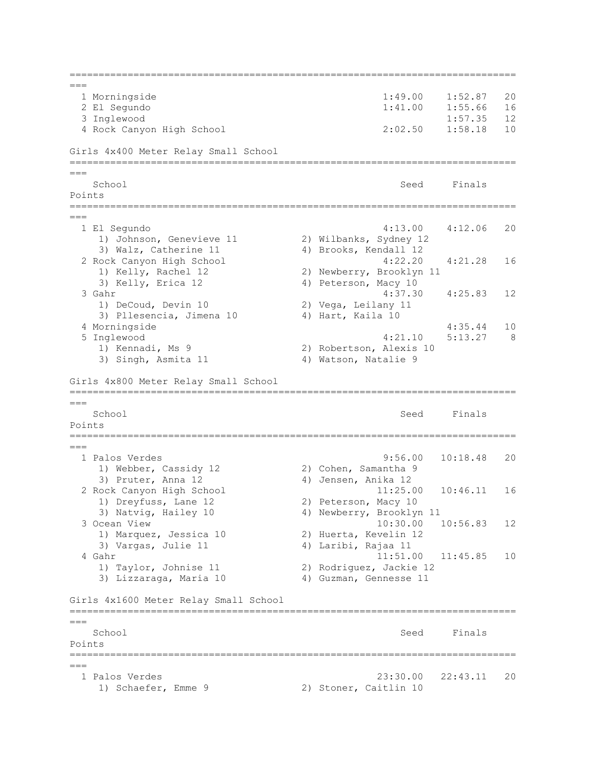```
=============================================================================
= 1 Morningside 1:49.00 1:52.87 20 
  2 El Segundo 1:41.00 1:55.66 16 
  3 Inglewood 1:57.35 12 
  4 Rock Canyon High School 2:02.50 1:58.18 10 
Girls 4x400 Meter Relay Small School
=============================================================================
===
School School Seed Finals
Points
=============================================================================
===
  1 El Segundo 4:13.00 4:12.06 20 
    1) Johnson, Genevieve 11 2) Wilbanks, Sydney 12 
   3) Walz, Catherine 11 4) Brooks, Kendall 12<br>Nock Canyon High School 4:22.20 4:21.28
  2 Rock Canyon High School 4:22.20 4:21.28 16 
    1) Kelly, Rachel 12 2) Newberry, Brooklyn 11 
    3) Kelly, Erica 12 4) Peterson, Macy 10 
  3 Gahr 4:37.30 4:25.83 12 
    1) DeCoud, Devin 10 2) Vega, Leilany 11 
   3) Pllesencia, Jimena 10 4) Hart, Kaila 10
  4 Morningside 4:35.44 10 
  5 Inglewood 4:21.10 5:13.27 8 
    1) Kennadi, Ms 9 2) Robertson, Alexis 10 
   3) Singh, Asmita 11 4) Watson, Natalie 9
Girls 4x800 Meter Relay Small School
=============================================================================
=School School Seed Finals
Points
=============================================================================
===
  1 Palos Verdes 9:56.00 10:18.48 20 
   1) Webber, Cassidy 12 2) Cohen, Samantha 9
   3) Pruter, Anna 12 4) Jensen, Anika 12
  2 Rock Canyon High School 11:25.00 10:46.11 16 
   1) Dreyfuss, Lane 12 2) Peterson, Macy 10
   3) Natvig, Hailey 10 4) Newberry, Brooklyn 11
  3 Ocean View 10:30.00 10:56.83 12 
    1) Marquez, Jessica 10 2) Huerta, Kevelin 12 
    3) Vargas, Julie 11 4) Laribi, Rajaa 11 
 4 Gahr 11:51.00 11:45.85 10
 1) Taylor, Johnise 11 2) Rodriguez, Jackie 12 
 3) Lizzaraga, Maria 10 4) Guzman, Gennesse 11 
Girls 4x1600 Meter Relay Small School
=============================================================================
=School School Seed Finals
Points
=============================================================================
===
  1 Palos Verdes 23:30.00 22:43.11 20 
   1) Schaefer, Emme 9 2) Stoner, Caitlin 10
```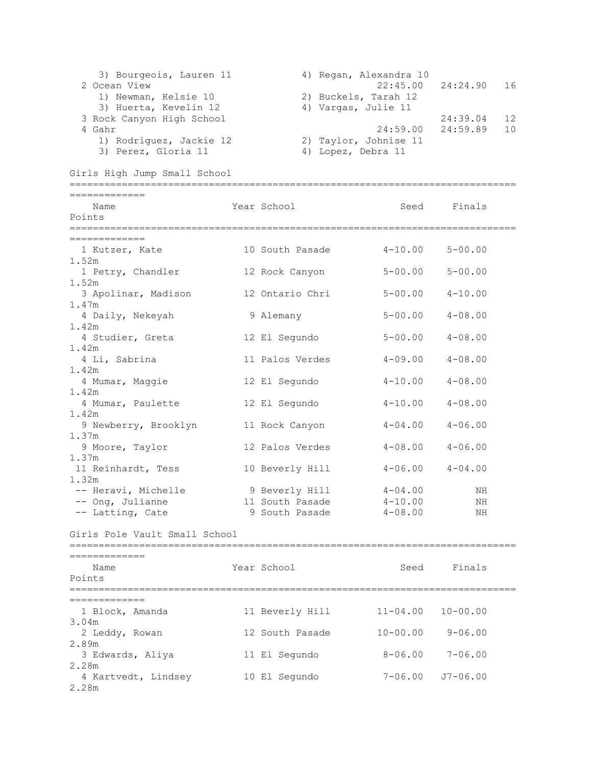```
3) Bourgeois, Lauren 11 (4) Regan, Alexandra 10
 2 Ocean View 22:45.00 24:24.90 16 
 1) Newman, Kelsie 10 2) Buckels, Tarah 12 
3) Huerta, Kevelin 12 (4) Vargas, Julie 11
 3 Rock Canyon High School 24:39.04 12 
  4 Gahr 24:59.00 24:59.89 10 
    1) Rodriguez, Jackie 12 2) Taylor, Johnise 11 
   3) Perez, Gloria 11 4) Lopez, Debra 11
Girls High Jump Small School
=============================================================================
=============
  Name Year School Seed Finals
Points
=============================================================================
=============
 1 Kutzer, Kate 10 South Pasade 4-10.00 5-00.00 
1.52m 
 1 Petry, Chandler 12 Rock Canyon 5-00.00 5-00.00 
1.52m 
  3 Apolinar, Madison 12 Ontario Chri 5-00.00 4-10.00 
1.47m 
  4 Daily, Nekeyah 9 Alemany 5-00.00 4-08.00 
1.42m 
  4 Studier, Greta 12 El Segundo 5-00.00 4-08.00 
1.42m 
  4 Li, Sabrina 11 Palos Verdes 4-09.00 4-08.00 
1.42m 
  4 Mumar, Maggie 12 El Segundo 4-10.00 4-08.00 
1.42m 
  4 Mumar, Paulette 12 El Segundo 4-10.00 4-08.00 
1.42m 
 9 Newberry, Brooklyn 11 Rock Canyon 4-04.00 4-06.00
1.37m 
  9 Moore, Taylor 12 Palos Verdes 4-08.00 4-06.00 
1.37m 
11 Reinhardt, Tess 10 Beverly Hill 4-06.00 4-04.00 
1.32m 
 -- Heravi, Michelle 9 Beverly Hill 4-04.00 NH
 -- Ong, Julianne 11 South Pasade 4-10.00 NH 
 -- Latting, Cate 9 South Pasade 4-08.00 NH
Girls Pole Vault Small School
=============================================================================
=============
  Name Year School Seed Finals
Points
=============================================================================
=============
  1 Block, Amanda 11 Beverly Hill 11-04.00 10-00.00 
3.04m 
  2 Leddy, Rowan 12 South Pasade 10-00.00 9-06.00 
2.89m 
  3 Edwards, Aliya 11 El Segundo 8-06.00 7-06.00 
2.28m 
  4 Kartvedt, Lindsey 10 El Segundo 7-06.00 J7-06.00 
2.28m
```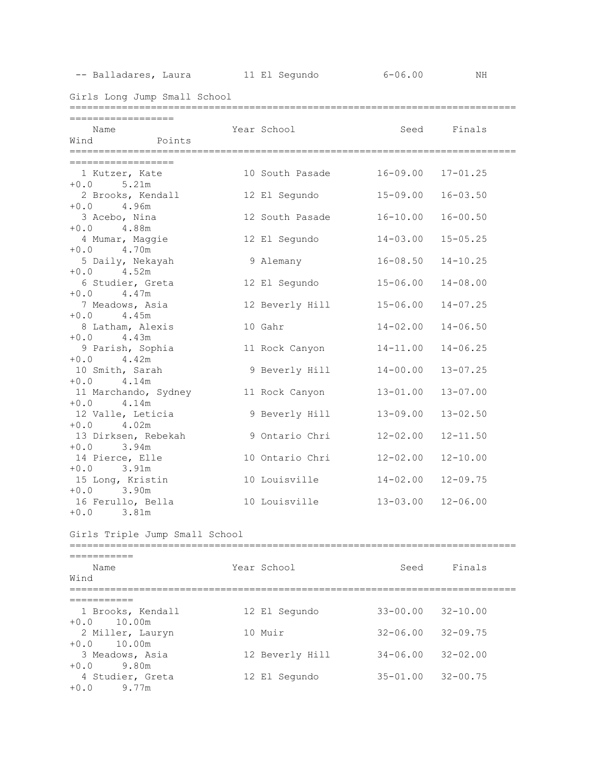-- Balladares, Laura 11 El Segundo 6-06.00 NH

Girls Long Jump Small School

| ==================              |  |                                                   |                           |              |
|---------------------------------|--|---------------------------------------------------|---------------------------|--------------|
| Name                            |  | Year School in the Seed Finals                    |                           |              |
| Wind Points                     |  |                                                   |                           |              |
|                                 |  |                                                   |                           |              |
| ==================              |  |                                                   |                           |              |
| 1 Kutzer, Kate<br>$+0.0$ 5.21m  |  | 10 South Pasade                                   | $16 - 09.00$ $17 - 01.25$ |              |
|                                 |  | 2 Brooks, Kendall 12 El Segundo                   | $15 - 09.00$              | $16 - 03.50$ |
| $+0.0$ 4.96m                    |  |                                                   |                           |              |
| 3 Acebo, Nina                   |  | 12 South Pasade                                   | $16 - 10.00$              | $16 - 00.50$ |
| $+0.0$ 4.88m                    |  |                                                   |                           |              |
| 4 Mumar, Maggie                 |  | 12 El Segundo                                     | $14 - 03.00$ $15 - 05.25$ |              |
| $+0.0$<br>4.70m                 |  |                                                   |                           |              |
| 5 Daily, Nekayah                |  | 9 Alemany                                         | $16 - 08.50$              | $14 - 10.25$ |
| $+0.0$ 4.52m                    |  |                                                   |                           |              |
| 6 Studier, Greta                |  | 12 El Segundo                                     | $15 - 06.00$              | $14 - 08.00$ |
| $+0.0$ 4.47m                    |  |                                                   |                           |              |
| 7 Meadows, Asia<br>$+0.0$ 4.45m |  | 12 Beverly Hill 15-06.00                          |                           | $14 - 07.25$ |
| 8 Latham, Alexis                |  | 10 Gahr                                           | $14 - 02.00$              | $14 - 06.50$ |
| $+0.0$ 4.43m                    |  |                                                   |                           |              |
| 9 Parish, Sophia                |  | 11 Rock Canyon                                    | $14 - 11.00$              | $14 - 06.25$ |
| $+0.0$ 4.42m                    |  |                                                   |                           |              |
| 10 Smith, Sarah                 |  | 9 Beverly Hill                                    | $14 - 00.00$              | $13 - 07.25$ |
| $+0.0$ 4.14m                    |  |                                                   |                           |              |
|                                 |  | 11 Marchando, Sydney               11 Rock Canyon | $13 - 01.00$              | $13 - 07.00$ |
| $+0.0$ 4.14m                    |  |                                                   |                           |              |
| 12 Valle, Leticia               |  | 9 Beverly Hill                                    | $13 - 09.00$              | $13 - 02.50$ |
| $+0.0$ 4.02m                    |  | 13 Dirksen, Rebekah (19 Ontario Chri              | $12 - 02.00$              | $12 - 11.50$ |
| $+0.0$ 3.94m                    |  |                                                   |                           |              |
| 14 Pierce, Elle                 |  | 10 Ontario Chri 12-02.00                          |                           | $12 - 10.00$ |
| $+0.0$ 3.91m                    |  |                                                   |                           |              |
| 15 Long, Kristin                |  | 10 Louisville                                     | $14 - 02.00$              | $12 - 09.75$ |
| $+0.0$ 3.90m                    |  |                                                   |                           |              |
| 16 Ferullo, Bella               |  | 10 Louisville 13-03.00 12-06.00                   |                           |              |
| $+0.0$ 3.81m                    |  |                                                   |                           |              |
|                                 |  |                                                   |                           |              |
| Girls Triple Jump Small School  |  |                                                   |                           |              |
|                                 |  |                                                   |                           |              |
| Name                            |  | Year School                                       | Seed                      | Finals       |
| Wind                            |  |                                                   |                           |              |
|                                 |  |                                                   |                           |              |
| ===========                     |  |                                                   |                           |              |
| 1 Brooks, Kendall               |  | 12 El Segundo                                     | $33 - 00.00$ $32 - 10.00$ |              |
| $+0.0$ 10.00m                   |  |                                                   |                           |              |
| 2 Miller, Lauryn                |  | 10 Muir                                           | $32 - 06.00$ $32 - 09.75$ |              |
| 10.00m<br>$+0.0$                |  |                                                   |                           |              |
| 3 Meadows, Asia<br>$+0.0$ 9.80m |  | 12 Beverly Hill                                   | $34 - 06.00$ $32 - 02.00$ |              |
| 4 Studier, Greta                |  | 12 El Segundo                                     | $35 - 01.00$ $32 - 00.75$ |              |
| $+0.0$ 9.77m                    |  |                                                   |                           |              |
|                                 |  |                                                   |                           |              |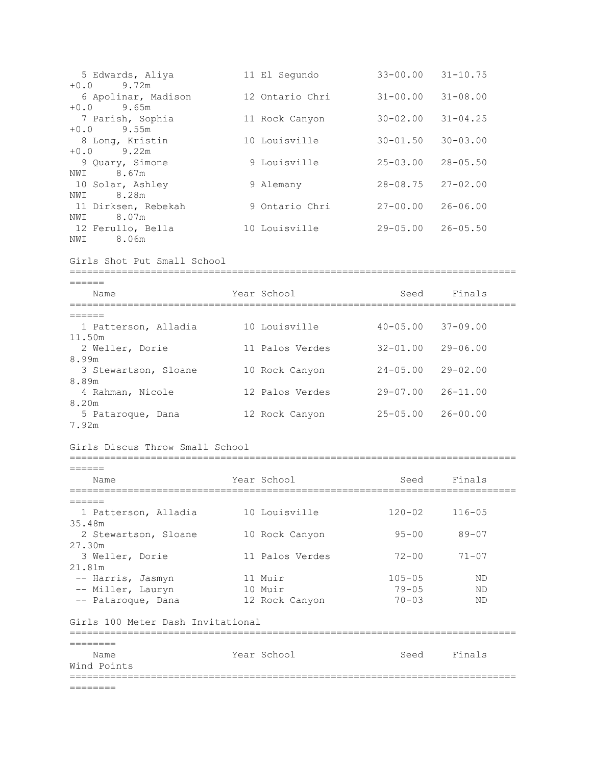| 5 Edwards, Aliya<br>$+0.0$<br>9.72m                   | 11 El Segundo                   | $33 - 00.00$ $31 - 10.75$ |              |  |
|-------------------------------------------------------|---------------------------------|---------------------------|--------------|--|
| 6 Apolinar, Madison<br>$+0.0$ 9.65m                   | 12 Ontario Chri                 | $31 - 00.00$              | $31 - 08.00$ |  |
| 7 Parish, Sophia<br>$+0.0$ 9.55m                      | 11 Rock Canyon                  | $30 - 02.00$              | $31 - 04.25$ |  |
| 8 Long, Kristin<br>$+0.0$ 9.22m                       | 10 Louisville                   | $30 - 01.50$              | $30 - 03.00$ |  |
| 9 Quary, Simone<br>NWI 8.67m                          | 9 Louisville                    | $25 - 03.00$              | $28 - 05.50$ |  |
| 10 Solar, Ashley<br>8.28m<br>NWI                      | 9 Alemany                       | $28 - 08.75$              | $27 - 02.00$ |  |
| 11 Dirksen, Rebekah<br>8.07m<br>NWI                   | 9 Ontario Chri                  | $27 - 00.00$              | $26 - 06.00$ |  |
| 12 Ferullo, Bella<br>8.06m<br>NWI                     | 10 Louisville                   | $29 - 05.00$              | $26 - 05.50$ |  |
| Girls Shot Put Small School                           |                                 |                           |              |  |
| ======<br>Name                                        | Year School                     |                           | Seed Finals  |  |
| ------------------------------                        | :============================== |                           |              |  |
| ======<br>1 Patterson, Alladia 10 Louisville          |                                 | $40 - 05.00$              | $37 - 09.00$ |  |
| 11.50m<br>2 Weller, Dorie                             | 11 Palos Verdes                 | $32 - 01.00$              | $29 - 06.00$ |  |
| 8.99m<br>3 Stewartson, Sloane 10 Rock Canyon<br>8.89m |                                 | $24 - 05.00$              | $29 - 02.00$ |  |
| 4 Rahman, Nicole<br>8.20m                             | 12 Palos Verdes                 | $29 - 07.00$              | $26 - 11.00$ |  |
| 5 Pataroque, Dana<br>7.92m                            | 12 Rock Canyon                  | $25 - 05.00$              | $26 - 00.00$ |  |
| Girls Discus Throw Small School                       |                                 |                           |              |  |
| ======                                                |                                 |                           |              |  |
| Name                                                  | Year School                     | Seed                      | Finals       |  |
|                                                       |                                 |                           |              |  |
| 1 Patterson, Alladia<br>35.48m                        | 10 Louisville                   | $120 - 02$                | $116 - 05$   |  |
| 2 Stewartson, Sloane<br>27.30m                        | 10 Rock Canyon                  | $95 - 00$                 | $89 - 07$    |  |
| 3 Weller, Dorie<br>21.81m                             | 11 Palos Verdes                 | $72 - 00$                 | $71 - 07$    |  |
| -- Harris, Jasmyn                                     | 11 Muir                         | $105 - 05$                | ΝD           |  |
| -- Miller, Lauryn                                     | 10 Muir                         | $79 - 05$                 | ΝD           |  |
| -- Pataroque, Dana                                    | 12 Rock Canyon                  | $70 - 03$                 | ΝD           |  |
| Girls 100 Meter Dash Invitational                     |                                 |                           |              |  |
| ========                                              |                                 |                           |              |  |
| Name<br>Wind Points                                   | Year School                     | Seed                      | Finals       |  |
| ========                                              |                                 |                           |              |  |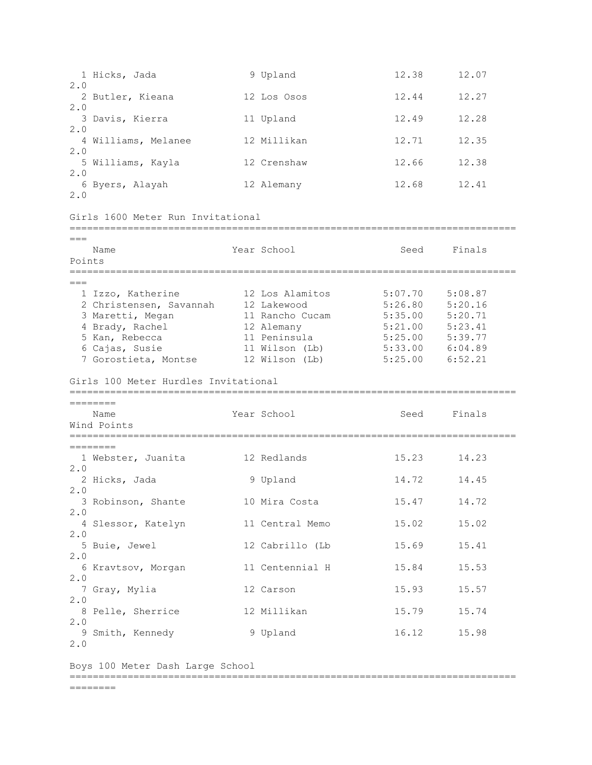|                 | 1 Hicks, Jada                                                                                                                                   | 9 Upland                                                                                                            | 12.38                                                                                                                                             | 12.07       |  |
|-----------------|-------------------------------------------------------------------------------------------------------------------------------------------------|---------------------------------------------------------------------------------------------------------------------|---------------------------------------------------------------------------------------------------------------------------------------------------|-------------|--|
| 2.0             | 2 Butler, Kieana                                                                                                                                | 12 Los Osos                                                                                                         | 12.44                                                                                                                                             | 12.27       |  |
| 2.0             | 3 Davis, Kierra                                                                                                                                 | 11 Upland                                                                                                           | 12.49                                                                                                                                             | 12.28       |  |
| 2.0             | 4 Williams, Melanee                                                                                                                             | 12 Millikan                                                                                                         | 12.71                                                                                                                                             | 12.35       |  |
| 2.0<br>2.0      | 5 Williams, Kayla                                                                                                                               | 12 Crenshaw                                                                                                         | 12.66                                                                                                                                             | 12.38       |  |
| 2.0             | 6 Byers, Alayah                                                                                                                                 | 12 Alemany                                                                                                          | 12.68                                                                                                                                             | 12.41       |  |
|                 | Girls 1600 Meter Run Invitational                                                                                                               |                                                                                                                     |                                                                                                                                                   |             |  |
| $===$<br>Points | Name                                                                                                                                            | Year School                                                                                                         | Seed                                                                                                                                              | Finals      |  |
|                 | 1 Izzo, Katherine<br>2 Christensen, Savannah<br>3 Maretti, Megan<br>4 Brady, Rachel<br>5 Kan, Rebecca<br>6 Cajas, Susie<br>7 Gorostieta, Montse | 12 Los Alamitos<br>12 Lakewood<br>11 Rancho Cucam<br>12 Alemany<br>11 Peninsula<br>11 Wilson (Lb)<br>12 Wilson (Lb) | 5:07.70<br>$5:26.80$ $5:20.16$<br>$5:35.00$ $5:20.71$<br>$5:21.00$ $5:23.41$<br>$5:25.00$ $5:39.77$<br>$5:33.00$ $6:04.89$<br>$5:25.00$ $6:52.21$ | 5:08.87     |  |
|                 | Girls 100 Meter Hurdles Invitational                                                                                                            |                                                                                                                     |                                                                                                                                                   |             |  |
|                 | ========<br>Name<br>Wind Points                                                                                                                 | Year School                                                                                                         | Seed                                                                                                                                              | Finals      |  |
|                 | ====================================<br>========                                                                                                |                                                                                                                     |                                                                                                                                                   |             |  |
| 2.0             | 1 Webster, Juanita                                                                                                                              | 12 Redlands                                                                                                         | 15.23                                                                                                                                             | 14.23       |  |
| 2.0             | 2 Hicks, Jada                                                                                                                                   | 9 Upland                                                                                                            | 14.72                                                                                                                                             | 14.45       |  |
| 2.0             | 3 Robinson, Shante                                                                                                                              | 10 Mira Costa                                                                                                       | 15.47                                                                                                                                             | 14.72       |  |
|                 |                                                                                                                                                 |                                                                                                                     |                                                                                                                                                   |             |  |
|                 | 4 Slessor, Katelyn                                                                                                                              | 11 Central Memo                                                                                                     | 15.02                                                                                                                                             | 15.02       |  |
| 2.0             | 5 Buie, Jewel                                                                                                                                   | 12 Cabrillo (Lb                                                                                                     | 15.69                                                                                                                                             | 15.41       |  |
| 2.0             | 6 Kravtsov, Morgan                                                                                                                              | 11 Centennial H                                                                                                     | 15.84                                                                                                                                             | 15.53       |  |
| 2.0             | 7 Gray, Mylia                                                                                                                                   | 12 Carson                                                                                                           | 15.93                                                                                                                                             | 15.57       |  |
| 2.0             | 8 Pelle, Sherrice                                                                                                                               | 12 Millikan                                                                                                         | 15.79                                                                                                                                             | 15.74       |  |
| 2.0<br>2.0      | 9 Smith, Kennedy                                                                                                                                | 9 Upland                                                                                                            |                                                                                                                                                   | 16.12 15.98 |  |
|                 | Boys 100 Meter Dash Large School                                                                                                                |                                                                                                                     |                                                                                                                                                   |             |  |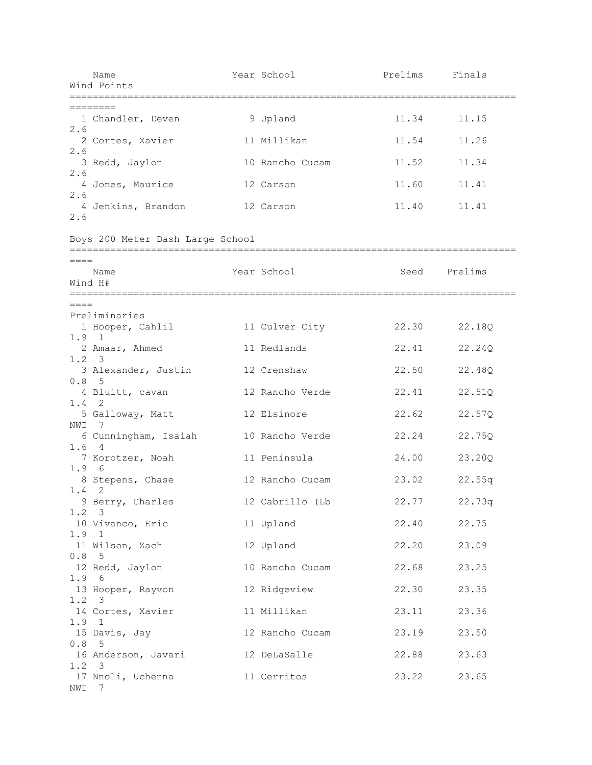|                                   | Name<br>Wind Points               | Year School     | Prelims Finals |              |
|-----------------------------------|-----------------------------------|-----------------|----------------|--------------|
|                                   | ========                          |                 |                |              |
| 2.6                               | 1 Chandler, Deven                 | 9 Upland        | 11.34          | 11.15        |
| 2.6                               | 2 Cortes, Xavier                  | 11 Millikan     | 11.54          | 11.26        |
| 2.6                               | 3 Redd, Jaylon                    | 10 Rancho Cucam | 11.52          | 11.34        |
| 2.6                               | 4 Jones, Maurice                  | 12 Carson       | 11.60          | 11.41        |
| 2.6                               | 4 Jenkins, Brandon                | 12 Carson       | 11.40          | 11.41        |
|                                   | Boys 200 Meter Dash Large School  |                 |                |              |
| $=====$                           | Name<br>Wind H#                   | Year School     |                | Seed Prelims |
| $====$                            |                                   |                 |                |              |
|                                   | Preliminaries<br>1 Hooper, Cahlil | 11 Culver City  | 22.30          | 22.18Q       |
| $1.9 \quad 1$                     | 2 Amaar, Ahmed                    | 11 Redlands     | 22.41          | 22.24Q       |
| $1.2 \quad 3$                     | 3 Alexander, Justin               | 12 Crenshaw     | 22.50          | 22.48Q       |
| 0.8 <sub>5</sub><br>$1.4 \quad 2$ | 4 Bluitt, cavan                   | 12 Rancho Verde | 22.41          | 22.51Q       |
| NWI 7                             | 5 Galloway, Matt                  | 12 Elsinore     | 22.62          | 22.57Q       |
| 1.64                              | 6 Cunningham, Isaiah              | 10 Rancho Verde | 22.24          | 22.75Q       |
| 1.9 6                             | 7 Korotzer, Noah                  | 11 Peninsula    | 24.00          | 23.20Q       |
| $1.4 \quad 2$                     | 8 Stepens, Chase                  | 12 Rancho Cucam | 23.02          | 22.55q       |
| $1.2 \quad 3$                     | 9 Berry, Charles                  | 12 Cabrillo (Lb |                | 22.77 22.73q |
| 1.9 1                             | 10 Vivanco, Eric                  | 11 Upland       |                | 22.40 22.75  |
| 0.85                              | 11 Wilson, Zach                   | 12 Upland       | 22.20          | 23.09        |
| 1.96                              | 12 Redd, Jaylon                   | 10 Rancho Cucam | 22.68          | 23.25        |
| $1.2 \quad 3$                     | 13 Hooper, Rayvon                 | 12 Ridgeview    | 22.30          | 23.35        |
| 1.9 1                             | 14 Cortes, Xavier                 | 11 Millikan     | 23.11          | 23.36        |
| 0.85                              | 15 Davis, Jay                     | 12 Rancho Cucam | 23.19          | 23.50        |
| $1.2 \quad 3$                     | 16 Anderson, Javari 12 DeLaSalle  |                 |                | 22.88 23.63  |
| NWI 7                             | 17 Nnoli, Uchenna                 | 11 Cerritos     | 23.22          | 23.65        |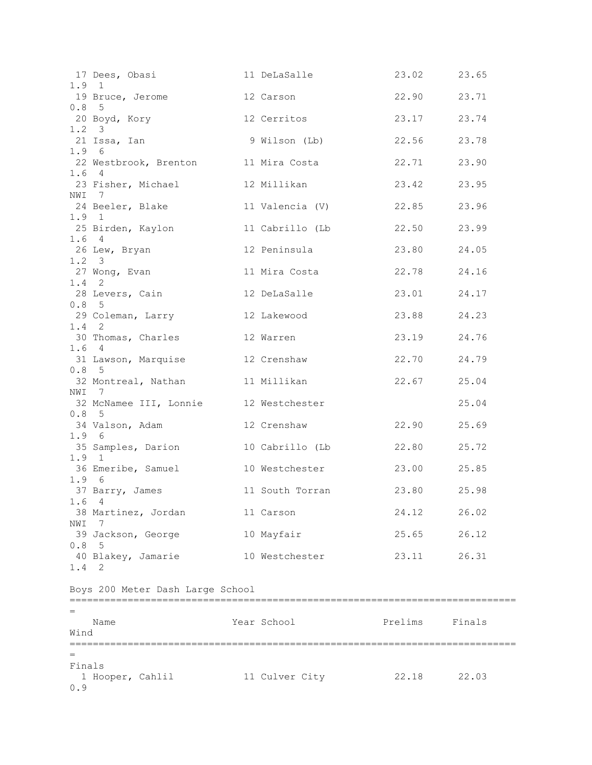| 1.9 1                 | 17 Dees, Obasi 11 DeLaSalle                                          |                 | 23.02 23.65    |       |
|-----------------------|----------------------------------------------------------------------|-----------------|----------------|-------|
|                       | 19 Bruce, Jerome 12 Carson                                           |                 | 22.90 23.71    |       |
| 0.8 <sub>5</sub>      | 20 Boyd, Kory 12 Cerritos                                            |                 | 23.17 23.74    |       |
| $1.2 \quad 3$         | 21 Issa, Ian                 9 Wilson (Lb)           22.56     23.78 |                 |                |       |
| 1.96                  | 22 Westbrook, Brenton 11 Mira Costa                                  |                 | 22.71          | 23.90 |
| 1.64                  | 23 Fisher, Michael 12 Millikan                                       |                 | 23.42          | 23.95 |
| NWI 7                 | 24 Beeler, Blake                                                     | 11 Valencia (V) | 22.85          | 23.96 |
| 1.9 1                 | 25 Birden, Kaylon                                                    | 11 Cabrillo (Lb | 22.50 23.99    |       |
| 1.64<br>$1.2 \quad 3$ | 26 Lew, Bryan                                                        | 12 Peninsula    | 23.80 24.05    |       |
| $1.4 \quad 2$         | 27 Wong, Evan                                                        | 11 Mira Costa   | 22.78 24.16    |       |
| 0.8 <sub>5</sub>      | 28 Levers, Cain                                                      | 12 DeLaSalle    | 23.01 24.17    |       |
| $1.4$ 2               | 29 Coleman, Larry                                                    | 12 Lakewood     | 23.88 24.23    |       |
| 1.64                  | 30 Thomas, Charles                                                   | 12 Warren       | 23.19 24.76    |       |
| 0.85                  | 31 Lawson, Marquise 12 Crenshaw                                      |                 | 22.70          | 24.79 |
| NWI 7                 | 32 Montreal, Nathan 11 Millikan                                      |                 | 22.67 25.04    |       |
| 0.8 <sub>5</sub>      | 32 McNamee III, Lonnie 12 Westchester                                |                 |                | 25.04 |
|                       | 34 Valson, Adam                                                      | 12 Crenshaw     | 22.90 25.69    |       |
| 1.96<br>1.9 1         | 35 Samples, Darion                                                   | 10 Cabrillo (Lb | 22.80 25.72    |       |
|                       | 36 Emeribe, Samuel                                                   | 10 Westchester  | 23.00 25.85    |       |
| 1.96                  | 37 Barry, James 11 South Torran 23.80 25.98<br>1.64                  |                 |                |       |
| NWI                   | 38 Martinez, Jordan                                                  | 11 Carson       | 24.12          | 26.02 |
| 0.8                   | - 7<br>39 Jackson, George                                            | 10 Mayfair      | 25.65          | 26.12 |
| 1.4 2                 | - 5<br>40 Blakey, Jamarie                                            | 10 Westchester  | 23.11          | 26.31 |
|                       | Boys 200 Meter Dash Large School                                     |                 |                |       |
|                       |                                                                      |                 |                |       |
| Wind                  | Name                                                                 | Year School     | Prelims Finals |       |
|                       |                                                                      |                 |                |       |
| Finals                | 1 Hooper, Cahlil                                                     | 11 Culver City  | 22.18 22.03    |       |
| 0.9                   |                                                                      |                 |                |       |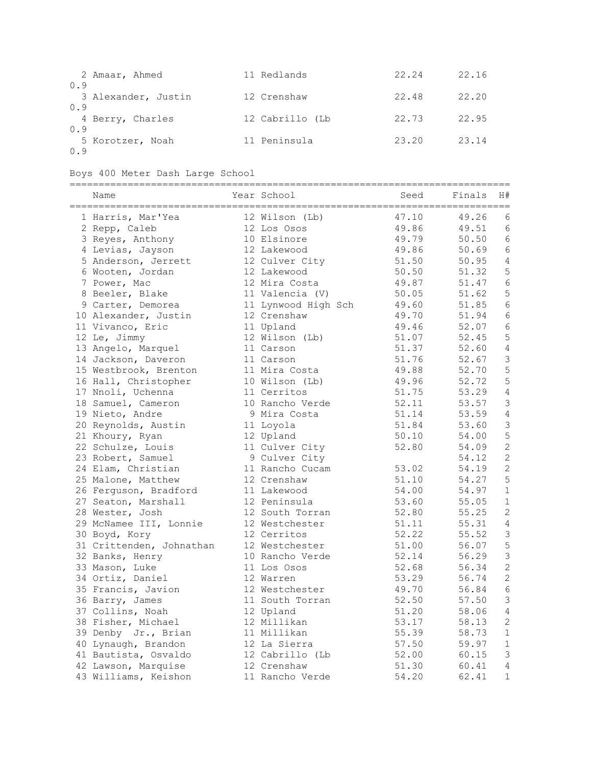| 0.9 | 2 Amaar, Ahmed      | 11 Redlands     | 22.24 | 22.16 |
|-----|---------------------|-----------------|-------|-------|
| 0.9 | 3 Alexander, Justin | 12 Crenshaw     | 22.48 | 22.20 |
| 0.9 | 4 Berry, Charles    | 12 Cabrillo (Lb | 22.73 | 22.95 |
| 0.9 | 5 Korotzer, Noah    | 11 Peninsula    | 23.20 | 23.14 |

Boys 400 Meter Dash Large School

| Name<br>====================== | Year School         | Seed  | Finals | H#             |
|--------------------------------|---------------------|-------|--------|----------------|
| 1 Harris, Mar'Yea              | 12 Wilson (Lb)      | 47.10 | 49.26  | 6              |
| 2 Repp, Caleb                  | 12 Los Osos         | 49.86 | 49.51  | 6              |
| 3 Reyes, Anthony               | 10 Elsinore         | 49.79 | 50.50  | 6              |
| 4 Levias, Jayson               | 12 Lakewood         | 49.86 | 50.69  | 6              |
| 5 Anderson, Jerrett            | 12 Culver City      | 51.50 | 50.95  | 4              |
| 6 Wooten, Jordan               | 12 Lakewood         | 50.50 | 51.32  | 5              |
| 7 Power, Mac                   | 12 Mira Costa       | 49.87 | 51.47  | 6              |
| 8 Beeler, Blake                | 11 Valencia (V)     | 50.05 | 51.62  | 5              |
| 9 Carter, Demorea              | 11 Lynwood High Sch | 49.60 | 51.85  | 6              |
| 10 Alexander, Justin           | 12 Crenshaw         | 49.70 | 51.94  | 6              |
| 11 Vivanco, Eric               | 11 Upland           | 49.46 | 52.07  | $\sqrt{6}$     |
| 12 Le, Jimmy                   | 12 Wilson (Lb)      | 51.07 | 52.45  | 5              |
| 13 Angelo, Marquel             | 11 Carson           | 51.37 | 52.60  | 4              |
| 14 Jackson, Daveron            | 11 Carson           | 51.76 | 52.67  | $\mathsf 3$    |
| 15 Westbrook, Brenton          | 11 Mira Costa       | 49.88 | 52.70  | 5              |
| 16 Hall, Christopher           | 10 Wilson (Lb)      | 49.96 | 52.72  | 5              |
| 17 Nnoli, Uchenna              | 11 Cerritos         | 51.75 | 53.29  | $\sqrt{4}$     |
| 18 Samuel, Cameron             | 10 Rancho Verde     | 52.11 | 53.57  | $\mathsf 3$    |
| 19 Nieto, Andre                | 9 Mira Costa        | 51.14 | 53.59  | $\sqrt{4}$     |
| 20 Reynolds, Austin            | 11 Loyola           | 51.84 | 53.60  | 3              |
| 21 Khoury, Ryan                | 12 Upland           | 50.10 | 54.00  | 5              |
| 22 Schulze, Louis              | 11 Culver City      | 52.80 | 54.09  | $\overline{c}$ |
| 23 Robert, Samuel              | 9 Culver City       |       | 54.12  | $\mathbf{2}$   |
| 24 Elam, Christian             | 11 Rancho Cucam     | 53.02 | 54.19  | $\mathbf{2}$   |
| 25 Malone, Matthew             | 12 Crenshaw         | 51.10 | 54.27  | 5              |
| 26 Ferguson, Bradford          | 11 Lakewood         | 54.00 | 54.97  | $\mathbf 1$    |
| 27 Seaton, Marshall            | 12 Peninsula        | 53.60 | 55.05  | $\mathbf 1$    |
| 28 Wester, Josh                | 12 South Torran     | 52.80 | 55.25  | 2              |
| 29 McNamee III, Lonnie         | 12 Westchester      | 51.11 | 55.31  | 4              |
| 30 Boyd, Kory                  | 12 Cerritos         | 52.22 | 55.52  | 3              |
| 31 Crittenden, Johnathan       | 12 Westchester      | 51.00 | 56.07  | 5              |
| 32 Banks, Henry                | 10 Rancho Verde     | 52.14 | 56.29  | $\mathsf 3$    |
| 33 Mason, Luke                 | 11 Los Osos         | 52.68 | 56.34  | $\sqrt{2}$     |
| 34 Ortiz, Daniel               | 12 Warren           | 53.29 | 56.74  | $\sqrt{2}$     |
| 35 Francis, Javion             | 12 Westchester      | 49.70 | 56.84  | 6              |
| 36 Barry, James                | 11 South Torran     | 52.50 | 57.50  | 3              |
| 37 Collins, Noah               | 12 Upland           | 51.20 | 58.06  | 4              |
| 38 Fisher, Michael             | 12 Millikan         | 53.17 | 58.13  | 2              |
| 39 Denby Jr., Brian            | 11 Millikan         | 55.39 | 58.73  | $\mathbf 1$    |
| 40 Lynaugh, Brandon            | 12 La Sierra        | 57.50 | 59.97  | $\mathbf 1$    |
| 41 Bautista, Osvaldo           | 12 Cabrillo (Lb     | 52.00 | 60.15  | 3              |
| 42 Lawson, Marquise            | 12 Crenshaw         | 51.30 | 60.41  | $\sqrt{4}$     |
| 43 Williams, Keishon           | 11 Rancho Verde     | 54.20 | 62.41  | $\mathbf 1$    |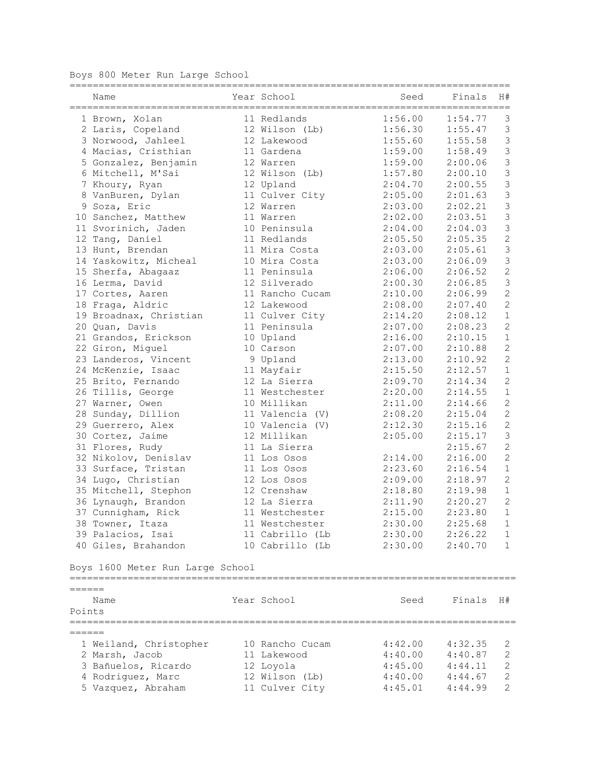Boys 800 Meter Run Large School

| Year School<br>Finals<br>H#<br>Name<br>Seed<br>=====================================<br>;=================================<br>1:56.00<br>11 Redlands<br>1:54.77<br>3<br>1 Brown, Xolan<br>$\mathfrak{Z}$<br>12 Wilson (Lb)<br>1:56.30<br>1:55.47<br>2 Laris, Copeland<br>$\mathfrak{Z}$<br>3 Norwood, Jahleel<br>1:55.60<br>1:55.58<br>12 Lakewood<br>3<br>4 Macias, Cristhian<br>11 Gardena<br>1:59.00<br>1:58.49<br>$\mathfrak{Z}$<br>1:59.00<br>2:00.06<br>5 Gonzalez, Benjamin<br>12 Warren<br>$\mathfrak{Z}$<br>6 Mitchell, M'Sai<br>12 Wilson (Lb)<br>1:57.80<br>2:00.10<br>$\mathfrak{Z}$<br>2:00.55<br>12 Upland<br>2:04.70<br>7 Khoury, Ryan<br>$\mathfrak{Z}$<br>8 VanBuren, Dylan<br>11 Culver City<br>2:05.00<br>2:01.63<br>$\mathfrak{Z}$<br>9 Soza, Eric<br>2:03.00<br>12 Warren<br>2:02.21<br>3<br>2:02.00<br>2:03.51<br>10 Sanchez, Matthew<br>11 Warren<br>3<br>11 Svorinich, Jaden<br>10 Peninsula<br>2:04.00<br>2:04.03<br>$\overline{c}$<br>12 Tang, Daniel<br>2:05.50<br>2:05.35<br>11 Redlands<br>$\mathfrak{Z}$<br>11 Mira Costa<br>2:03.00<br>2:05.61<br>13 Hunt, Brendan<br>3<br>14 Yaskowitz, Micheal<br>2:03.00<br>2:06.09<br>10 Mira Costa<br>$\overline{c}$<br>11 Peninsula<br>2:06.00<br>2:06.52<br>15 Sherfa, Abagaaz<br>$\mathfrak{Z}$<br>16 Lerma, David<br>12 Silverado<br>2:00.30<br>2:06.85<br>$\overline{c}$<br>17 Cortes, Aaren<br>2:10.00<br>2:06.99<br>11 Rancho Cucam<br>$\overline{c}$<br>18 Fraga, Aldric<br>12 Lakewood<br>2:07.40<br>2:08.00<br>$\,1\,$<br>2:14.20<br>2:08.12<br>19 Broadnax, Christian<br>11 Culver City<br>$\mathbf{2}$<br>11 Peninsula<br>2:07.00<br>2:08.23<br>20 Quan, Davis<br>$\,1\,$<br>10 Upland<br>2:16.00<br>2:10.15<br>21 Grandos, Erickson<br>$\mathbf{2}$<br>10 Carson<br>2:07.00<br>2:10.88<br>22 Giron, Miguel<br>$\overline{c}$<br>9 Upland<br>2:13.00<br>23 Landeros, Vincent<br>2:10.92<br>$\,1\,$<br>24 McKenzie, Isaac<br>11 Mayfair<br>2:15.50<br>2:12.57<br>$\sqrt{2}$<br>25 Brito, Fernando<br>12 La Sierra<br>2:09.70<br>2:14.34<br>$\,1\,$<br>26 Tillis, George<br>2:20.00<br>2:14.55<br>11 Westchester<br>$\sqrt{2}$<br>27 Warner, Owen<br>10 Millikan<br>2:11.00<br>2:14.66<br>$\mathbf{2}$<br>28 Sunday, Dillion<br>11 Valencia (V)<br>2:08.20<br>2:15.04<br>$\mathbf{2}$<br>29 Guerrero, Alex<br>10 Valencia (V)<br>2:12.30<br>2:15.16<br>$\mathfrak{Z}$<br>30 Cortez, Jaime<br>12 Millikan<br>2:05.00<br>2:15.17<br>$\overline{c}$<br>11 La Sierra<br>2:15.67<br>31 Flores, Rudy<br>$\overline{c}$<br>32 Nikolov, Denislav<br>2:14.00<br>2:16.00<br>11 Los Osos<br>$\mathbf 1$<br>33 Surface, Tristan<br>2:23.60<br>2:16.54<br>11 Los Osos<br>$\overline{c}$<br>34 Lugo, Christian<br>12 Los Osos<br>2:09.00<br>2:18.97<br>$\,1\,$<br>35 Mitchell, Stephon<br>2:18.80<br>2:19.98<br>12 Crenshaw<br>$\overline{c}$<br>12 La Sierra<br>2:11.90<br>2:20.27<br>36 Lynaugh, Brandon<br>$\mathbf{1}$<br>2:15.00<br>2:23.80<br>37 Cunnigham, Rick<br>11 Westchester<br>2:30.00<br>2:25.68<br>38 Towner, Itaza<br>11 Westchester<br>1<br>39 Palacios, Isai<br>11 Cabrillo (Lb<br>2:30.00<br>2:26.22<br>1<br>40 Giles, Brahandon<br>10 Cabrillo (Lb<br>2:30.00<br>2:40.70<br>1<br>Boys 1600 Meter Run Large School<br>======<br>Year School<br>Seed<br>Finals<br>H#<br>Name<br>Points<br>======<br>1 Weiland, Christopher<br>10 Rancho Cucam<br>4:42.00<br>4:32.35<br>2<br>4:40.00<br>2 Marsh, Jacob<br>11 Lakewood<br>4:40.87<br>2<br>$\sqrt{2}$<br>3 Bañuelos, Ricardo<br>4:45.00<br>12 Loyola<br>4:44.11<br>$\mathbf{2}$<br>4:40.00<br>4 Rodriguez, Marc<br>12 Wilson (Lb)<br>4:44.67<br>5 Vazquez, Abraham<br>2<br>11 Culver City<br>4:45.01<br>4:44.99 |  |  | ================= | ========== |  |
|------------------------------------------------------------------------------------------------------------------------------------------------------------------------------------------------------------------------------------------------------------------------------------------------------------------------------------------------------------------------------------------------------------------------------------------------------------------------------------------------------------------------------------------------------------------------------------------------------------------------------------------------------------------------------------------------------------------------------------------------------------------------------------------------------------------------------------------------------------------------------------------------------------------------------------------------------------------------------------------------------------------------------------------------------------------------------------------------------------------------------------------------------------------------------------------------------------------------------------------------------------------------------------------------------------------------------------------------------------------------------------------------------------------------------------------------------------------------------------------------------------------------------------------------------------------------------------------------------------------------------------------------------------------------------------------------------------------------------------------------------------------------------------------------------------------------------------------------------------------------------------------------------------------------------------------------------------------------------------------------------------------------------------------------------------------------------------------------------------------------------------------------------------------------------------------------------------------------------------------------------------------------------------------------------------------------------------------------------------------------------------------------------------------------------------------------------------------------------------------------------------------------------------------------------------------------------------------------------------------------------------------------------------------------------------------------------------------------------------------------------------------------------------------------------------------------------------------------------------------------------------------------------------------------------------------------------------------------------------------------------------------------------------------------------------------------------------------------------------------------------------------------------------------------------------------------------------------------------------------------------------------------------------------------------------------------------------------------------------------------------------------------------------------------------------------------------------------------------------------------------------------------------------------------------------------------------------------------------------------------------------------------|--|--|-------------------|------------|--|
|                                                                                                                                                                                                                                                                                                                                                                                                                                                                                                                                                                                                                                                                                                                                                                                                                                                                                                                                                                                                                                                                                                                                                                                                                                                                                                                                                                                                                                                                                                                                                                                                                                                                                                                                                                                                                                                                                                                                                                                                                                                                                                                                                                                                                                                                                                                                                                                                                                                                                                                                                                                                                                                                                                                                                                                                                                                                                                                                                                                                                                                                                                                                                                                                                                                                                                                                                                                                                                                                                                                                                                                                                                                |  |  |                   |            |  |
|                                                                                                                                                                                                                                                                                                                                                                                                                                                                                                                                                                                                                                                                                                                                                                                                                                                                                                                                                                                                                                                                                                                                                                                                                                                                                                                                                                                                                                                                                                                                                                                                                                                                                                                                                                                                                                                                                                                                                                                                                                                                                                                                                                                                                                                                                                                                                                                                                                                                                                                                                                                                                                                                                                                                                                                                                                                                                                                                                                                                                                                                                                                                                                                                                                                                                                                                                                                                                                                                                                                                                                                                                                                |  |  |                   |            |  |
|                                                                                                                                                                                                                                                                                                                                                                                                                                                                                                                                                                                                                                                                                                                                                                                                                                                                                                                                                                                                                                                                                                                                                                                                                                                                                                                                                                                                                                                                                                                                                                                                                                                                                                                                                                                                                                                                                                                                                                                                                                                                                                                                                                                                                                                                                                                                                                                                                                                                                                                                                                                                                                                                                                                                                                                                                                                                                                                                                                                                                                                                                                                                                                                                                                                                                                                                                                                                                                                                                                                                                                                                                                                |  |  |                   |            |  |
|                                                                                                                                                                                                                                                                                                                                                                                                                                                                                                                                                                                                                                                                                                                                                                                                                                                                                                                                                                                                                                                                                                                                                                                                                                                                                                                                                                                                                                                                                                                                                                                                                                                                                                                                                                                                                                                                                                                                                                                                                                                                                                                                                                                                                                                                                                                                                                                                                                                                                                                                                                                                                                                                                                                                                                                                                                                                                                                                                                                                                                                                                                                                                                                                                                                                                                                                                                                                                                                                                                                                                                                                                                                |  |  |                   |            |  |
|                                                                                                                                                                                                                                                                                                                                                                                                                                                                                                                                                                                                                                                                                                                                                                                                                                                                                                                                                                                                                                                                                                                                                                                                                                                                                                                                                                                                                                                                                                                                                                                                                                                                                                                                                                                                                                                                                                                                                                                                                                                                                                                                                                                                                                                                                                                                                                                                                                                                                                                                                                                                                                                                                                                                                                                                                                                                                                                                                                                                                                                                                                                                                                                                                                                                                                                                                                                                                                                                                                                                                                                                                                                |  |  |                   |            |  |
|                                                                                                                                                                                                                                                                                                                                                                                                                                                                                                                                                                                                                                                                                                                                                                                                                                                                                                                                                                                                                                                                                                                                                                                                                                                                                                                                                                                                                                                                                                                                                                                                                                                                                                                                                                                                                                                                                                                                                                                                                                                                                                                                                                                                                                                                                                                                                                                                                                                                                                                                                                                                                                                                                                                                                                                                                                                                                                                                                                                                                                                                                                                                                                                                                                                                                                                                                                                                                                                                                                                                                                                                                                                |  |  |                   |            |  |
|                                                                                                                                                                                                                                                                                                                                                                                                                                                                                                                                                                                                                                                                                                                                                                                                                                                                                                                                                                                                                                                                                                                                                                                                                                                                                                                                                                                                                                                                                                                                                                                                                                                                                                                                                                                                                                                                                                                                                                                                                                                                                                                                                                                                                                                                                                                                                                                                                                                                                                                                                                                                                                                                                                                                                                                                                                                                                                                                                                                                                                                                                                                                                                                                                                                                                                                                                                                                                                                                                                                                                                                                                                                |  |  |                   |            |  |
|                                                                                                                                                                                                                                                                                                                                                                                                                                                                                                                                                                                                                                                                                                                                                                                                                                                                                                                                                                                                                                                                                                                                                                                                                                                                                                                                                                                                                                                                                                                                                                                                                                                                                                                                                                                                                                                                                                                                                                                                                                                                                                                                                                                                                                                                                                                                                                                                                                                                                                                                                                                                                                                                                                                                                                                                                                                                                                                                                                                                                                                                                                                                                                                                                                                                                                                                                                                                                                                                                                                                                                                                                                                |  |  |                   |            |  |
|                                                                                                                                                                                                                                                                                                                                                                                                                                                                                                                                                                                                                                                                                                                                                                                                                                                                                                                                                                                                                                                                                                                                                                                                                                                                                                                                                                                                                                                                                                                                                                                                                                                                                                                                                                                                                                                                                                                                                                                                                                                                                                                                                                                                                                                                                                                                                                                                                                                                                                                                                                                                                                                                                                                                                                                                                                                                                                                                                                                                                                                                                                                                                                                                                                                                                                                                                                                                                                                                                                                                                                                                                                                |  |  |                   |            |  |
|                                                                                                                                                                                                                                                                                                                                                                                                                                                                                                                                                                                                                                                                                                                                                                                                                                                                                                                                                                                                                                                                                                                                                                                                                                                                                                                                                                                                                                                                                                                                                                                                                                                                                                                                                                                                                                                                                                                                                                                                                                                                                                                                                                                                                                                                                                                                                                                                                                                                                                                                                                                                                                                                                                                                                                                                                                                                                                                                                                                                                                                                                                                                                                                                                                                                                                                                                                                                                                                                                                                                                                                                                                                |  |  |                   |            |  |
|                                                                                                                                                                                                                                                                                                                                                                                                                                                                                                                                                                                                                                                                                                                                                                                                                                                                                                                                                                                                                                                                                                                                                                                                                                                                                                                                                                                                                                                                                                                                                                                                                                                                                                                                                                                                                                                                                                                                                                                                                                                                                                                                                                                                                                                                                                                                                                                                                                                                                                                                                                                                                                                                                                                                                                                                                                                                                                                                                                                                                                                                                                                                                                                                                                                                                                                                                                                                                                                                                                                                                                                                                                                |  |  |                   |            |  |
|                                                                                                                                                                                                                                                                                                                                                                                                                                                                                                                                                                                                                                                                                                                                                                                                                                                                                                                                                                                                                                                                                                                                                                                                                                                                                                                                                                                                                                                                                                                                                                                                                                                                                                                                                                                                                                                                                                                                                                                                                                                                                                                                                                                                                                                                                                                                                                                                                                                                                                                                                                                                                                                                                                                                                                                                                                                                                                                                                                                                                                                                                                                                                                                                                                                                                                                                                                                                                                                                                                                                                                                                                                                |  |  |                   |            |  |
|                                                                                                                                                                                                                                                                                                                                                                                                                                                                                                                                                                                                                                                                                                                                                                                                                                                                                                                                                                                                                                                                                                                                                                                                                                                                                                                                                                                                                                                                                                                                                                                                                                                                                                                                                                                                                                                                                                                                                                                                                                                                                                                                                                                                                                                                                                                                                                                                                                                                                                                                                                                                                                                                                                                                                                                                                                                                                                                                                                                                                                                                                                                                                                                                                                                                                                                                                                                                                                                                                                                                                                                                                                                |  |  |                   |            |  |
|                                                                                                                                                                                                                                                                                                                                                                                                                                                                                                                                                                                                                                                                                                                                                                                                                                                                                                                                                                                                                                                                                                                                                                                                                                                                                                                                                                                                                                                                                                                                                                                                                                                                                                                                                                                                                                                                                                                                                                                                                                                                                                                                                                                                                                                                                                                                                                                                                                                                                                                                                                                                                                                                                                                                                                                                                                                                                                                                                                                                                                                                                                                                                                                                                                                                                                                                                                                                                                                                                                                                                                                                                                                |  |  |                   |            |  |
|                                                                                                                                                                                                                                                                                                                                                                                                                                                                                                                                                                                                                                                                                                                                                                                                                                                                                                                                                                                                                                                                                                                                                                                                                                                                                                                                                                                                                                                                                                                                                                                                                                                                                                                                                                                                                                                                                                                                                                                                                                                                                                                                                                                                                                                                                                                                                                                                                                                                                                                                                                                                                                                                                                                                                                                                                                                                                                                                                                                                                                                                                                                                                                                                                                                                                                                                                                                                                                                                                                                                                                                                                                                |  |  |                   |            |  |
|                                                                                                                                                                                                                                                                                                                                                                                                                                                                                                                                                                                                                                                                                                                                                                                                                                                                                                                                                                                                                                                                                                                                                                                                                                                                                                                                                                                                                                                                                                                                                                                                                                                                                                                                                                                                                                                                                                                                                                                                                                                                                                                                                                                                                                                                                                                                                                                                                                                                                                                                                                                                                                                                                                                                                                                                                                                                                                                                                                                                                                                                                                                                                                                                                                                                                                                                                                                                                                                                                                                                                                                                                                                |  |  |                   |            |  |
|                                                                                                                                                                                                                                                                                                                                                                                                                                                                                                                                                                                                                                                                                                                                                                                                                                                                                                                                                                                                                                                                                                                                                                                                                                                                                                                                                                                                                                                                                                                                                                                                                                                                                                                                                                                                                                                                                                                                                                                                                                                                                                                                                                                                                                                                                                                                                                                                                                                                                                                                                                                                                                                                                                                                                                                                                                                                                                                                                                                                                                                                                                                                                                                                                                                                                                                                                                                                                                                                                                                                                                                                                                                |  |  |                   |            |  |
|                                                                                                                                                                                                                                                                                                                                                                                                                                                                                                                                                                                                                                                                                                                                                                                                                                                                                                                                                                                                                                                                                                                                                                                                                                                                                                                                                                                                                                                                                                                                                                                                                                                                                                                                                                                                                                                                                                                                                                                                                                                                                                                                                                                                                                                                                                                                                                                                                                                                                                                                                                                                                                                                                                                                                                                                                                                                                                                                                                                                                                                                                                                                                                                                                                                                                                                                                                                                                                                                                                                                                                                                                                                |  |  |                   |            |  |
|                                                                                                                                                                                                                                                                                                                                                                                                                                                                                                                                                                                                                                                                                                                                                                                                                                                                                                                                                                                                                                                                                                                                                                                                                                                                                                                                                                                                                                                                                                                                                                                                                                                                                                                                                                                                                                                                                                                                                                                                                                                                                                                                                                                                                                                                                                                                                                                                                                                                                                                                                                                                                                                                                                                                                                                                                                                                                                                                                                                                                                                                                                                                                                                                                                                                                                                                                                                                                                                                                                                                                                                                                                                |  |  |                   |            |  |
|                                                                                                                                                                                                                                                                                                                                                                                                                                                                                                                                                                                                                                                                                                                                                                                                                                                                                                                                                                                                                                                                                                                                                                                                                                                                                                                                                                                                                                                                                                                                                                                                                                                                                                                                                                                                                                                                                                                                                                                                                                                                                                                                                                                                                                                                                                                                                                                                                                                                                                                                                                                                                                                                                                                                                                                                                                                                                                                                                                                                                                                                                                                                                                                                                                                                                                                                                                                                                                                                                                                                                                                                                                                |  |  |                   |            |  |
|                                                                                                                                                                                                                                                                                                                                                                                                                                                                                                                                                                                                                                                                                                                                                                                                                                                                                                                                                                                                                                                                                                                                                                                                                                                                                                                                                                                                                                                                                                                                                                                                                                                                                                                                                                                                                                                                                                                                                                                                                                                                                                                                                                                                                                                                                                                                                                                                                                                                                                                                                                                                                                                                                                                                                                                                                                                                                                                                                                                                                                                                                                                                                                                                                                                                                                                                                                                                                                                                                                                                                                                                                                                |  |  |                   |            |  |
|                                                                                                                                                                                                                                                                                                                                                                                                                                                                                                                                                                                                                                                                                                                                                                                                                                                                                                                                                                                                                                                                                                                                                                                                                                                                                                                                                                                                                                                                                                                                                                                                                                                                                                                                                                                                                                                                                                                                                                                                                                                                                                                                                                                                                                                                                                                                                                                                                                                                                                                                                                                                                                                                                                                                                                                                                                                                                                                                                                                                                                                                                                                                                                                                                                                                                                                                                                                                                                                                                                                                                                                                                                                |  |  |                   |            |  |
|                                                                                                                                                                                                                                                                                                                                                                                                                                                                                                                                                                                                                                                                                                                                                                                                                                                                                                                                                                                                                                                                                                                                                                                                                                                                                                                                                                                                                                                                                                                                                                                                                                                                                                                                                                                                                                                                                                                                                                                                                                                                                                                                                                                                                                                                                                                                                                                                                                                                                                                                                                                                                                                                                                                                                                                                                                                                                                                                                                                                                                                                                                                                                                                                                                                                                                                                                                                                                                                                                                                                                                                                                                                |  |  |                   |            |  |
|                                                                                                                                                                                                                                                                                                                                                                                                                                                                                                                                                                                                                                                                                                                                                                                                                                                                                                                                                                                                                                                                                                                                                                                                                                                                                                                                                                                                                                                                                                                                                                                                                                                                                                                                                                                                                                                                                                                                                                                                                                                                                                                                                                                                                                                                                                                                                                                                                                                                                                                                                                                                                                                                                                                                                                                                                                                                                                                                                                                                                                                                                                                                                                                                                                                                                                                                                                                                                                                                                                                                                                                                                                                |  |  |                   |            |  |
|                                                                                                                                                                                                                                                                                                                                                                                                                                                                                                                                                                                                                                                                                                                                                                                                                                                                                                                                                                                                                                                                                                                                                                                                                                                                                                                                                                                                                                                                                                                                                                                                                                                                                                                                                                                                                                                                                                                                                                                                                                                                                                                                                                                                                                                                                                                                                                                                                                                                                                                                                                                                                                                                                                                                                                                                                                                                                                                                                                                                                                                                                                                                                                                                                                                                                                                                                                                                                                                                                                                                                                                                                                                |  |  |                   |            |  |
|                                                                                                                                                                                                                                                                                                                                                                                                                                                                                                                                                                                                                                                                                                                                                                                                                                                                                                                                                                                                                                                                                                                                                                                                                                                                                                                                                                                                                                                                                                                                                                                                                                                                                                                                                                                                                                                                                                                                                                                                                                                                                                                                                                                                                                                                                                                                                                                                                                                                                                                                                                                                                                                                                                                                                                                                                                                                                                                                                                                                                                                                                                                                                                                                                                                                                                                                                                                                                                                                                                                                                                                                                                                |  |  |                   |            |  |
|                                                                                                                                                                                                                                                                                                                                                                                                                                                                                                                                                                                                                                                                                                                                                                                                                                                                                                                                                                                                                                                                                                                                                                                                                                                                                                                                                                                                                                                                                                                                                                                                                                                                                                                                                                                                                                                                                                                                                                                                                                                                                                                                                                                                                                                                                                                                                                                                                                                                                                                                                                                                                                                                                                                                                                                                                                                                                                                                                                                                                                                                                                                                                                                                                                                                                                                                                                                                                                                                                                                                                                                                                                                |  |  |                   |            |  |
|                                                                                                                                                                                                                                                                                                                                                                                                                                                                                                                                                                                                                                                                                                                                                                                                                                                                                                                                                                                                                                                                                                                                                                                                                                                                                                                                                                                                                                                                                                                                                                                                                                                                                                                                                                                                                                                                                                                                                                                                                                                                                                                                                                                                                                                                                                                                                                                                                                                                                                                                                                                                                                                                                                                                                                                                                                                                                                                                                                                                                                                                                                                                                                                                                                                                                                                                                                                                                                                                                                                                                                                                                                                |  |  |                   |            |  |
|                                                                                                                                                                                                                                                                                                                                                                                                                                                                                                                                                                                                                                                                                                                                                                                                                                                                                                                                                                                                                                                                                                                                                                                                                                                                                                                                                                                                                                                                                                                                                                                                                                                                                                                                                                                                                                                                                                                                                                                                                                                                                                                                                                                                                                                                                                                                                                                                                                                                                                                                                                                                                                                                                                                                                                                                                                                                                                                                                                                                                                                                                                                                                                                                                                                                                                                                                                                                                                                                                                                                                                                                                                                |  |  |                   |            |  |
|                                                                                                                                                                                                                                                                                                                                                                                                                                                                                                                                                                                                                                                                                                                                                                                                                                                                                                                                                                                                                                                                                                                                                                                                                                                                                                                                                                                                                                                                                                                                                                                                                                                                                                                                                                                                                                                                                                                                                                                                                                                                                                                                                                                                                                                                                                                                                                                                                                                                                                                                                                                                                                                                                                                                                                                                                                                                                                                                                                                                                                                                                                                                                                                                                                                                                                                                                                                                                                                                                                                                                                                                                                                |  |  |                   |            |  |
|                                                                                                                                                                                                                                                                                                                                                                                                                                                                                                                                                                                                                                                                                                                                                                                                                                                                                                                                                                                                                                                                                                                                                                                                                                                                                                                                                                                                                                                                                                                                                                                                                                                                                                                                                                                                                                                                                                                                                                                                                                                                                                                                                                                                                                                                                                                                                                                                                                                                                                                                                                                                                                                                                                                                                                                                                                                                                                                                                                                                                                                                                                                                                                                                                                                                                                                                                                                                                                                                                                                                                                                                                                                |  |  |                   |            |  |
|                                                                                                                                                                                                                                                                                                                                                                                                                                                                                                                                                                                                                                                                                                                                                                                                                                                                                                                                                                                                                                                                                                                                                                                                                                                                                                                                                                                                                                                                                                                                                                                                                                                                                                                                                                                                                                                                                                                                                                                                                                                                                                                                                                                                                                                                                                                                                                                                                                                                                                                                                                                                                                                                                                                                                                                                                                                                                                                                                                                                                                                                                                                                                                                                                                                                                                                                                                                                                                                                                                                                                                                                                                                |  |  |                   |            |  |
|                                                                                                                                                                                                                                                                                                                                                                                                                                                                                                                                                                                                                                                                                                                                                                                                                                                                                                                                                                                                                                                                                                                                                                                                                                                                                                                                                                                                                                                                                                                                                                                                                                                                                                                                                                                                                                                                                                                                                                                                                                                                                                                                                                                                                                                                                                                                                                                                                                                                                                                                                                                                                                                                                                                                                                                                                                                                                                                                                                                                                                                                                                                                                                                                                                                                                                                                                                                                                                                                                                                                                                                                                                                |  |  |                   |            |  |
|                                                                                                                                                                                                                                                                                                                                                                                                                                                                                                                                                                                                                                                                                                                                                                                                                                                                                                                                                                                                                                                                                                                                                                                                                                                                                                                                                                                                                                                                                                                                                                                                                                                                                                                                                                                                                                                                                                                                                                                                                                                                                                                                                                                                                                                                                                                                                                                                                                                                                                                                                                                                                                                                                                                                                                                                                                                                                                                                                                                                                                                                                                                                                                                                                                                                                                                                                                                                                                                                                                                                                                                                                                                |  |  |                   |            |  |
|                                                                                                                                                                                                                                                                                                                                                                                                                                                                                                                                                                                                                                                                                                                                                                                                                                                                                                                                                                                                                                                                                                                                                                                                                                                                                                                                                                                                                                                                                                                                                                                                                                                                                                                                                                                                                                                                                                                                                                                                                                                                                                                                                                                                                                                                                                                                                                                                                                                                                                                                                                                                                                                                                                                                                                                                                                                                                                                                                                                                                                                                                                                                                                                                                                                                                                                                                                                                                                                                                                                                                                                                                                                |  |  |                   |            |  |
|                                                                                                                                                                                                                                                                                                                                                                                                                                                                                                                                                                                                                                                                                                                                                                                                                                                                                                                                                                                                                                                                                                                                                                                                                                                                                                                                                                                                                                                                                                                                                                                                                                                                                                                                                                                                                                                                                                                                                                                                                                                                                                                                                                                                                                                                                                                                                                                                                                                                                                                                                                                                                                                                                                                                                                                                                                                                                                                                                                                                                                                                                                                                                                                                                                                                                                                                                                                                                                                                                                                                                                                                                                                |  |  |                   |            |  |
|                                                                                                                                                                                                                                                                                                                                                                                                                                                                                                                                                                                                                                                                                                                                                                                                                                                                                                                                                                                                                                                                                                                                                                                                                                                                                                                                                                                                                                                                                                                                                                                                                                                                                                                                                                                                                                                                                                                                                                                                                                                                                                                                                                                                                                                                                                                                                                                                                                                                                                                                                                                                                                                                                                                                                                                                                                                                                                                                                                                                                                                                                                                                                                                                                                                                                                                                                                                                                                                                                                                                                                                                                                                |  |  |                   |            |  |
|                                                                                                                                                                                                                                                                                                                                                                                                                                                                                                                                                                                                                                                                                                                                                                                                                                                                                                                                                                                                                                                                                                                                                                                                                                                                                                                                                                                                                                                                                                                                                                                                                                                                                                                                                                                                                                                                                                                                                                                                                                                                                                                                                                                                                                                                                                                                                                                                                                                                                                                                                                                                                                                                                                                                                                                                                                                                                                                                                                                                                                                                                                                                                                                                                                                                                                                                                                                                                                                                                                                                                                                                                                                |  |  |                   |            |  |
|                                                                                                                                                                                                                                                                                                                                                                                                                                                                                                                                                                                                                                                                                                                                                                                                                                                                                                                                                                                                                                                                                                                                                                                                                                                                                                                                                                                                                                                                                                                                                                                                                                                                                                                                                                                                                                                                                                                                                                                                                                                                                                                                                                                                                                                                                                                                                                                                                                                                                                                                                                                                                                                                                                                                                                                                                                                                                                                                                                                                                                                                                                                                                                                                                                                                                                                                                                                                                                                                                                                                                                                                                                                |  |  |                   |            |  |
|                                                                                                                                                                                                                                                                                                                                                                                                                                                                                                                                                                                                                                                                                                                                                                                                                                                                                                                                                                                                                                                                                                                                                                                                                                                                                                                                                                                                                                                                                                                                                                                                                                                                                                                                                                                                                                                                                                                                                                                                                                                                                                                                                                                                                                                                                                                                                                                                                                                                                                                                                                                                                                                                                                                                                                                                                                                                                                                                                                                                                                                                                                                                                                                                                                                                                                                                                                                                                                                                                                                                                                                                                                                |  |  |                   |            |  |
|                                                                                                                                                                                                                                                                                                                                                                                                                                                                                                                                                                                                                                                                                                                                                                                                                                                                                                                                                                                                                                                                                                                                                                                                                                                                                                                                                                                                                                                                                                                                                                                                                                                                                                                                                                                                                                                                                                                                                                                                                                                                                                                                                                                                                                                                                                                                                                                                                                                                                                                                                                                                                                                                                                                                                                                                                                                                                                                                                                                                                                                                                                                                                                                                                                                                                                                                                                                                                                                                                                                                                                                                                                                |  |  |                   |            |  |
|                                                                                                                                                                                                                                                                                                                                                                                                                                                                                                                                                                                                                                                                                                                                                                                                                                                                                                                                                                                                                                                                                                                                                                                                                                                                                                                                                                                                                                                                                                                                                                                                                                                                                                                                                                                                                                                                                                                                                                                                                                                                                                                                                                                                                                                                                                                                                                                                                                                                                                                                                                                                                                                                                                                                                                                                                                                                                                                                                                                                                                                                                                                                                                                                                                                                                                                                                                                                                                                                                                                                                                                                                                                |  |  |                   |            |  |
|                                                                                                                                                                                                                                                                                                                                                                                                                                                                                                                                                                                                                                                                                                                                                                                                                                                                                                                                                                                                                                                                                                                                                                                                                                                                                                                                                                                                                                                                                                                                                                                                                                                                                                                                                                                                                                                                                                                                                                                                                                                                                                                                                                                                                                                                                                                                                                                                                                                                                                                                                                                                                                                                                                                                                                                                                                                                                                                                                                                                                                                                                                                                                                                                                                                                                                                                                                                                                                                                                                                                                                                                                                                |  |  |                   |            |  |
|                                                                                                                                                                                                                                                                                                                                                                                                                                                                                                                                                                                                                                                                                                                                                                                                                                                                                                                                                                                                                                                                                                                                                                                                                                                                                                                                                                                                                                                                                                                                                                                                                                                                                                                                                                                                                                                                                                                                                                                                                                                                                                                                                                                                                                                                                                                                                                                                                                                                                                                                                                                                                                                                                                                                                                                                                                                                                                                                                                                                                                                                                                                                                                                                                                                                                                                                                                                                                                                                                                                                                                                                                                                |  |  |                   |            |  |
|                                                                                                                                                                                                                                                                                                                                                                                                                                                                                                                                                                                                                                                                                                                                                                                                                                                                                                                                                                                                                                                                                                                                                                                                                                                                                                                                                                                                                                                                                                                                                                                                                                                                                                                                                                                                                                                                                                                                                                                                                                                                                                                                                                                                                                                                                                                                                                                                                                                                                                                                                                                                                                                                                                                                                                                                                                                                                                                                                                                                                                                                                                                                                                                                                                                                                                                                                                                                                                                                                                                                                                                                                                                |  |  |                   |            |  |
|                                                                                                                                                                                                                                                                                                                                                                                                                                                                                                                                                                                                                                                                                                                                                                                                                                                                                                                                                                                                                                                                                                                                                                                                                                                                                                                                                                                                                                                                                                                                                                                                                                                                                                                                                                                                                                                                                                                                                                                                                                                                                                                                                                                                                                                                                                                                                                                                                                                                                                                                                                                                                                                                                                                                                                                                                                                                                                                                                                                                                                                                                                                                                                                                                                                                                                                                                                                                                                                                                                                                                                                                                                                |  |  |                   |            |  |
|                                                                                                                                                                                                                                                                                                                                                                                                                                                                                                                                                                                                                                                                                                                                                                                                                                                                                                                                                                                                                                                                                                                                                                                                                                                                                                                                                                                                                                                                                                                                                                                                                                                                                                                                                                                                                                                                                                                                                                                                                                                                                                                                                                                                                                                                                                                                                                                                                                                                                                                                                                                                                                                                                                                                                                                                                                                                                                                                                                                                                                                                                                                                                                                                                                                                                                                                                                                                                                                                                                                                                                                                                                                |  |  |                   |            |  |
|                                                                                                                                                                                                                                                                                                                                                                                                                                                                                                                                                                                                                                                                                                                                                                                                                                                                                                                                                                                                                                                                                                                                                                                                                                                                                                                                                                                                                                                                                                                                                                                                                                                                                                                                                                                                                                                                                                                                                                                                                                                                                                                                                                                                                                                                                                                                                                                                                                                                                                                                                                                                                                                                                                                                                                                                                                                                                                                                                                                                                                                                                                                                                                                                                                                                                                                                                                                                                                                                                                                                                                                                                                                |  |  |                   |            |  |
|                                                                                                                                                                                                                                                                                                                                                                                                                                                                                                                                                                                                                                                                                                                                                                                                                                                                                                                                                                                                                                                                                                                                                                                                                                                                                                                                                                                                                                                                                                                                                                                                                                                                                                                                                                                                                                                                                                                                                                                                                                                                                                                                                                                                                                                                                                                                                                                                                                                                                                                                                                                                                                                                                                                                                                                                                                                                                                                                                                                                                                                                                                                                                                                                                                                                                                                                                                                                                                                                                                                                                                                                                                                |  |  |                   |            |  |
|                                                                                                                                                                                                                                                                                                                                                                                                                                                                                                                                                                                                                                                                                                                                                                                                                                                                                                                                                                                                                                                                                                                                                                                                                                                                                                                                                                                                                                                                                                                                                                                                                                                                                                                                                                                                                                                                                                                                                                                                                                                                                                                                                                                                                                                                                                                                                                                                                                                                                                                                                                                                                                                                                                                                                                                                                                                                                                                                                                                                                                                                                                                                                                                                                                                                                                                                                                                                                                                                                                                                                                                                                                                |  |  |                   |            |  |
|                                                                                                                                                                                                                                                                                                                                                                                                                                                                                                                                                                                                                                                                                                                                                                                                                                                                                                                                                                                                                                                                                                                                                                                                                                                                                                                                                                                                                                                                                                                                                                                                                                                                                                                                                                                                                                                                                                                                                                                                                                                                                                                                                                                                                                                                                                                                                                                                                                                                                                                                                                                                                                                                                                                                                                                                                                                                                                                                                                                                                                                                                                                                                                                                                                                                                                                                                                                                                                                                                                                                                                                                                                                |  |  |                   |            |  |
|                                                                                                                                                                                                                                                                                                                                                                                                                                                                                                                                                                                                                                                                                                                                                                                                                                                                                                                                                                                                                                                                                                                                                                                                                                                                                                                                                                                                                                                                                                                                                                                                                                                                                                                                                                                                                                                                                                                                                                                                                                                                                                                                                                                                                                                                                                                                                                                                                                                                                                                                                                                                                                                                                                                                                                                                                                                                                                                                                                                                                                                                                                                                                                                                                                                                                                                                                                                                                                                                                                                                                                                                                                                |  |  |                   |            |  |
|                                                                                                                                                                                                                                                                                                                                                                                                                                                                                                                                                                                                                                                                                                                                                                                                                                                                                                                                                                                                                                                                                                                                                                                                                                                                                                                                                                                                                                                                                                                                                                                                                                                                                                                                                                                                                                                                                                                                                                                                                                                                                                                                                                                                                                                                                                                                                                                                                                                                                                                                                                                                                                                                                                                                                                                                                                                                                                                                                                                                                                                                                                                                                                                                                                                                                                                                                                                                                                                                                                                                                                                                                                                |  |  |                   |            |  |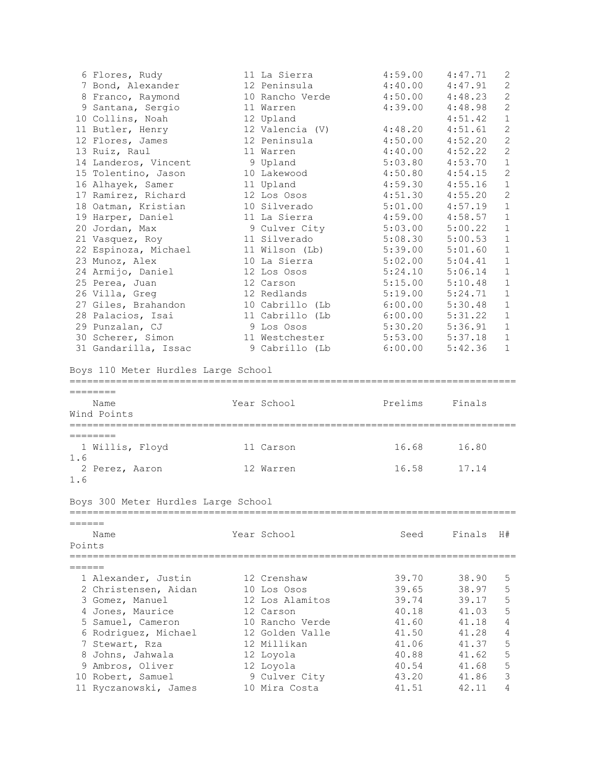|          | 6 Flores, Rudy                      | 11 La Sierra              | 4:59.00 | 4:47.71 | 2              |
|----------|-------------------------------------|---------------------------|---------|---------|----------------|
|          | 7 Bond, Alexander                   | 12 Peninsula              | 4:40.00 | 4:47.91 | $\mathbf{2}$   |
|          | 8 Franco, Raymond                   | 10 Rancho Verde           | 4:50.00 | 4:48.23 | $\overline{c}$ |
|          | 9 Santana, Sergio                   | 11 Warren                 | 4:39.00 | 4:48.98 | $\overline{c}$ |
|          | 10 Collins, Noah                    | 12 Upland                 |         | 4:51.42 | $\mathbf{1}$   |
|          | 11 Butler, Henry                    | 12 Valencia (V)           | 4:48.20 | 4:51.61 | $\mathbf{2}$   |
|          | 12 Flores, James                    | 12 Peninsula              | 4:50.00 | 4:52.20 | $\mathbf{2}$   |
|          | 13 Ruiz, Raul                       | 11 Warren                 | 4:40.00 | 4:52.22 | $\mathbf{2}$   |
|          | 14 Landeros, Vincent                | 9 Upland                  | 5:03.80 | 4:53.70 | $\mathbf{1}$   |
|          | 15 Tolentino, Jason                 | 10 Lakewood               | 4:50.80 | 4:54.15 | $\overline{2}$ |
|          | 16 Alhayek, Samer                   | 11 Upland                 | 4:59.30 | 4:55.16 | $\mathbf{1}$   |
|          | 17 Ramirez, Richard                 | 12 Los Osos               | 4:51.30 | 4:55.20 | 2              |
|          | 18 Oatman, Kristian                 | 10 Silverado              | 5:01.00 | 4:57.19 | $\mathbf{1}$   |
|          | 19 Harper, Daniel                   | 11 La Sierra              | 4:59.00 | 4:58.57 | $\mathbf{1}$   |
|          | 20 Jordan, Max                      | 9 Culver City             | 5:03.00 | 5:00.22 | $\mathbf{1}$   |
|          | 21 Vasquez, Roy                     | 11 Silverado              | 5:08.30 | 5:00.53 | $\mathbf 1$    |
|          | 22 Espinoza, Michael                | 11 Wilson (Lb)            | 5:39.00 | 5:01.60 | $\mathbf 1$    |
|          | 23 Munoz, Alex                      | 10 La Sierra              | 5:02.00 | 5:04.41 | $\mathbf{1}$   |
|          | 24 Armijo, Daniel                   | 12 Los Osos               | 5:24.10 | 5:06.14 | $\mathbf{1}$   |
|          | 25 Perea, Juan                      | 12 Carson                 | 5:15.00 | 5:10.48 | $\mathbf{1}$   |
|          | 26 Villa, Greg                      | 12 Redlands               | 5:19.00 | 5:24.71 | $\mathbf{1}$   |
|          | 27 Giles, Brahandon                 | 10 Cabrillo (Lb           | 6:00.00 | 5:30.48 | $\mathbf{1}$   |
|          | 28 Palacios, Isai                   | 11 Cabrillo (Lb           | 6:00.00 | 5:31.22 | $\mathbf{1}$   |
|          | 29 Punzalan, CJ                     | 9 Los Osos                | 5:30.20 | 5:36.91 | $\mathbf{1}$   |
|          | 30 Scherer, Simon                   | 11 Westchester            | 5:53.00 | 5:37.18 | $\mathbf{1}$   |
|          | 31 Gandarilla, Issac                | 9 Cabrillo (Lb            | 6:00.00 | 5:42.36 | $\mathbf{1}$   |
|          |                                     |                           |         |         |                |
| ======== | Name                                | Year School               | Prelims | Finals  |                |
|          | Wind Points                         |                           |         |         |                |
|          | ===============                     | ;=====================    |         |         |                |
| ======== |                                     |                           |         |         |                |
|          | 1 Willis, Floyd                     | 11 Carson                 | 16.68   | 16.80   |                |
| 1.6      |                                     |                           |         |         |                |
| 1.6      | 2 Perez, Aaron                      | 12 Warren                 | 16.58   | 17.14   |                |
|          |                                     |                           |         |         |                |
|          | Boys 300 Meter Hurdles Large School |                           |         |         |                |
| ——————   |                                     |                           |         |         |                |
|          |                                     |                           |         |         |                |
|          | Name                                | Year School               | Seed    | Finals  | H#             |
| Points   |                                     | ========================= |         |         |                |
|          |                                     |                           |         |         |                |
|          | 1 Alexander, Justin                 | 12 Crenshaw               | 39.70   | 38.90   | 5              |
|          | 2 Christensen, Aidan                | 10 Los Osos               | 39.65   | 38.97   | 5              |
|          | 3 Gomez, Manuel                     | 12 Los Alamitos           | 39.74   | 39.17   | 5              |
|          | 4 Jones, Maurice                    | 12 Carson                 | 40.18   | 41.03   | 5              |
|          | 5 Samuel, Cameron                   | 10 Rancho Verde           | 41.60   | 41.18   | $\overline{4}$ |
|          | 6 Rodriguez, Michael                | 12 Golden Valle           | 41.50   | 41.28   | 4              |
|          | 7 Stewart, Rza                      | 12 Millikan               | 41.06   | 41.37   | 5              |
|          | 8 Johns, Jahwala                    | 12 Loyola                 | 40.88   | 41.62   | 5              |
|          | 9 Ambros, Oliver                    | 12 Loyola                 | 40.54   | 41.68   | 5              |
|          | 10 Robert, Samuel                   | 9 Culver City             | 43.20   | 41.86   | $\mathsf 3$    |
|          | 11 Ryczanowski, James               | 10 Mira Costa             | 41.51   | 42.11   | 4              |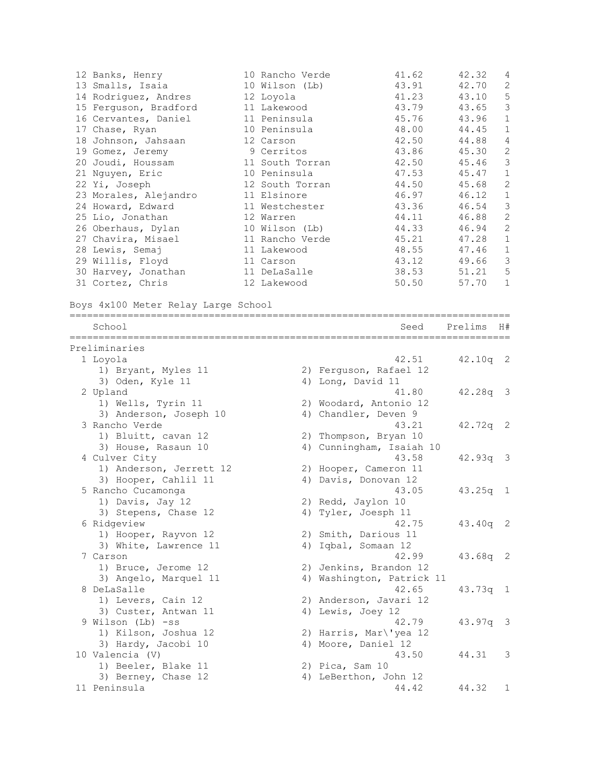| 12 Banks, Henry<br>13 Smalls, Isaia<br>14 Rodriguez, Andres<br>15 Ferguson, Bradford<br>16 Cervantes, Daniel<br>17 Chase, Ryan<br>18 Johnson, Jahsaan<br>19 Gomez, Jeremy<br>20 Joudi, Houssam<br>21 Nguyen, Eric<br>22 Yi, Joseph<br>23 Morales, Alejandro<br>24 Howard, Edward<br>25 Lio, Jonathan<br>26 Oberhaus, Dylan<br>27 Chavira, Misael<br>28 Lewis, Semaj<br>29 Willis, Floyd<br>30 Harvey, Jonathan<br>31 Cortez, Chris<br>Boys 4x100 Meter Relay Large School | 10 Rancho Verde<br>10 Wilson (Lb)<br>12 Loyola<br>11 Lakewood<br>11 Peninsula<br>10 Peninsula<br>12 Carson<br>9 Cerritos<br>11 South Torran<br>10 Peninsula<br>12 South Torran<br>11 Elsinore<br>11 Westchester<br>12 Warren<br>10 Wilson (Lb)<br>11 Rancho Verde<br>11 Lakewood<br>11 Carson<br>11 DeLaSalle<br>12 Lakewood | 41.62<br>43.91<br>41.23<br>43.79<br>45.76<br>48.00<br>42.50<br>43.86<br>42.50<br>47.53<br>44.50<br>46.97<br>43.36<br>44.11<br>44.33<br>45.21<br>48.55<br>43.12<br>38.53<br>50.50 | 42.32<br>42.70<br>43.10<br>43.65<br>43.96<br>44.45<br>44.88<br>45.30<br>45.46<br>45.47<br>45.68<br>46.12<br>46.54<br>46.88<br>46.94<br>47.28<br>47.46<br>49.66<br>51.21<br>57.70 | 4<br>2<br>5<br>3<br>$\mathbf{1}$<br>$\mathbf{1}$<br>4<br>$\sqrt{2}$<br>3<br>$\mathbf{1}$<br>$\mathbf{2}$<br>$\mathbf 1$<br>$\mathsf 3$<br>$\overline{c}$<br>$\overline{2}$<br>$\mathbf 1$<br>$\mathbf 1$<br>3<br>5<br>$\mathbf{1}$ |
|---------------------------------------------------------------------------------------------------------------------------------------------------------------------------------------------------------------------------------------------------------------------------------------------------------------------------------------------------------------------------------------------------------------------------------------------------------------------------|------------------------------------------------------------------------------------------------------------------------------------------------------------------------------------------------------------------------------------------------------------------------------------------------------------------------------|----------------------------------------------------------------------------------------------------------------------------------------------------------------------------------|----------------------------------------------------------------------------------------------------------------------------------------------------------------------------------|------------------------------------------------------------------------------------------------------------------------------------------------------------------------------------------------------------------------------------|
| School                                                                                                                                                                                                                                                                                                                                                                                                                                                                    |                                                                                                                                                                                                                                                                                                                              | Seed                                                                                                                                                                             | Prelims                                                                                                                                                                          | H#                                                                                                                                                                                                                                 |
| Preliminaries                                                                                                                                                                                                                                                                                                                                                                                                                                                             |                                                                                                                                                                                                                                                                                                                              |                                                                                                                                                                                  |                                                                                                                                                                                  |                                                                                                                                                                                                                                    |
| 1 Loyola                                                                                                                                                                                                                                                                                                                                                                                                                                                                  |                                                                                                                                                                                                                                                                                                                              | 42.51                                                                                                                                                                            | $42.10q$ 2                                                                                                                                                                       |                                                                                                                                                                                                                                    |
| 1) Bryant, Myles 11                                                                                                                                                                                                                                                                                                                                                                                                                                                       | 2) Ferguson, Rafael 12                                                                                                                                                                                                                                                                                                       |                                                                                                                                                                                  |                                                                                                                                                                                  |                                                                                                                                                                                                                                    |
| 3) Oden, Kyle 11                                                                                                                                                                                                                                                                                                                                                                                                                                                          | 4) Long, David 11                                                                                                                                                                                                                                                                                                            | 41.80                                                                                                                                                                            |                                                                                                                                                                                  |                                                                                                                                                                                                                                    |
| 2 Upland<br>1) Wells, Tyrin 11                                                                                                                                                                                                                                                                                                                                                                                                                                            | 2) Woodard, Antonio 12                                                                                                                                                                                                                                                                                                       |                                                                                                                                                                                  | $42.28q$ 3                                                                                                                                                                       |                                                                                                                                                                                                                                    |
| 3) Anderson, Joseph 10                                                                                                                                                                                                                                                                                                                                                                                                                                                    | 4) Chandler, Deven 9                                                                                                                                                                                                                                                                                                         |                                                                                                                                                                                  |                                                                                                                                                                                  |                                                                                                                                                                                                                                    |
| 3 Rancho Verde                                                                                                                                                                                                                                                                                                                                                                                                                                                            |                                                                                                                                                                                                                                                                                                                              | 43.21                                                                                                                                                                            | 42.72q                                                                                                                                                                           | 2                                                                                                                                                                                                                                  |
| 1) Bluitt, cavan 12                                                                                                                                                                                                                                                                                                                                                                                                                                                       | 2) Thompson, Bryan 10                                                                                                                                                                                                                                                                                                        |                                                                                                                                                                                  |                                                                                                                                                                                  |                                                                                                                                                                                                                                    |
| 3) House, Rasaun 10                                                                                                                                                                                                                                                                                                                                                                                                                                                       | 4) Cunningham, Isaiah 10                                                                                                                                                                                                                                                                                                     |                                                                                                                                                                                  |                                                                                                                                                                                  |                                                                                                                                                                                                                                    |
| 4 Culver City                                                                                                                                                                                                                                                                                                                                                                                                                                                             |                                                                                                                                                                                                                                                                                                                              | 43.58                                                                                                                                                                            | $42.93q$ 3                                                                                                                                                                       |                                                                                                                                                                                                                                    |
| 1) Anderson, Jerrett 12                                                                                                                                                                                                                                                                                                                                                                                                                                                   | 2) Hooper, Cameron 11                                                                                                                                                                                                                                                                                                        |                                                                                                                                                                                  |                                                                                                                                                                                  |                                                                                                                                                                                                                                    |
| 3) Hooper, Cahlil 11                                                                                                                                                                                                                                                                                                                                                                                                                                                      | 4) Davis, Donovan 12                                                                                                                                                                                                                                                                                                         |                                                                                                                                                                                  |                                                                                                                                                                                  |                                                                                                                                                                                                                                    |
| 5 Rancho Cucamonga<br>1) Davis, Jay 12                                                                                                                                                                                                                                                                                                                                                                                                                                    | 2) Redd, Jaylon 10                                                                                                                                                                                                                                                                                                           | 43.05                                                                                                                                                                            | 43.25q                                                                                                                                                                           | $\mathbf{1}$                                                                                                                                                                                                                       |
| 3) Stepens, Chase 12                                                                                                                                                                                                                                                                                                                                                                                                                                                      | 4) Tyler, Joesph 11                                                                                                                                                                                                                                                                                                          |                                                                                                                                                                                  |                                                                                                                                                                                  |                                                                                                                                                                                                                                    |
| 6 Ridgeview                                                                                                                                                                                                                                                                                                                                                                                                                                                               |                                                                                                                                                                                                                                                                                                                              | 42.75                                                                                                                                                                            | 43.40q 2                                                                                                                                                                         |                                                                                                                                                                                                                                    |
| 1) Hooper, Rayvon 12                                                                                                                                                                                                                                                                                                                                                                                                                                                      | 2) Smith, Darious 11                                                                                                                                                                                                                                                                                                         |                                                                                                                                                                                  |                                                                                                                                                                                  |                                                                                                                                                                                                                                    |
| 3) White, Lawrence 11                                                                                                                                                                                                                                                                                                                                                                                                                                                     | 4) Iqbal, Somaan 12                                                                                                                                                                                                                                                                                                          |                                                                                                                                                                                  |                                                                                                                                                                                  |                                                                                                                                                                                                                                    |
| 7 Carson                                                                                                                                                                                                                                                                                                                                                                                                                                                                  |                                                                                                                                                                                                                                                                                                                              | 42.99                                                                                                                                                                            | 43.68q 2                                                                                                                                                                         |                                                                                                                                                                                                                                    |
| 1) Bruce, Jerome 12                                                                                                                                                                                                                                                                                                                                                                                                                                                       | 2) Jenkins, Brandon 12                                                                                                                                                                                                                                                                                                       |                                                                                                                                                                                  |                                                                                                                                                                                  |                                                                                                                                                                                                                                    |
| 3) Angelo, Marquel 11                                                                                                                                                                                                                                                                                                                                                                                                                                                     | 4) Washington, Patrick 11                                                                                                                                                                                                                                                                                                    |                                                                                                                                                                                  |                                                                                                                                                                                  |                                                                                                                                                                                                                                    |
| 8 DeLaSalle<br>1) Levers, Cain 12                                                                                                                                                                                                                                                                                                                                                                                                                                         |                                                                                                                                                                                                                                                                                                                              | 42.65                                                                                                                                                                            | $43.73q$ 1                                                                                                                                                                       |                                                                                                                                                                                                                                    |
| 3) Custer, Antwan 11                                                                                                                                                                                                                                                                                                                                                                                                                                                      | 2) Anderson, Javari 12<br>4) Lewis, Joey 12                                                                                                                                                                                                                                                                                  |                                                                                                                                                                                  |                                                                                                                                                                                  |                                                                                                                                                                                                                                    |
| 9 Wilson (Lb) -ss                                                                                                                                                                                                                                                                                                                                                                                                                                                         |                                                                                                                                                                                                                                                                                                                              | 42.79                                                                                                                                                                            | 43.97q                                                                                                                                                                           | $\overline{\mathbf{3}}$                                                                                                                                                                                                            |
| 1) Kilson, Joshua 12                                                                                                                                                                                                                                                                                                                                                                                                                                                      | 2) Harris, Mar\'yea 12                                                                                                                                                                                                                                                                                                       |                                                                                                                                                                                  |                                                                                                                                                                                  |                                                                                                                                                                                                                                    |
| 3) Hardy, Jacobi 10                                                                                                                                                                                                                                                                                                                                                                                                                                                       | 4) Moore, Daniel 12                                                                                                                                                                                                                                                                                                          |                                                                                                                                                                                  |                                                                                                                                                                                  |                                                                                                                                                                                                                                    |
| 10 Valencia (V)                                                                                                                                                                                                                                                                                                                                                                                                                                                           |                                                                                                                                                                                                                                                                                                                              | 43.50                                                                                                                                                                            | 44.31                                                                                                                                                                            | 3                                                                                                                                                                                                                                  |
| 1) Beeler, Blake 11                                                                                                                                                                                                                                                                                                                                                                                                                                                       | 2) Pica, Sam 10                                                                                                                                                                                                                                                                                                              |                                                                                                                                                                                  |                                                                                                                                                                                  |                                                                                                                                                                                                                                    |
|                                                                                                                                                                                                                                                                                                                                                                                                                                                                           |                                                                                                                                                                                                                                                                                                                              |                                                                                                                                                                                  |                                                                                                                                                                                  |                                                                                                                                                                                                                                    |
| 3) Berney, Chase 12<br>11 Peninsula                                                                                                                                                                                                                                                                                                                                                                                                                                       | 4) LeBerthon, John 12                                                                                                                                                                                                                                                                                                        | 44.42                                                                                                                                                                            | 44.32                                                                                                                                                                            | 1                                                                                                                                                                                                                                  |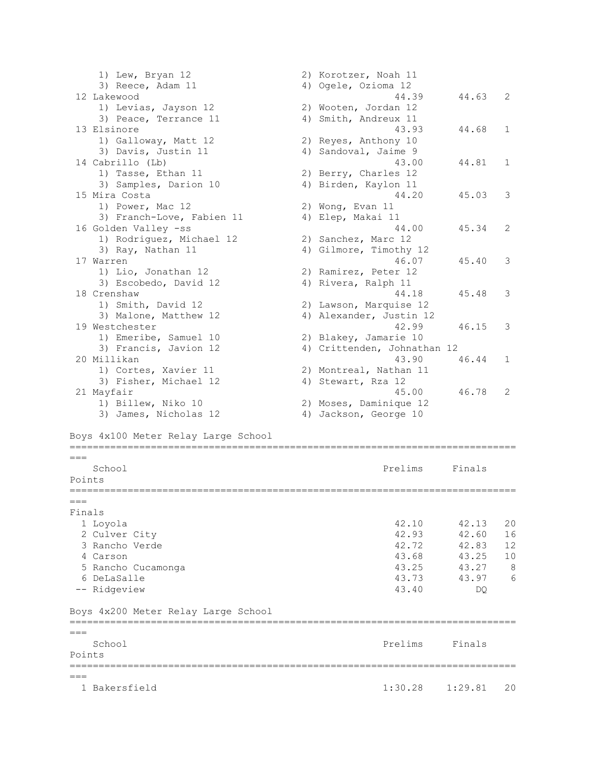1) Lew, Bryan 12 2) Korotzer, Noah 11 3) Reece, Adam 11 4) Ogele, Ozioma 12 12 Lakewood 44.39 44.63 2 1) Levias, Jayson 12 2) Wooten, Jordan 12 3) Peace, Terrance 11 4) Smith, Andreux 11 13 Elsinore 43.93 44.68 1 1) Galloway, Matt 12 2) Reyes, Anthony 10 3) Davis, Justin 11 (4) Sandoval, Jaime 9 14 Cabrillo (Lb) 43.00 44.81 1 1) Tasse, Ethan 11 2) Berry, Charles 12 3) Samples, Darion 10 4) Birden, Kaylon 11 15 Mira Costa 44.20 45.03 3 1) Power, Mac 12 2) Wong, Evan 11 3) Franch-Love, Fabien 11 (4) Elep, Makai 11 16 Golden Valley -ss 44.00 45.34 2 1) Rodriguez, Michael 12 2) Sanchez, Marc 12<br>1) Rodriguez, Michael 12 2, Sanchez, Marc 12 3) Ray, Nathan 11 4) Gilmore, Timothy 12 17 Warren 46.07 45.40 3 1) Lio, Jonathan 12 2) Ramirez, Peter 12 3) Escobedo, David 12 (4) Rivera, Ralph 11 18 Crenshaw 44.18 45.48 3 1) Smith, David 12 2) Lawson, Marquise 12 3) Malone, Matthew 12 4) Alexander, Justin 12 19 Westchester 42.99 46.15 3<br>1) Emeribe, Samuel 10 2) Blakey, Jamarie 10 1) Emeribe, Samuel 10 2) Blakey, Jamarie 10 3) Francis, Javion 12 4) Crittenden, Johnathan 12 20 Millikan 43.90 46.44 1 1) Cortes, Xavier 11 2) Montreal, Nathan 11 3) Fisher, Michael 12 (4) Stewart, Rza 12 21 Mayfair 45.00 46.78 2 1) Billew, Niko 10 2) Moses, Daminique 12 3) James, Nicholas 12 4) Jackson, George 10 Boys 4x100 Meter Relay Large School =============================================================================  $---$ School **Prelims** Finals Points =============================================================================  $=$ Finals 1 Loyola 42.10 42.13 20<br>
2 Culver City 42.03 42.60 16 2 Culver City 3 Rancho Verde 42.72 42.83 12 4 Carson 43.68 43.25 10 5 Rancho Cucamonga 43.25 43.27 8 6 DeLaSalle 43.73 43.97 6 -- Ridgeview 43.40 DQ Boys 4x200 Meter Relay Large School =============================================================================  $=$ School **Prelims** Finals Points ============================================================================= === 1 Bakersfield 1:30.28 1:29.81 20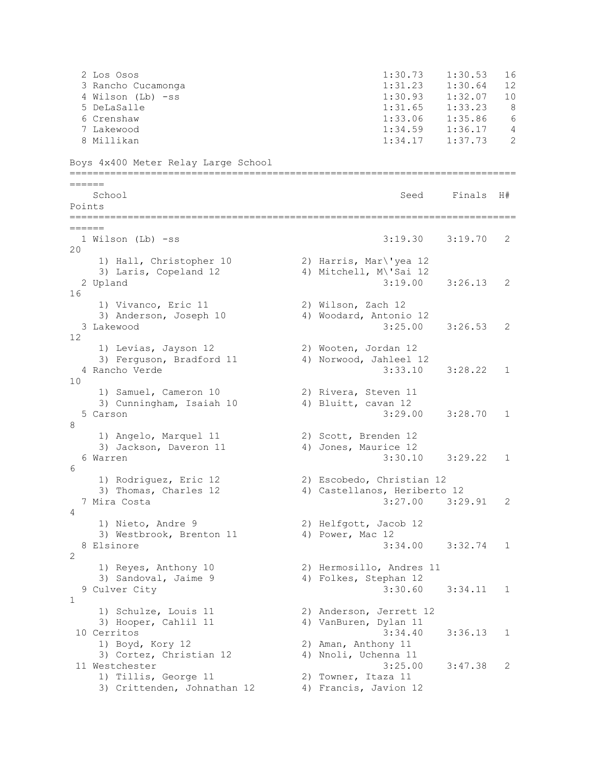2 Los Osos 1:30.73 1:30.53 16 3 Rancho Cucamonga 1:31.23 1:30.64 12 4 Wilson (Lb) -ss 1:30.93 1:32.07 10 5 DeLaSalle 1:31.65 1:33.23 8 6 Crenshaw 1:33.06 1:35.86 6 7 Lakewood 1:34.59 1:36.17 4 8 Millikan 1:34.17 1:37.73 2 Boys 4x400 Meter Relay Large School ============================================================================= ====== School Seed Finals H# Points ============================================================================= ====== 1 Wilson (Lb) -ss 3:19.30 3:19.70 2 20 1) Hall, Christopher 10 2) Harris, Mar\'yea 12 3) Laris, Copeland 12 4) Mitchell, M\'Sai 12 2 Upland 3:19.00 3:26.13 2 16 1) Vivanco, Eric 11 2) Wilson, Zach 12 3) Anderson, Joseph 10 4) Woodard, Antonio 12 3 Lakewood 3:25.00 3:26.53 2 12 1) Levias, Jayson 12 2) Wooten, Jordan 12 3) Ferguson, Bradford 11 4) Norwood, Jahleel 12 4 Rancho Verde 3:33.10 3:28.22 1 10 1) Samuel, Cameron 10 2) Rivera, Steven 11 3) Cunningham, Isaiah 10 4) Bluitt, cavan 12 5 Carson 3:29.00 3:28.70 1 8 1) Angelo, Marquel 11 2) Scott, Brenden 12 3) Jackson, Daveron 11 4) Jones, Maurice 12 6 Warren 3:30.10 3:29.22 1  $6 \overline{6}$  1) Rodriguez, Eric 12 2) Escobedo, Christian 12 3) Thomas, Charles 12 4) Castellanos, Heriberto 12 7 Mira Costa 3:27.00 3:29.91 2 4 1) Nieto, Andre 9 2) Helfgott, Jacob 12 3) Westbrook, Brenton 11 4) Power, Mac 12 8 Elsinore 3:34.00 3:32.74 1  $\mathfrak{D}$  1) Reyes, Anthony 10 2) Hermosillo, Andres 11 3) Sandoval, Jaime 9 4) Folkes, Stephan 12 9 Culver City 3:30.60 3:34.11 1 1 1) Schulze, Louis 11 2) Anderson, Jerrett 12 3) Hooper, Cahlil 11 4) VanBuren, Dylan 11 10 Cerritos 3:34.40 3:36.13 1 1) Boyd, Kory 12 2) Aman, Anthony 11 3) Cortez, Christian 12 4) Nnoli, Uchenna 11 11 Westchester 3:25.00 3:47.38 2 1) Tillis, George 11 2) Towner, Itaza 11 3) Crittenden, Johnathan 12 4) Francis, Javion 12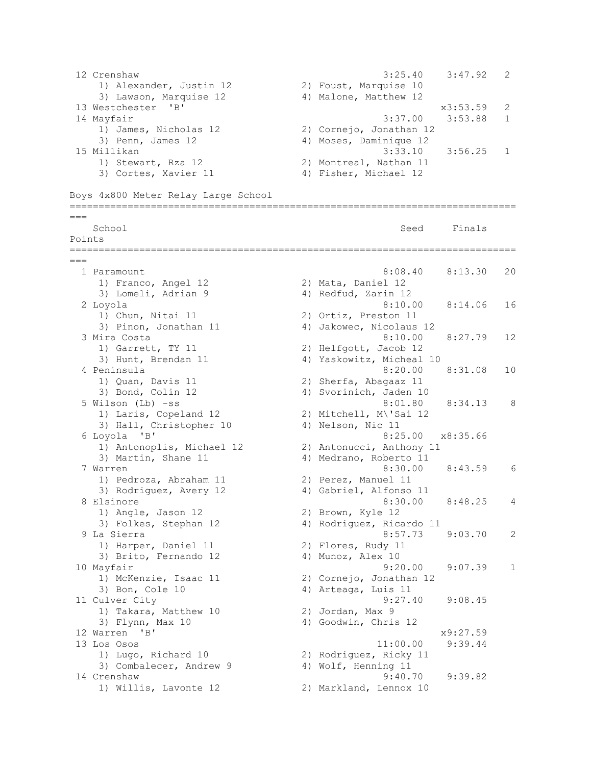12 Crenshaw 3:25.40 3:47.92 2 1) Alexander, Justin 12 2) Foust, Marquise 10 3) Lawson, Marquise 12 4) Malone, Matthew 12 13 Westchester 'B' x3:53.59 2 14 Mayfair 3:37.00 3:53.88 1 1) James, Nicholas 12 2) Cornejo, Jonathan 12 3) Penn, James 12 4) Moses, Daminique 12 15 Millikan 3:33.10 3:56.25 1 1) Stewart, Rza 12 2) Montreal, Nathan 11 3) Cortes, Xavier 11 (4) Fisher, Michael 12 Boys 4x800 Meter Relay Large School ============================================================================= === School Seed Finals Points ============================================================================= === 1 Paramount 8:08.40 8:13.30 20 1) Franco, Angel 12 2) Mata, Daniel 12 3) Lomeli, Adrian 9 4) Redfud, Zarin 12 2 Loyola 8:10.00 8:14.06 16 1) Chun, Nitai 11 2) Ortiz, Preston 11<br>3) Pinon, Jonathan 11 4) Jakowec, Nicolaus 12 3) Pinon, Jonathan 11 4) Jakowec, Nicolaus 12 3 Mira Costa 8:10.00 8:27.79 12 1) Garrett, TY 11 2) Helfgott, Jacob 12 3) Hunt, Brendan 11 4) Yaskowitz, Micheal 10 4 Peninsula 8:20.00 8:31.08 10 1) Quan, Davis 11 2) Sherfa, Abagaaz 11 3) Bond, Colin 12 4) Svorinich, Jaden 10 5 Wilson (Lb) -ss 8:01.80 8:34.13 8 1) Laris, Copeland 12 2) Mitchell, M\'Sai 12 3) Hall, Christopher 10 4) Nelson, Nic 11 6 Loyola 'B' 8:25.00 x8:35.66 1) Antonoplis, Michael 12 2) Antonucci, Anthony 11 3) Martin, Shane 11 4) Medrano, Roberto 11 7 Warren 8:30.00 8:43.59 6 1) Pedroza, Abraham 11 2) Perez, Manuel 11 3) Rodriguez, Avery 12 4) Gabriel, Alfonso 11 8 Elsinore 8:30.00 8:48.25 4 1) Angle, Jason 12 2) Brown, Kyle 12 3) Folkes, Stephan 12 (2) 4) Rodriguez, Ricardo 11 9 La Sierra 8:57.73 9:03.70 2 1) Harper, Daniel 11 2) Flores, Rudy 11 3) Brito, Fernando 12 (4) Munoz, Alex 10 10 Mayfair 9:20.00 9:07.39 1 1) McKenzie, Isaac 11 2) Cornejo, Jonathan 12 3) Bon, Cole 10 4) Arteaga, Luis 11 11 Culver City 9:27.40 9:08.45 9.2<br>
1) Takara, Matthew 10 2) Jordan, Max 9<br>
3) Flynn. Max 10 30 4) Goodwin. Chris 3) Flynn, Max 10 4) Goodwin, Chris 12 12 Warren 'B' x9:27.59 13 Los Osos 11:00.00 9:39.44 1) Lugo, Richard 10 2) Rodriguez, Ricky 11 3) Combalecer, Andrew 9 4) Wolf, Henning 11 14 Crenshaw 9:40.70 9:39.82 1) Willis, Lavonte 12 2) Markland, Lennox 10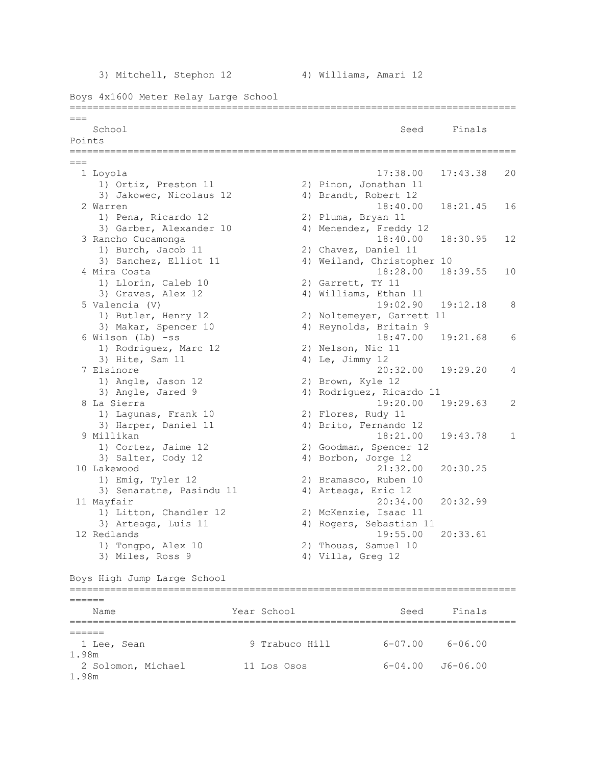3) Mitchell, Stephon 12 4) Williams, Amari 12

Boys 4x1600 Meter Relay Large School =============================================================================  $=$ School School Seed Finals Points =============================================================================  $=$  1 Loyola 17:38.00 17:43.38 20 1) Ortiz, Preston 11 2) Pinon, Jonathan 11 3) Jakowec, Nicolaus 12 4) Brandt, Robert 12 2 Warren 18:40.00 18:21.45 16 1) Pena, Ricardo 12 2) Pluma, Bryan 11 3) Garber, Alexander 10 4) Menendez, Freddy 12 3 Rancho Cucamonga 18:40.00 18:30.95 12 1) Burch, Jacob 11 2) Chavez, Daniel 11 3) Sanchez, Elliot 11 4) Weiland, Christopher 10 4 Mira Costa 18:28.00 18:39.55 10 1) Llorin, Caleb 10 2) Garrett, TY 11 3) Graves, Alex 12 4) Williams, Ethan 11 5 Valencia (V) 19:02.90 19:12.18 8 1) Butler, Henry 12 2) Noltemeyer, Garrett 11 3) Makar, Spencer 10 (4) Reynolds, Britain 9 6 Wilson (Lb) -ss 18:47.00 19:21.68 6 1) Rodriguez, Marc 12 2) Nelson, Nic 11 3) Hite, Sam 11 4) Le, Jimmy 12 7 Elsinore 20:32.00 19:29.20 4 1) Angle, Jason 12 2) Brown, Kyle 12 3) Angle, Jared 9 4) Rodriguez, Ricardo 11 8 La Sierra 19:20.00 19:29.63 2 1) Lagunas, Frank 10 2) Flores, Rudy 11 3) Harper, Daniel 11 4) Brito, Fernando 12 9 Millikan 18:21.00 19:43.78 1 1) Cortez, Jaime 12 2) Goodman, Spencer 12<br>3) Salter Cody 12 4) Borbon Jorge 12 3) Salter, Cody 12 4) Borbon, Jorge 12 10 Lakewood 21:32.00 20:30.25 1) Emig, Tyler 12 2) Bramasco, Ruben 10 3) Senaratne, Pasindu 11 4) Arteaga, Eric 12 11 Mayfair 20:34.00 20:32.99 1) Litton, Chandler 12 2) McKenzie, Isaac 11 1) Litton, Chandler 12 (2) McKenzie, Isaac 11<br>3) Arteaga, Luis 11 (4) Rogers, Sebastian 11 12 Redlands 19:55.00 20:33.61 1) Tongpo, Alex 10 2) Thouas, Samuel 10 3) Miles, Ross 9 4) Villa, Greg 12 Boys High Jump Large School =============================================================================  $=$ Name Year School Seed Finals ============================================================================= ====== 1 Lee, Sean 9 Trabuco Hill 6-07.00 6-06.00 1.98m 2 Solomon, Michael 11 Los Osos 6-04.00 J6-06.00 1.98m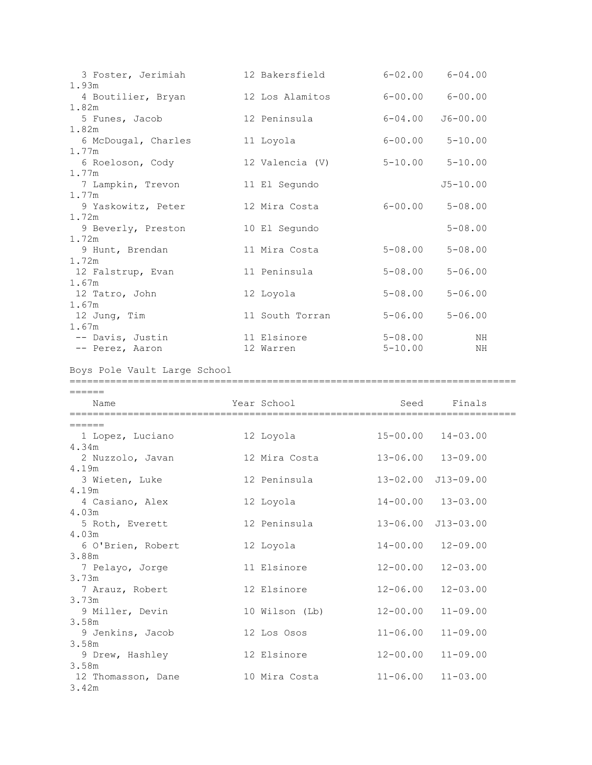| 3 Foster, Jerimiah           | 12 Bakersfield  | $6 - 02.00$ $6 - 04.00$ |              |
|------------------------------|-----------------|-------------------------|--------------|
| 1.93m                        |                 |                         |              |
| 4 Boutilier, Bryan           | 12 Los Alamitos | $6 - 00.00$ $6 - 00.00$ |              |
| 1.82m                        |                 |                         |              |
| 5 Funes, Jacob               | 12 Peninsula    | $6 - 04.00$             | $J6 - 00.00$ |
| 1.82m                        |                 | $6 - 00.00$ $5 - 10.00$ |              |
| 6 McDougal, Charles<br>1.77m | 11 Loyola       |                         |              |
| 6 Roeloson, Cody             | 12 Valencia (V) | $5 - 10.00$ $5 - 10.00$ |              |
| 1.77m                        |                 |                         |              |
| 7 Lampkin, Trevon            | 11 El Segundo   |                         | $J5 - 10.00$ |
| 1.77m                        |                 |                         |              |
| 9 Yaskowitz, Peter           | 12 Mira Costa   | $6 - 00.00$             | $5 - 08.00$  |
| 1.72m                        |                 |                         |              |
| 9 Beverly, Preston           | 10 El Segundo   |                         | $5 - 08.00$  |
| 1.72m                        |                 |                         |              |
| 9 Hunt, Brendan              | 11 Mira Costa   | $5 - 08.00$             | $5 - 08.00$  |
| 1.72m                        |                 |                         |              |
| 12 Falstrup, Evan<br>1.67m   | 11 Peninsula    | $5 - 08.00$             | $5 - 06.00$  |
| 12 Tatro, John               | 12 Loyola       | $5 - 08.00$             | $5 - 06.00$  |
| 1.67m                        |                 |                         |              |
| 12 Jung, Tim                 | 11 South Torran | $5 - 06.00$             | $5 - 06.00$  |
| 1.67m                        |                 |                         |              |
| -- Davis, Justin             | 11 Elsinore     | $5 - 08.00$             | NH           |
| -- Perez, Aaron              | 12 Warren       | $5 - 10.00$             | ΝH           |

Boys Pole Vault Large School

======

| Name               | Year School    | Seed         | Finals                     |  |
|--------------------|----------------|--------------|----------------------------|--|
| =====              |                |              |                            |  |
| 1 Lopez, Luciano   | 12 Loyola      | $15 - 00.00$ | $14 - 03.00$               |  |
| 4.34m              |                |              |                            |  |
| 2 Nuzzolo, Javan   | 12 Mira Costa  | $13 - 06.00$ | $13 - 09.00$               |  |
| 4.19m              |                |              |                            |  |
| 3 Wieten, Luke     | 12 Peninsula   |              | $13 - 02.00$ $J13 - 09.00$ |  |
| 4.19m              |                |              |                            |  |
| 4 Casiano, Alex    | 12 Loyola      |              | $14 - 00.00$ $13 - 03.00$  |  |
| 4.03m              |                |              |                            |  |
| 5 Roth, Everett    | 12 Peninsula   |              | 13-06.00 J13-03.00         |  |
| 4.03m              |                |              |                            |  |
| 6 O'Brien, Robert  | 12 Loyola      | $14 - 00.00$ | $12 - 09.00$               |  |
| 3.88m              |                |              |                            |  |
| 7 Pelayo, Jorge    | 11 Elsinore    | $12 - 00.00$ | $12 - 03.00$               |  |
| 3.73m              |                |              |                            |  |
| 7 Arauz, Robert    | 12 Elsinore    | $12 - 06.00$ | $12 - 03.00$               |  |
| 3.73m              |                |              |                            |  |
| 9 Miller, Devin    | 10 Wilson (Lb) | $12 - 00.00$ | $11 - 09.00$               |  |
| 3.58m              |                |              |                            |  |
| 9 Jenkins, Jacob   | 12 Los Osos    | $11 - 06.00$ | $11 - 09.00$               |  |
| 3.58m              |                |              |                            |  |
| 9 Drew, Hashley    | 12 Elsinore    | $12 - 00.00$ | $11 - 09.00$               |  |
| 3.58m              |                |              |                            |  |
| 12 Thomasson, Dane | 10 Mira Costa  | $11 - 06.00$ | $11 - 03.00$               |  |
| 3.42m              |                |              |                            |  |

=============================================================================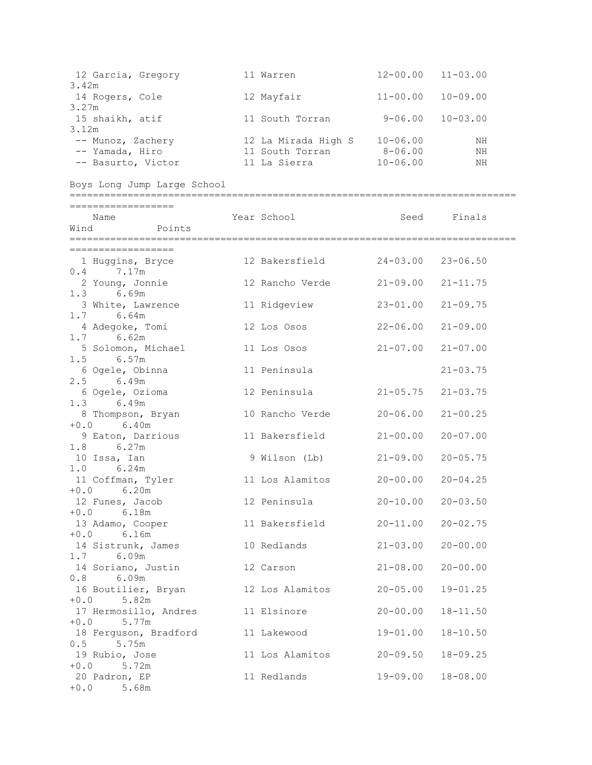| 12 Garcia, Gregory 11 Warren 12-00.00 11-03.00<br>3.42m          |                                   |                           |                |
|------------------------------------------------------------------|-----------------------------------|---------------------------|----------------|
| 3.27m                                                            |                                   | $11 - 00.00$              | $10 - 09.00$   |
| 15 shaikh, atif<br>3.12m                                         | 11 South Torran                   | $9 - 06.00$ $10 - 03.00$  |                |
| -- Basurto, Victor                                               | 11 La Sierra $10-06.00$           |                           | ΝH<br>NH<br>ΝH |
| Boys Long Jump Large School                                      |                                   |                           |                |
| ==================<br>Name<br>Wind Points                        | Year School                       | Seed                      | Finals         |
| ==================                                               |                                   |                           |                |
| 1 Huggins, Bryce 12 Bakersfield 24-03.00 23-06.50<br>$0.4$ 7.17m |                                   |                           |                |
| 2 Young, Jonnie<br>$1.3$ 6.69m                                   | 12 Rancho Verde 21-09.00 21-11.75 |                           |                |
| 3 White, Lawrence<br>$1.7$ 6.64m                                 | 11 Ridgeview                      | 23-01.00 21-09.75         |                |
| 4 Adegoke, Tomi<br>$1.7$ 6.62m                                   | 12 Los Osos                       | $22 - 06.00$              | $21 - 09.00$   |
| 5 Solomon, Michael<br>$1.5$ 6.57m                                | 11 Los Osos                       | $21 - 07.00$              | $21 - 07.00$   |
| 6 Ogele, Obinna<br>2.5 6.49m                                     | 11 Peninsula                      |                           | $21 - 03.75$   |
| 6 Ogele, Ozioma<br>1.3 6.49m                                     | 12 Peninsula                      | $21 - 05.75$ $21 - 03.75$ |                |
| 8 Thompson, Bryan<br>$+0.0$ 6.40m                                | 10 Rancho Verde                   | $20 - 06.00$              | $21 - 00.25$   |
| 9 Eaton, Darrious<br>$1.8$ 6.27m                                 | 11 Bakersfield                    | $21 - 00.00$              | $20 - 07.00$   |
| 10 Issa, Ian<br>$1.0$ 6.24m                                      | 9 Wilson (Lb)                     | $21 - 09.00$ $20 - 05.75$ |                |
| 11 Coffman, Tyler<br>$+0.0$ 6.20m                                | 11 Los Alamitos 20-00.00 20-04.25 |                           |                |
| 12 Funes, Jacob<br>$+0.0$ 6.18m                                  | 12 Peninsula                      | $20 - 10.00$ $20 - 03.50$ |                |
| 13 Adamo, Cooper<br>$+0.0$ 6.16m                                 | 11 Bakersfield                    | $20 - 11.00$ $20 - 02.75$ |                |
| 14 Sistrunk, James 10 Redlands<br>1.7 6.09m                      |                                   | $21 - 03.00$              | $20 - 00.00$   |
| 14 Soriano, Justin 12 Carson<br>6.09m<br>0.8                     |                                   | $21 - 08.00$              | $20 - 00.00$   |
| 16 Boutilier, Bryan 12 Los Alamitos 20-05.00<br>$+0.0$ 5.82m     |                                   |                           | $19 - 01.25$   |
| 17 Hermosillo, Andres 11 Elsinore<br>$+0.0$ 5.77m                |                                   | $20 - 00.00$              | $18 - 11.50$   |
| 18 Ferguson, Bradford 11 Lakewood<br>$0.5$ 5.75m                 |                                   | $19 - 01.00$              | $18 - 10.50$   |
| 19 Rubio, Jose<br>$+0.0$ 5.72m                                   | 11 Los Alamitos 20-09.50          |                           | $18 - 09.25$   |
| 20 Padron, EP<br>$+0.0$ 5.68m                                    | 11 Redlands                       | 19-09.00                  | $18 - 08.00$   |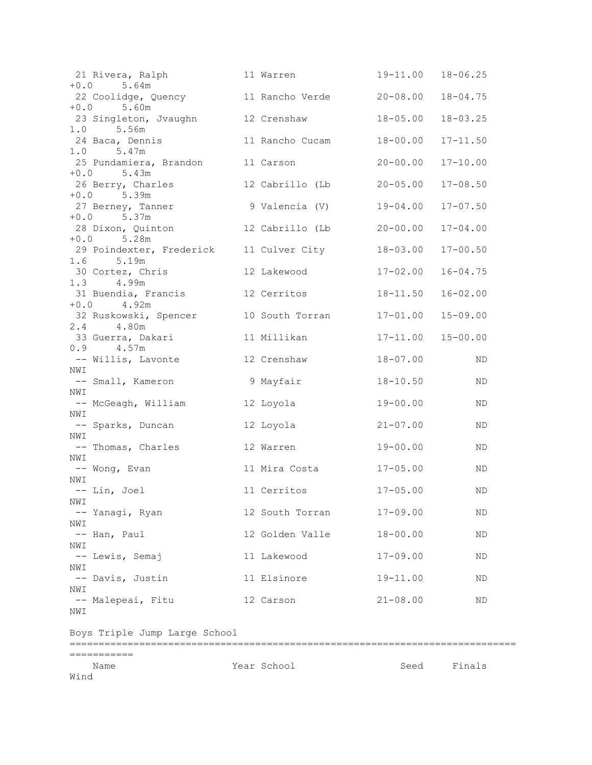| 21 Rivera, Ralph 11 Warren<br>$+0.0$ 5.64m            |                        | 19-11.00 18-06.25 |              |
|-------------------------------------------------------|------------------------|-------------------|--------------|
| 22 Coolidge, Quency 11 Rancho Verde 20-08.00 18-04.75 |                        |                   |              |
| $+0.0$ 5.60m<br>23 Singleton, Jvaughn 12 Crenshaw     |                        | $18 - 05.00$      | $18 - 03.25$ |
| $1.0$ 5.56m<br>24 Baca, Dennis 11 Rancho Cucam        |                        | $18 - 00.00$      | $17 - 11.50$ |
| $1.0$ 5.47m<br>25 Pundamiera, Brandon 11 Carson       |                        | $20 - 00.00$      | $17 - 10.00$ |
| $+0.0$ 5.43m                                          |                        |                   |              |
| 26 Berry, Charles<br>$+0.0$ 5.39m                     | 12 Cabrillo (Lb        | $20 - 05.00$      | $17 - 08.50$ |
| 27 Berney, Tanner<br>$+0.0$ 5.37m                     | 9 Valencia (V)         | $19 - 04.00$      | $17 - 07.50$ |
| 28 Dixon, Quinton 12 Cabrillo (Lb<br>$+0.0$ 5.28m     |                        | $20 - 00.00$      | $17 - 04.00$ |
| 29 Poindexter, Frederick 11 Culver City               |                        | $18 - 03.00$      | $17 - 00.50$ |
| $1.6$ 5.19m<br>30 Cortez, Chris 12 Lakewood           |                        | $17 - 02.00$      | $16 - 04.75$ |
| 1.3 4.99m<br>31 Buendia, Francis 12 Cerritos          |                        | $18 - 11.50$      | $16 - 02.00$ |
| $+0.0$ 4.92m                                          |                        | $17 - 01.00$      | $15 - 09.00$ |
| 32 Ruskowski, Spencer 10 South Torran<br>2.4 4.80m    |                        |                   |              |
| 33 Guerra, Dakari 11 Millikan<br>$0.9$ 4.57m          |                        | 17-11.00 15-00.00 |              |
| -- Willis, Lavonte 12 Crenshaw                        |                        | $18 - 07.00$      | ND           |
| NWI<br>-- Small, Kameron                              | 9 Mayfair              | $18 - 10.50$      | ND           |
| NWI                                                   |                        | 19-00.00          | ND           |
| NWI<br>-- Sparks, Duncan                              | 12 Loyola              | $21 - 07.00$      | ND           |
| NWI<br>-- Thomas, Charles                             | 12 Warren              | $19 - 00.00$      | ND           |
| NWI<br>-- Wong, Evan                                  | 11 Mira Costa 17-05.00 |                   | ND           |
| NWI                                                   |                        |                   |              |
| -- Lin, Joel 11 Cerritos<br>NWI                       |                        | $17 - 05.00$      | ND           |
| -- Yanagi, Ryan<br>NWI                                | 12 South Torran        | $17 - 09.00$      | ΝD           |
| -- Han, Paul                                          | 12 Golden Valle        | $18 - 00.00$      | ΝD           |
| NWI<br>-- Lewis, Semaj                                | 11 Lakewood            | $17 - 09.00$      | ΝD           |
| NWI<br>-- Davis, Justin                               | 11 Elsinore            | $19 - 11.00$      | ND           |
| NWI<br>-- Malepeai, Fitu                              | 12 Carson              | $21 - 08.00$      | ND           |
| NWI                                                   |                        |                   |              |
| Boys Triple Jump Large School                         |                        |                   |              |
| ===========                                           |                        |                   |              |
| Name<br>Wind                                          | Year School            | Seed              | Finals       |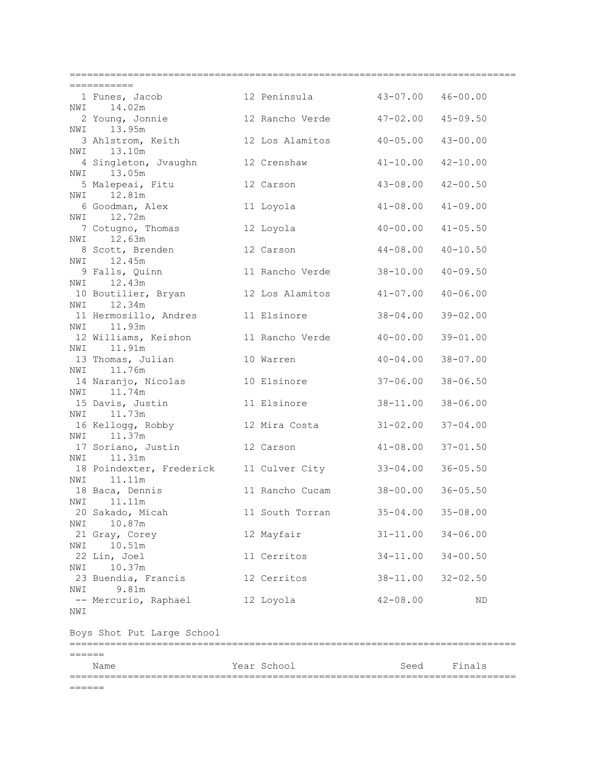|     | ===========                                                       |                 |                          |              |
|-----|-------------------------------------------------------------------|-----------------|--------------------------|--------------|
|     | 1 Funes, Jacob 12 Peninsula 43-07.00 46-00.00<br>NWI 14.02m       |                 |                          |              |
|     | 2 Young, Jonnie 12 Rancho Verde 47-02.00 45-09.50                 |                 |                          |              |
|     | 13.95m<br>NWI                                                     |                 |                          |              |
|     | 3 Ahlstrom, Keith 12 Los Alamitos 40-05.00 43-00.00<br>NWI 13.10m |                 |                          |              |
|     | 4 Singleton, Jvaughn 12 Crenshaw 41-10.00 42-10.00                |                 |                          |              |
|     | NWI 13.05m<br>5 Malepeai, Fitu 12 Carson                          |                 | $43 - 08.00$             | $42 - 00.50$ |
|     | NWI 12.81m<br>6 Goodman, Alex 11 Loyola                           |                 | $41 - 08.00$             | $41 - 09.00$ |
|     | NWI 12.72m                                                        |                 |                          |              |
|     | 7 Cotugno, Thomas 12 Loyola<br>NWI 12.63m                         |                 | $40 - 00.00$             | $41 - 05.50$ |
|     | 8 Scott, Brenden                                                  | 12 Carson       | 44-08.00                 | $40 - 10.50$ |
|     | NWI 12.45m<br>9 Falls, Quinn 11 Rancho Verde<br>WI 12 12 W        |                 | $38 - 10.00$             | $40 - 09.50$ |
|     | NWI 12.43m                                                        |                 |                          |              |
|     | 10 Boutilier, Bryan 12 Los Alamitos 41-07.00<br>NWI 12.34m        |                 |                          | $40 - 06.00$ |
|     | 11 Hermosillo, Andres 11 Elsinore                                 |                 | 38-04.00 39-02.00        |              |
|     | NWI 11.93m<br>12 Williams, Keishon 11 Rancho Verde 40-00.00       |                 |                          | $39 - 01.00$ |
|     | NWI 11.91m                                                        |                 |                          |              |
|     | 13 Thomas, Julian 10 Warren<br>NWI 11.76m                         |                 | $40 - 04.00$             | $38 - 07.00$ |
|     | 14 Naranjo, Nicolas 10 Elsinore<br>NWI 11.74m                     |                 | 37-06.00                 | $38 - 06.50$ |
|     | 15 Davis, Justin 11 Elsinore                                      |                 | 38-11.00                 | $38 - 06.00$ |
|     | NWI 11.73m                                                        |                 |                          |              |
|     | 16 Kellogg, Robby 12 Mira Costa<br>NWI 11.37m                     |                 | $31 - 02.00$             | $37 - 04.00$ |
|     | 17 Soriano, Justin 12 Carson                                      |                 | $41 - 08.00$             | $37 - 01.50$ |
|     | NWI 11.31m<br>18 Poindexter, Frederick 11 Culver City             |                 | $33 - 04.00$             | $36 - 05.50$ |
|     | NWI 11.11m<br>18 Baca, Dennis                                     |                 | 11 Rancho Cucam 38-00.00 |              |
| NWI | 11.11m                                                            |                 |                          | $36 - 05.50$ |
| NWI | 20 Sakado, Micah<br>10.87m                                        | 11 South Torran | $35 - 04.00$             | $35 - 08.00$ |
|     | 21 Gray, Corey                                                    | 12 Mayfair      | $31 - 11.00$             | $34 - 06.00$ |
| NWI | 10.51m<br>22 Lin, Joel                                            | 11 Cerritos     | $34 - 11.00$             | $34 - 00.50$ |
| NWI | 10.37m                                                            |                 |                          |              |
| NWI | 23 Buendia, Francis<br>9.81m                                      | 12 Cerritos     | $38 - 11.00$             | $32 - 02.50$ |
|     | -- Mercurio, Raphael                                              | 12 Loyola       | $42 - 08.00$             | ND           |
| NWI |                                                                   |                 |                          |              |
|     | Boys Shot Put Large School                                        |                 |                          |              |
|     |                                                                   |                 |                          |              |
|     | Name                                                              | Year School     | Seed                     | Finals       |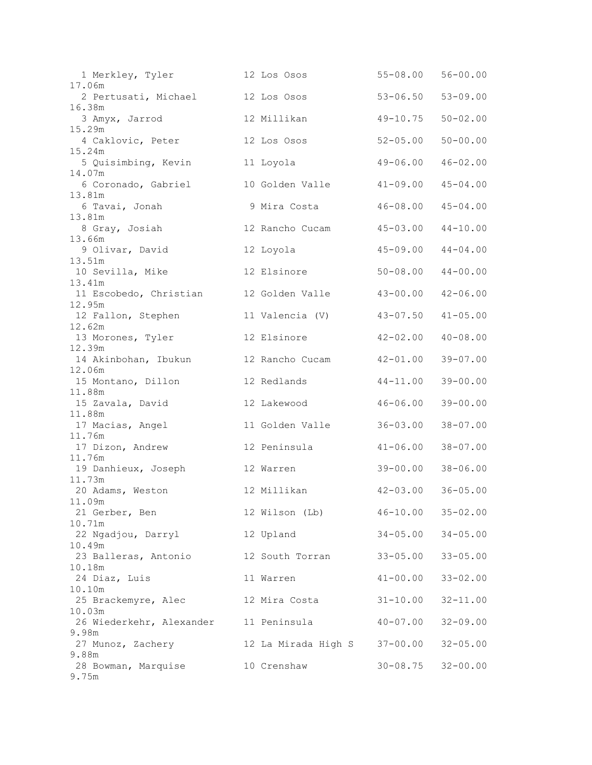| 1 Merkley, Tyler<br>17.06m       | 12 Los Osos                  | $55 - 08.00$              | $56 - 00.00$ |
|----------------------------------|------------------------------|---------------------------|--------------|
| 2 Pertusati, Michael             | 12 Los Osos                  | $53 - 06.50$              | $53 - 09.00$ |
| 16.38m                           |                              |                           |              |
| 3 Amyx, Jarrod<br>15.29m         | 12 Millikan                  | $49 - 10.75$              | $50 - 02.00$ |
| 4 Caklovic, Peter                | 12 Los Osos                  | $52 - 05.00$              | $50 - 00.00$ |
| 15.24m                           |                              | $49 - 06.00$              | $46 - 02.00$ |
| 5 Quisimbing, Kevin<br>14.07m    | 11 Loyola                    |                           |              |
| 6 Coronado, Gabriel              | 10 Golden Valle              | $41 - 09.00$              | $45 - 04.00$ |
| 13.81m<br>6 Tavai, Jonah         | 9 Mira Costa                 | $46 - 08.00$              | $45 - 04.00$ |
| 13.81m                           |                              |                           |              |
| 8 Gray, Josiah                   | 12 Rancho Cucam              | $45 - 03.00$              | $44 - 10.00$ |
| 13.66m<br>9 Olivar, David        | 12 Loyola                    | $45 - 09.00$              | $44 - 04.00$ |
| 13.51m                           |                              |                           |              |
| 10 Sevilla, Mike                 | 12 Elsinore                  | $50 - 08.00$              | $44 - 00.00$ |
| 13.41m                           |                              |                           |              |
| 11 Escobedo, Christian<br>12.95m | 12 Golden Valle              | $43 - 00.00$              | $42 - 06.00$ |
| 12 Fallon, Stephen               | 11 Valencia (V)              | $43 - 07.50$              | $41 - 05.00$ |
| 12.62m                           |                              |                           |              |
| 13 Morones, Tyler<br>12.39m      | 12 Elsinore                  | $42 - 02.00$              | $40 - 08.00$ |
| 14 Akinbohan, Ibukun             | 12 Rancho Cucam              | $42 - 01.00$              | $39 - 07.00$ |
| 12.06m                           |                              |                           |              |
| 15 Montano, Dillon<br>11.88m     | 12 Redlands                  | $44 - 11.00$              | $39 - 00.00$ |
| 15 Zavala, David                 | 12 Lakewood                  | $46 - 06.00$              | $39 - 00.00$ |
| 11.88m                           |                              |                           |              |
| 17 Macias, Angel<br>11.76m       | 11 Golden Valle              | $36 - 03.00$              | $38 - 07.00$ |
| 17 Dizon, Andrew                 | 12 Peninsula                 | $41 - 06.00$              | $38 - 07.00$ |
| 11.76m                           |                              |                           |              |
| 19 Danhieux, Joseph<br>11.73m    | 12 Warren                    | $39 - 00.00$              | $38 - 06.00$ |
| 20 Adams, Weston                 | 12 Millikan                  | $42 - 03.00$ $36 - 05.00$ |              |
| 11.09m                           |                              |                           |              |
| 21 Gerber, Ben<br>10.71m         | 12 Wilson (Lb)               | $46 - 10.00$ $35 - 02.00$ |              |
| 22 Ngadjou, Darryl               | 12 Upland                    | $34 - 05.00$              | $34 - 05.00$ |
| 10.49m                           |                              |                           |              |
| 23 Balleras, Antonio<br>10.18m   | 12 South Torran              | $33 - 05.00$              | $33 - 05.00$ |
| 24 Diaz, Luis                    | 11 Warren                    | $41 - 00.00$              | $33 - 02.00$ |
| 10.10m                           |                              |                           |              |
| 25 Brackemyre, Alec<br>10.03m    | 12 Mira Costa                | $31 - 10.00$              | $32 - 11.00$ |
| 26 Wiederkehr, Alexander         | 11 Peninsula                 | $40 - 07.00$              | $32 - 09.00$ |
| 9.98m                            |                              |                           |              |
| 27 Munoz, Zachery<br>9.88m       | 12 La Mirada High S 37-00.00 |                           | $32 - 05.00$ |
| 28 Bowman, Marquise              | 10 Crenshaw                  | $30 - 08.75$              | $32 - 00.00$ |
| 9.75m                            |                              |                           |              |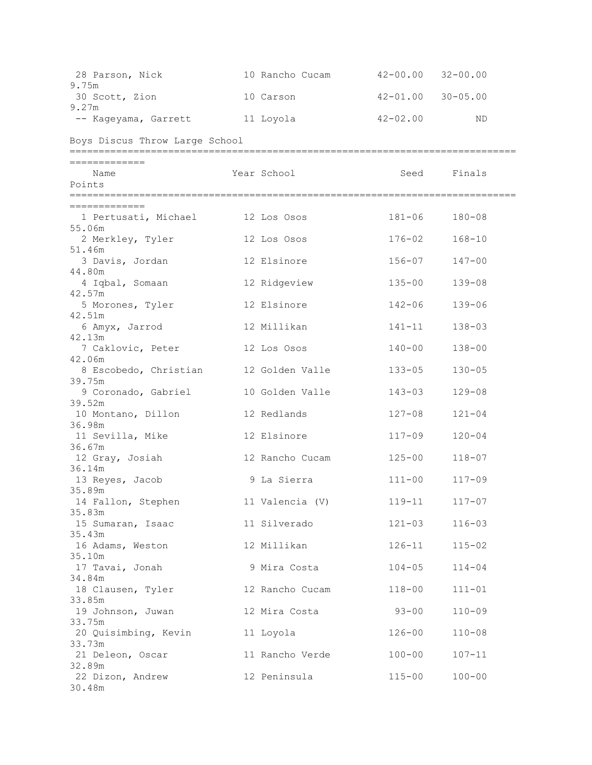| 28 Parson, Nick 10 Rancho Cucam 42-00.00 32-00.00<br>9.75m |                 |                   |               |  |
|------------------------------------------------------------|-----------------|-------------------|---------------|--|
| 30 Scott, Zion                                             | 10 Carson       | 42-01.00 30-05.00 |               |  |
| 9.27m                                                      |                 |                   |               |  |
| -- Kageyama, Garrett --- 11 Loyola                         |                 | $42 - 02.00$      | ND            |  |
| Boys Discus Throw Large School                             |                 |                   |               |  |
| =============                                              |                 |                   |               |  |
| Name                                                       | Year School     |                   | Seed Finals   |  |
| Points                                                     |                 |                   |               |  |
| =============                                              |                 |                   |               |  |
| 1 Pertusati, Michael 12 Los Osos<br>55.06m                 |                 | 181-06            | $180 - 08$    |  |
| 2 Merkley, Tyler                                           | 12 Los Osos     | 176-02            | $168 - 10$    |  |
| 51.46m                                                     |                 |                   |               |  |
| 3 Davis, Jordan                                            | 12 Elsinore     | $156 - 07$        | $147 - 00$    |  |
| 44.80m                                                     |                 |                   |               |  |
| 4 Iqbal, Somaan<br>42.57m                                  | 12 Ridgeview    | $135 - 00$        | $139 - 08$    |  |
| 5 Morones, Tyler                                           | 12 Elsinore     | $142 - 06$        | $139 - 06$    |  |
| 42.51m<br>6 Amyx, Jarrod                                   | 12 Millikan     | $141 - 11$        | $138 - 03$    |  |
| 42.13m                                                     |                 |                   |               |  |
| 7 Caklovic, Peter<br>42.06m                                | 12 Los Osos     | $140 - 00$        | $138 - 00$    |  |
| 8 Escobedo, Christian 12 Golden Valle                      |                 | $133 - 05$        | $130 - 05$    |  |
| 39.75m                                                     |                 |                   |               |  |
| 9 Coronado, Gabriel<br>39.52m                              | 10 Golden Valle | $143 - 03$        | $129 - 08$    |  |
| 10 Montano, Dillon                                         | 12 Redlands     | $127 - 08$        | $121 - 04$    |  |
| 36.98m                                                     |                 |                   |               |  |
| 11 Sevilla, Mike                                           | 12 Elsinore     | $117 - 09$        | $120 - 04$    |  |
| 36.67m<br>12 Gray, Josiah                                  | 12 Rancho Cucam | $125 - 00$        | $118 - 07$    |  |
| 36.14m                                                     |                 |                   |               |  |
| 13 Reyes, Jacob                                            | 9 La Sierra     |                   | 111-00 117-09 |  |
| 35.89m                                                     |                 |                   |               |  |
| 14 Fallon, Stephen 11 Valencia (V) 119-11 117-07           |                 |                   |               |  |
| 35.83m<br>15 Sumaran, Isaac                                | 11 Silverado    | $121 - 03$        | $116 - 03$    |  |
| 35.43m                                                     |                 |                   |               |  |
| 16 Adams, Weston                                           | 12 Millikan     | $126 - 11$        | $115 - 02$    |  |
| 35.10m                                                     |                 |                   |               |  |
| 17 Tavai, Jonah                                            | 9 Mira Costa    | $104 - 05$        | $114 - 04$    |  |
| 34.84m<br>18 Clausen, Tyler 12 Rancho Cucam                |                 | $118 - 00$        | $111 - 01$    |  |
| 33.85m                                                     |                 |                   |               |  |
| 19 Johnson, Juwan                                          | 12 Mira Costa   | $93 - 00$         | $110 - 09$    |  |
| 33.75m                                                     |                 |                   |               |  |
| 20 Quisimbing, Kevin 11 Loyola                             |                 | $126 - 00$        | $110 - 08$    |  |
| 33.73m                                                     |                 |                   |               |  |
| 21 Deleon, Oscar<br>32.89m                                 | 11 Rancho Verde | $100 - 00$        | $107 - 11$    |  |
| 22 Dizon, Andrew                                           | 12 Peninsula    | $115 - 00$        | $100 - 00$    |  |
| 30.48m                                                     |                 |                   |               |  |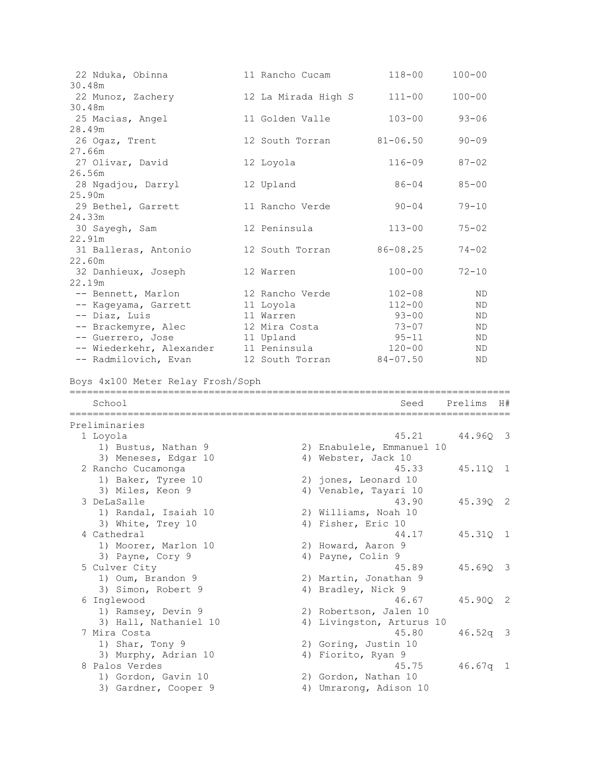| 22 Nduka, Obinna<br>30.48m                  | 11 Rancho Cucam              | $118 - 00$                | $100 - 00$ |                            |
|---------------------------------------------|------------------------------|---------------------------|------------|----------------------------|
| 22 Munoz, Zachery<br>30.48m                 | 12 La Mirada High S          | $111 - 00$                | $100 - 00$ |                            |
| 25 Macias, Angel                            | 11 Golden Valle              | $103 - 00$                | $93 - 06$  |                            |
| 28.49m<br>26 Ogaz, Trent                    | 12 South Torran              | $81 - 06.50$              | $90 - 09$  |                            |
| 27.66m<br>27 Olivar, David                  | 12 Loyola                    | $116 - 09$                | $87 - 02$  |                            |
| 26.56m<br>28 Ngadjou, Darryl                | 12 Upland                    | $86 - 04$                 | $85 - 00$  |                            |
| 25.90m<br>29 Bethel, Garrett                | 11 Rancho Verde              | $90 - 04$                 | $79 - 10$  |                            |
| 24.33m<br>30 Sayegh, Sam                    | 12 Peninsula                 | $113 - 00$                | $75 - 02$  |                            |
| 22.91m<br>31 Balleras, Antonio              | 12 South Torran              | $86 - 08.25$              | $74 - 02$  |                            |
| 22.60m<br>32 Danhieux, Joseph               | 12 Warren                    | $100 - 00$                | $72 - 10$  |                            |
| 22.19m                                      |                              |                           |            |                            |
| -- Bennett, Marlon                          | 12 Rancho Verde<br>11 Loyola | $102 - 08$<br>$112 - 00$  | ΝD<br>ND   |                            |
| -- Kageyama, Garrett<br>-- Diaz, Luis       | 11 Warren                    | $93 - 00$                 | ND.        |                            |
| -- Brackemyre, Alec                         | 12 Mira Costa                | $73 - 07$                 | ND.        |                            |
| -- Guerrero, Jose                           | 11 Upland                    | $95 - 11$                 | ND         |                            |
| -- Wiederkehr, Alexander                    | 11 Peninsula                 | $120 - 00$                | ND         |                            |
| -- Radmilovich, Evan                        | 12 South Torran              | $84 - 07.50$              | ND.        |                            |
| School                                      |                              | Seed                      | Prelims    | H#                         |
| Preliminaries                               |                              |                           |            |                            |
| 1 Loyola                                    |                              | 45.21                     | 44.96Q 3   |                            |
| 1) Bustus, Nathan 9<br>3) Meneses, Edgar 10 | 4) Webster, Jack 10          | 2) Enabulele, Emmanuel 10 |            |                            |
| 2 Rancho Cucamonga                          |                              | 45.33                     | 45.110 1   |                            |
| 1) Baker, Tyree 10                          | 2) jones, Leonard 10         |                           |            |                            |
| 3) Miles, Keon 9<br>3 DeLaSalle             | 4) Venable, Tayari 10        | 43.90                     | 45.39Q 2   |                            |
| 1) Randal, Isaiah 10                        | 2) Williams, Noah 10         |                           |            |                            |
| 3) White, Trey 10                           | 4) Fisher, Eric 10           |                           |            |                            |
| 4 Cathedral                                 |                              | 44.17                     | $45.31Q$ 1 |                            |
| 1) Moorer, Marlon 10                        | 2) Howard, Aaron 9           |                           |            |                            |
| 3) Payne, Cory 9                            | 4) Payne, Colin 9            |                           |            |                            |
| 5 Culver City                               |                              | 45.89                     | $45.69Q$ 3 |                            |
| 1) Oum, Brandon 9                           | 2) Martin, Jonathan 9        |                           |            |                            |
| 3) Simon, Robert 9                          | 4) Bradley, Nick 9           |                           |            |                            |
| 6 Inglewood                                 |                              | 46.67                     | 45.90Q     | $\overline{\phantom{0}}^2$ |
| 1) Ramsey, Devin 9                          |                              | 2) Robertson, Jalen 10    |            |                            |
| 3) Hall, Nathaniel 10                       |                              | 4) Livingston, Arturus 10 |            |                            |
| 7 Mira Costa                                |                              | 45.80                     | 46.52q 3   |                            |
| 1) Shar, Tony 9<br>3) Murphy, Adrian 10     |                              |                           |            |                            |
|                                             | 2) Goring, Justin 10         |                           |            |                            |
|                                             | 4) Fiorito, Ryan 9           |                           |            |                            |
| 8 Palos Verdes                              |                              | 45.75                     | $46.67q$ 1 |                            |
| 1) Gordon, Gavin 10<br>3) Gardner, Cooper 9 | 2) Gordon, Nathan 10         | 4) Umrarong, Adison 10    |            |                            |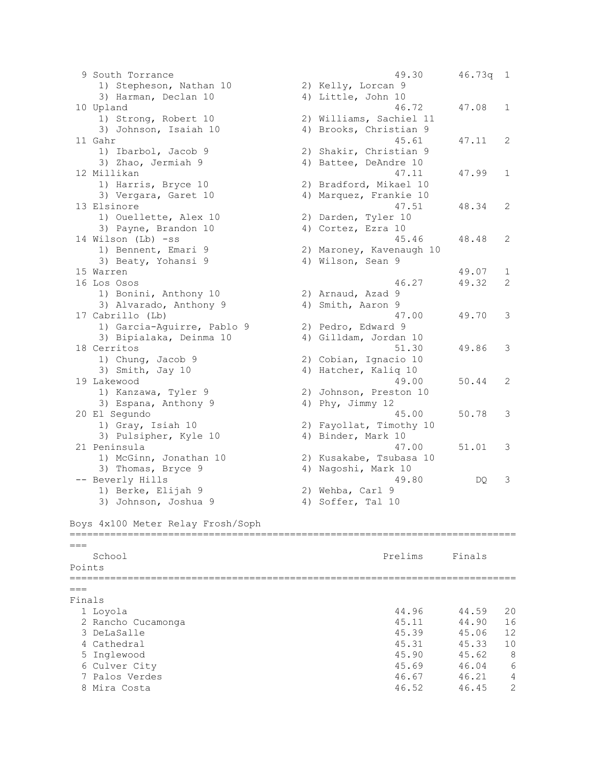9 South Torrance 49.30 46.73q 1 1) Stepheson, Nathan 10 2) Kelly, Lorcan 9 3) Harman, Declan 10 4) Little, John 10 10 Upland 46.72 47.08 1 1) Strong, Robert 10 2) Williams, Sachiel 11 3) Johnson, Isaiah 10 4) Brooks, Christian 9 11 Gahr 45.61 47.11 2 1) Ibarbol, Jacob 9 2) Shakir, Christian 9 3) Zhao, Jermiah 9 (4) Battee, DeAndre 10 12 Millikan 47.11 47.99 1 1) Harris, Bryce 10 2) Bradford, Mikael 10 1) Harris, Bryce 10 (2) Bradford, Mikael 10<br>3) Vergara, Garet 10 (4) Marquez, Frankie 10 13 Elsinore 47.51 48.34 2 1) Ouellette, Alex 10 2) Darden, Tyler 10 3) Payne, Brandon 10 (4) Cortez, Ezra 10 14 Wilson (Lb) -ss 45.46 48.48 2 1) Bennent, Emari 9 2) Maroney, Kavenaugh 10 3) Beaty, Yohansi 9 4) Wilson, Sean 9 15 Warren 49.07 1 16 Los Osos 46.27 49.32 2 1) Bonini, Anthony 10 2) Arnaud, Azad 9 3) Alvarado, Anthony 9 4) Smith, Aaron 9 17 Cabrillo (Lb) 47.00 49.70 3 1) Garcia-Aguirre, Pablo 9 2) Pedro, Edward 9 3) Bipialaka, Deinma 10 4) Gilldam, Jordan 10 18 Cerritos 51.30 49.86 3 1) Chung, Jacob 9 2) Cobian, Ignacio 10 3) Smith, Jay 10 4) Hatcher, Kaliq 10 1, chang, backs 5<br>
3) Smith, Jay 10<br>
19 Lakewood 49.00 50.44 2 1) Kanzawa, Tyler 9 2) Johnson, Preston 10 3) Espana, Anthony 9 4) Phy, Jimmy 12 20 El Segundo 45.00 50.78 3 1) Gray, Isiah 10 2) Fayollat, Timothy 10 3) Pulsipher, Kyle 10 4) Binder, Mark 10 21 Peninsula 47.00 51.01 3 1) McGinn, Jonathan 10 2) Kusakabe, Tsubasa 10 3) Thomas, Bryce 9 4) Nagoshi, Mark 10 -- Beverly Hills **Allocated External Act and Act and Act 2** and Act 2 and Act 2 and Act 2 and Act 2 and Act 3 and Act 2 and Act 3 and Act 3 and Act 3 and Act 3 and Act 3 and Act 3 and Act 3 and Act 3 and Act 3 and Act 3 an 1) Berke, Elijah 9 2) Wehba, Carl 9 3) Johnson, Joshua 9 4) Soffer, Tal 10 Boys 4x100 Meter Relay Frosh/Soph =============================================================================  $=$ School **Prelims** Finals Points =============================================================================  $---$ Finals 1 Loyola 44.96 44.59 20 2 Rancho Cucamonga 45.11 44.90 16 3 DeLaSalle 45.39 45.06 12 4 Cathedral 45.31 45.33 10 5 Inglewood 45.90 45.62 8 6 Culver City 45.69 46.04 6 7 Palos Verdes 46.67 46.21 4 8 Mira Costa 46.52 46.45 2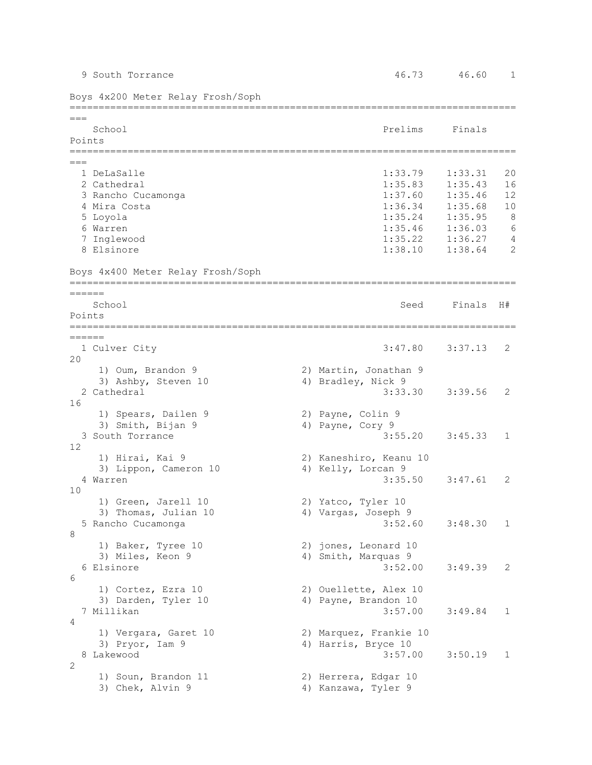| Boys 4x200 Meter Relay Frosh/Soph                       |                                                        |                    |              |
|---------------------------------------------------------|--------------------------------------------------------|--------------------|--------------|
| $==$<br>School<br>Points                                | Prelims                                                | Finals             |              |
|                                                         |                                                        |                    |              |
| $===$<br>1 DeLaSalle                                    | 1:33.79                                                | 1:33.31            | 20           |
| 2 Cathedral<br>3 Rancho Cucamonga                       | 1:35.83<br>1:37.60                                     | 1:35.43<br>1:35.46 | 16<br>12     |
| 4 Mira Costa                                            | 1:36.34                                                | 1:35.68            | 10           |
| 5 Loyola                                                | 1:35.24                                                | 1:35.95            | 8            |
| 6 Warren                                                | 1:35.46                                                | 1:36.03            | 6            |
| 7 Inglewood                                             | 1:35.22                                                | 1:36.27            | 4            |
| 8 Elsinore                                              | 1:38.10                                                | 1:38.64            | 2            |
| Boys 4x400 Meter Relay Frosh/Soph                       |                                                        |                    |              |
| ======                                                  |                                                        |                    |              |
| School<br>Points                                        | Seed                                                   | Finals             | H#           |
| ======                                                  |                                                        |                    |              |
| 1 Culver City<br>20                                     | 3:47.80                                                | 3:37.13            | 2            |
| 1) Oum, Brandon 9<br>3) Ashby, Steven 10<br>2 Cathedral | 2) Martin, Jonathan 9<br>4) Bradley, Nick 9<br>3:33.30 | 3:39.56            | 2            |
| 16<br>1) Spears, Dailen 9<br>3) Smith, Bijan 9          | 2) Payne, Colin 9<br>4) Payne, Cory 9                  |                    |              |
| 3 South Torrance<br>12                                  | 3:55.20                                                | 3:45.33            | 1            |
| 1) Hirai, Kai 9                                         | 2) Kaneshiro, Keanu 10                                 |                    |              |
| 3) Lippon, Cameron 10<br>4 Warren                       | 4) Kelly, Lorcan 9<br>3:35.50                          | 3:47.61            | 2            |
| 10<br>1) Green, Jarell 10                               | 2) Yatco, Tyler 10                                     |                    |              |
| 3) Thomas, Julian 10<br>5 Rancho Cucamonga              | 4) Vargas, Joseph 9<br>3:52.60                         | 3:48.30            | $\mathbf{1}$ |
| 8<br>1) Baker, Tyree 10                                 | 2) jones, Leonard 10                                   |                    |              |
| 3) Miles, Keon 9                                        | 4) Smith, Marquas 9                                    |                    |              |
| 6 Elsinore                                              | 3:52.00                                                | 3:49.39            | 2            |
| 6<br>1) Cortez, Ezra 10                                 | 2) Ouellette, Alex 10                                  |                    |              |
| 3) Darden, Tyler 10<br>7 Millikan<br>4                  | 4) Payne, Brandon 10<br>3:57.00                        | 3:49.84            | 1            |
| 1) Vergara, Garet 10                                    | 2) Marquez, Frankie 10                                 |                    |              |
| 3) Pryor, Iam 9<br>Lakewood<br>8                        | 4) Harris, Bryce 10<br>3:57.00                         | 3:50.19            | 1            |
| 2<br>1) Soun, Brandon 11                                | 2) Herrera, Edgar 10                                   |                    |              |
| 3) Chek, Alvin 9                                        | 4) Kanzawa, Tyler 9                                    |                    |              |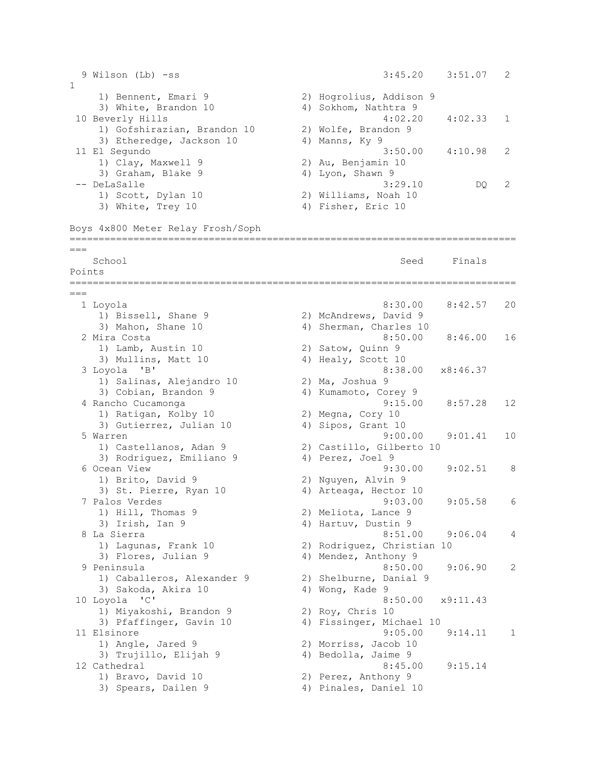```
 9 Wilson (Lb) -ss 3:45.20 3:51.07 2 
1 
 1) Bennent, Emari 9 2) Hogrolius, Addison 9 
3) White, Brandon 10 4) Sokhom, Nathtra 9
10 Beverly Hills 4:02.20 4:02.33 1 
 1) Gofshirazian, Brandon 10 2) Wolfe, Brandon 9 
3) Etheredge, Jackson 10 4) Manns, Ky 9
11 El Segundo 3:50.00 4:10.98 2 
 1) Clay, Maxwell 9 2) Au, Benjamin 10 
3) Graham, Blake 9 4) Lyon, Shawn 9
-- DeLaSalle 3:29.10 DQ 2 
 1) Scott, Dylan 10 2) Williams, Noah 10 
3) White, Trey 10 4) Fisher, Eric 10
Boys 4x800 Meter Relay Frosh/Soph
=============================================================================
=School Seed Finals
Points
=============================================================================
===
  1 Loyola 8:30.00 8:42.57 20 
1) Bissell, Shane 9 2) McAndrews, David 9
 3) Mahon, Shane 10 4) Sherman, Charles 10 
 2 Mira Costa 8:50.00 8:46.00 16 
1) Lamb, Austin 10 2) Satow, Quinn 9
3) Mullins, Matt 10 (4) Healy, Scott 10
  3 Loyola 'B' 8:38.00 x8:46.37 
 1) Salinas, Alejandro 10 2) Ma, Joshua 9 
3) Cobian, Brandon 9 4) Kumamoto, Corey 9
 4 Rancho Cucamonga 9:15.00 8:57.28 12 
1) Ratigan, Kolby 10 2) Megna, Cory 10
3) Gutierrez, Julian 10 (4) Sipos, Grant 10
 5 Warren 9:00.00 9:01.41 10 
 1) Castellanos, Adan 9 2) Castillo, Gilberto 10 
3) Rodriguez, Emiliano 9 (4) Perez, Joel 9
 6 Ocean View 9:30.00 9:02.51 8 
 1) Brito, David 9 2) Nguyen, Alvin 9 
 3) St. Pierre, Ryan 10 4) Arteaga, Hector 10 
  7 Palos Verdes 9:03.00 9:05.58 6 
1) Hill, Thomas 9 2) Meliota, Lance 9
 3) Irish, Ian 9 4) Hartuv, Dustin 9 
 3) Irish, Ian 9 (1991) 1991, 1992, 1993, 1994, 1996.04 (1994) 4) Hartuv, Dustin 9<br>8 La Sierra (1995) 8:51.00 (1996.04 ) 4
 1) Lagunas, Frank 10 2) Rodriguez, Christian 10 
3) Flores, Julian 9 4) Mendez, Anthony 9
  9 Peninsula 8:50.00 9:06.90 2 
 1) Caballeros, Alexander 9 2) Shelburne, Danial 9 
3) Sakoda, Akira 10 4) Wong, Kade 9
10 Loyola 'C' 8:50.00 x9:11.43 
 1) Miyakoshi, Brandon 9 2) Roy, Chris 10 
 3) Pfaffinger, Gavin 10 4) Fissinger, Michael 10 
11 Elsinore 9:05.00 9:14.11 1 
   1) Angle, Jared 9 2) Morriss, Jacob 10 
3) Trujillo, Elijah 9 \hskip 1.5cm 4 Bedolla, Jaime 9
12 Cathedral 8:45.00 9:15.14 
1) Bravo, David 10 2) Perez, Anthony 9
3) Spears, Dailen 9 4) Pinales, Daniel 10
```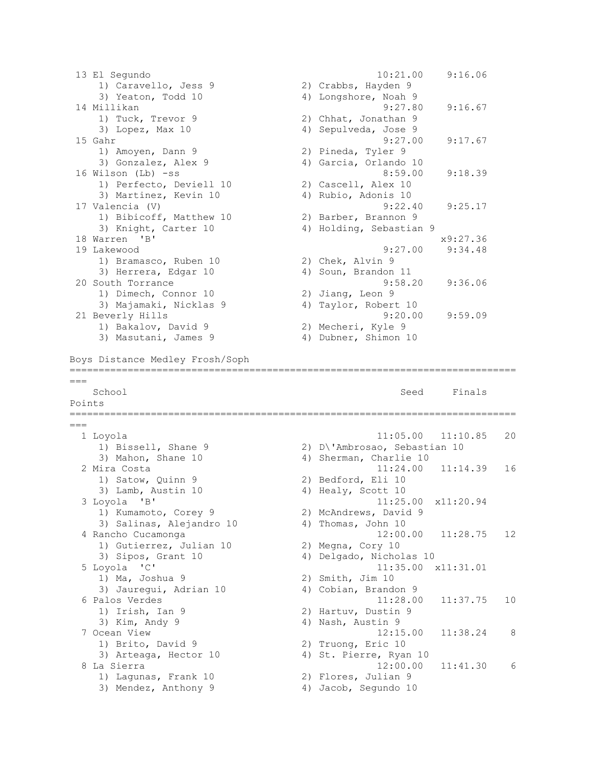13 El Segundo 10:21.00 9:16.06 1) Caravello, Jess 9 2) Crabbs, Hayden 9 3) Yeaton, Todd 10 4) Longshore, Noah 9 14 Millikan 9:27.80 9:16.67 1) Tuck, Trevor 9 2) Chhat, Jonathan 9 3) Lopez, Max 10 4) Sepulveda, Jose 9 15 Gahr 9:27.00 9:17.67 1) Amoyen, Dann 9 2) Pineda, Tyler 9 3) Gonzalez, Alex 9 4) Garcia, Orlando 10 16 Wilson (Lb) -ss 8:59.00 9:18.39 1) Perfecto, Deviell 10 2) Cascell, Alex 10 3) Martinez, Kevin 10  $\hskip10mm$  4) Rubio, Adonis 10 17 Valencia (V) 9:22.40 9:25.17 1) Bibicoff, Matthew 10 2) Barber, Brannon 9 3) Knight, Carter 10 4) Holding, Sebastian 9 18 Warren 'B' x9:27.36 19 Lakewood 9:27.00 9:34.48 1) Bramasco, Ruben 10 2) Chek, Alvin 9 3) Herrera, Edgar 10 (4) Soun, Brandon 11 20 South Torrance 9:58.20 9:36.06 1) Dimech, Connor 10 2) Jiang, Leon 9 3) Majamaki, Nicklas 9 4) Taylor, Robert 10 21 Beverly Hills 9:20.00 9:59.09 1) Bakalov, David 9 2) Mecheri, Kyle 9 3) Masutani, James 9 4) Dubner, Shimon 10 Boys Distance Medley Frosh/Soph =============================================================================  $---$ School School Seed Finals Points =============================================================================  $---$  1 Loyola 11:05.00 11:10.85 20 1) Bissell, Shane 9 2) D\'Ambrosao, Sebastian 10 3) Mahon, Shane 10 4) Sherman, Charlie 10 2 Mira Costa 11:24.00 11:14.39 16 1) Satow, Quinn 9 2) Bedford, Eli 10 3) Lamb, Austin 10 4) Healy, Scott 10 3 Loyola 'B' 11:25.00 x11:20.94 1) Kumamoto, Corey 9 2) McAndrews, David 9 3) Salinas, Alejandro 10 (4) Thomas, John 10 4 Rancho Cucamonga 12:00.00 11:28.75 12 1) Gutierrez, Julian 10 2) Megna, Cory 10 3) Sipos, Grant 10 4) Delgado, Nicholas 10 5 Loyola 'C' 11:35.00 x11:31.01 1) Ma, Joshua 9 2) Smith, Jim 10 3) Jauregui, Adrian 10 4) Cobian, Brandon 9 6 Palos Verdes 11:28.00 11:37.75 10 1) Irish, Ian 9 2) Hartuv, Dustin 9 3) Kim, Andy 9 4) Nash, Austin 9 7 Ocean View 12:15.00 11:38.24 8 1) Brito, David 9 2) Truong, Eric 10 3) Arteaga, Hector 10 4) St. Pierre, Ryan 10 8 La Sierra 12:00.00 11:41.30 6 1) Lagunas, Frank 10 2) Flores, Julian 9 3) Mendez, Anthony 9 4) Jacob, Segundo 10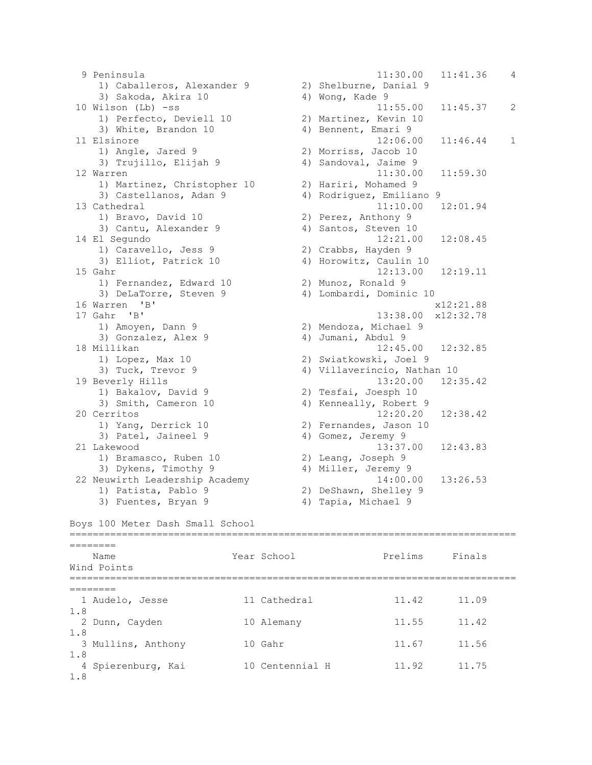9 Peninsula 11:30.00 11:41.36 4 1) Caballeros, Alexander 9 2) Shelburne, Danial 9<br>3) Sakada Akira 10 3 4) Marg Kada 8 3) Sakoda, Akira 10 4) Wong, Kade 9 10 Wilson (Lb) -ss 11:55.00 11:45.37 2 1) Perfecto, Deviell 10 2) Martinez, Kevin 10 3) White, Brandon 10 (4) Bennent, Emari 9 11 Elsinore 12:06.00 11:46.44 1<br>1) Angle, Jared 9 2) Morriss, Jacob 10 1) Angle, Jared 9 2) Morriss, Jacob 10 3) Trujillo, Elijah 9  $\hskip1cm$  4) Sandoval, Jaime 9 12 Warren 11:30.00 11:59.30 1) Martinez, Christopher 10 2) Hariri, Mohamed 9 3) Castellanos, Adan 9 4) Rodriguez, Emiliano 9 13 Cathedral 11:10.00 12:01.94 1) Bravo, David 10 2) Perez, Anthony 9 3) Cantu, Alexander 9 4) Santos, Steven 10 14 El Segundo 12:21.00 12:08.45 1) Caravello, Jess 9 2) Crabbs, Hayden 9 3) Elliot, Patrick 10 4) Horowitz, Caulin 10 15 Gahr 12:13.00 12:19.11 1) Fernandez, Edward 10 2) Munoz, Ronald 9 3) DeLaTorre, Steven 9 4) Lombardi, Dominic 10 16 Warren 'B' x12:21.88 17 Gahr 'B' 13:38.00 x12:32.78 1) Amoyen, Dann 9 2) Mendoza, Michael 9 3) Gonzalez, Alex 9 4) Jumani, Abdul 9 18 Millikan 12:45.00 12:32.85 1) Lopez, Max 10 2) Swiatkowski, Joel 9 3) Tuck, Trevor 9 4) Villaverincio, Nathan 10 19 Beverly Hills 13:20.00 12:35.42 1) Bakalov, David 9 2) Tesfai, Joesph 10 3) Smith, Cameron 10 4) Kenneally, Robert 9 20 Cerritos 12:20.20 12:38.42 1) Yang, Derrick 10 2) Fernandes, Jason 10 3) Patel, Jaineel 9 4) Gomez, Jeremy 9 21 Lakewood 13:37.00 12:43.83<br>
1) Bramasco, Ruben 10 2) Leang, Joseph 9<br>
3) Dykens, Timothy 9 4) Miller, Jeremy 9 1) Bramasco, Ruben 10 2) Leang, Joseph 9 3) Dykens, Timothy 9 4) Miller, Jeremy 9 22 Neuwirth Leadership Academy 14:00.00 13:26.53 1) Patista, Pablo 9 2) DeShawn, Shelley 9 3) Fuentes, Bryan 9 (4) Tapia, Michael 9 Boys 100 Meter Dash Small School ============================================================================= ======== Name Year School Prelims Finals Wind Points =============================================================================  $=$  1 Audelo, Jesse 11 Cathedral 11.42 11.09 1.8 2 Dunn, Cayden 10 Alemany 11.55 11.42 1.8

3 Mullins, Anthony 10 Gahr 11.67 11.56

4 Spierenburg, Kai 10 Centennial H 11.92 11.75

1.8

1.8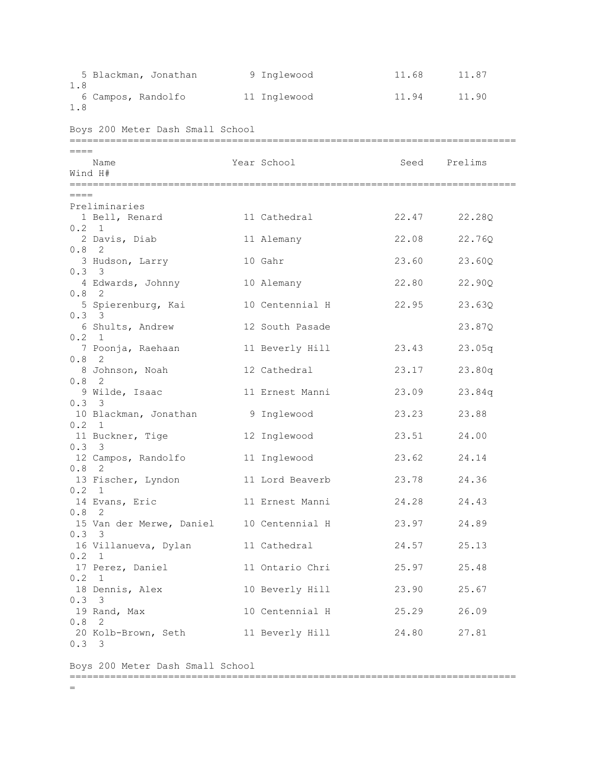| 1.8                                                                                                                                                                                                                          | 5 Blackman, Jonathan 9 Inglewood                                                                                                                                                                                                                                                                                                                                                                              |                                                                                                                                                                                                                                                         | 11.68                                                                                                                      | 11.87                                                                                                                                                                      |
|------------------------------------------------------------------------------------------------------------------------------------------------------------------------------------------------------------------------------|---------------------------------------------------------------------------------------------------------------------------------------------------------------------------------------------------------------------------------------------------------------------------------------------------------------------------------------------------------------------------------------------------------------|---------------------------------------------------------------------------------------------------------------------------------------------------------------------------------------------------------------------------------------------------------|----------------------------------------------------------------------------------------------------------------------------|----------------------------------------------------------------------------------------------------------------------------------------------------------------------------|
| 1.8                                                                                                                                                                                                                          | 6 Campos, Randolfo 11 Inglewood                                                                                                                                                                                                                                                                                                                                                                               |                                                                                                                                                                                                                                                         |                                                                                                                            | 11.94 11.90                                                                                                                                                                |
|                                                                                                                                                                                                                              | Boys 200 Meter Dash Small School                                                                                                                                                                                                                                                                                                                                                                              |                                                                                                                                                                                                                                                         |                                                                                                                            |                                                                                                                                                                            |
| $====$                                                                                                                                                                                                                       | Name<br>Wind H#                                                                                                                                                                                                                                                                                                                                                                                               | Year School                                                                                                                                                                                                                                             | Seed                                                                                                                       | Prelims                                                                                                                                                                    |
| $====$<br>$0.2 \quad 1$<br>$0.8$ 2<br>$0.3 \quad 3$<br>$0.8 \quad 2$<br>0.33<br>0.2 1<br>$0.8$ 2<br>$0.8 \quad 2$<br>$0.3 \quad 3$<br>$0.2 \quad 1$<br>0.33<br>$0.8$ 2<br>$0.2 \quad 1$<br>$0.8$ 2<br>0.33<br>0.2 1<br>0.2 1 | Preliminaries<br>1 Bell, Renard<br>2 Davis, Diab<br>3 Hudson, Larry<br>4 Edwards, Johnny<br>5 Spierenburg, Kai<br>6 Shults, Andrew<br>7 Poonja, Raehaan<br>8 Johnson, Noah<br>9 Wilde, Isaac<br>10 Blackman, Jonathan<br>11 Buckner, Tige<br>12 Campos, Randolfo<br>13 Fischer, Lyndon<br>14 Evans, Eric<br>15 Van der Merwe, Daniel 10 Centennial H<br>16 Villanueva, Dylan 11 Cathedral<br>17 Perez, Daniel | 11 Cathedral<br>11 Alemany<br>10 Gahr<br>10 Alemany<br>10 Centennial H<br>12 South Pasade<br>11 Beverly Hill<br>12 Cathedral<br>11 Ernest Manni<br>9 Inglewood<br>12 Inglewood<br>11 Inglewood<br>11 Lord Beaverb<br>11 Ernest Manni<br>11 Ontario Chri | 22.47<br>22.08<br>23.60<br>22.80<br>22.95<br>23.43<br>23.17<br>23.09<br>23.23<br>23.51<br>23.62<br>23.78<br>23.97<br>25.97 | 22.28Q<br>22.76Q<br>23.60Q<br>22.90Q<br>23.63Q<br>23.87Q<br>23.05q<br>23.80q<br>23.84q<br>23.88<br>24.00<br>24.14<br>24.36<br>24.28 24.43<br>24.89<br>24.57 25.13<br>25.48 |
| 0.33                                                                                                                                                                                                                         | 18 Dennis, Alex<br>19 Rand, Max                                                                                                                                                                                                                                                                                                                                                                               | 10 Beverly Hill<br>10 Centennial H                                                                                                                                                                                                                      | 25.29                                                                                                                      | 23.90 25.67                                                                                                                                                                |
| $0.8$ 2<br>0.33                                                                                                                                                                                                              | 20 Kolb-Brown, Seth 11 Beverly Hill 24.80 27.81                                                                                                                                                                                                                                                                                                                                                               |                                                                                                                                                                                                                                                         |                                                                                                                            | 26.09                                                                                                                                                                      |

Boys 200 Meter Dash Small School

=============================================================================

 $=$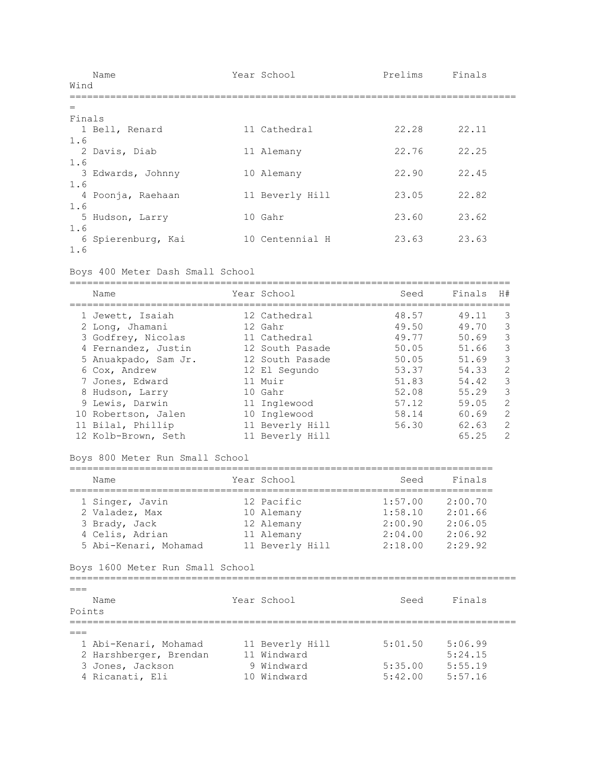|        | Name               | Year School     | Prelims | Finals |
|--------|--------------------|-----------------|---------|--------|
| Wind   |                    |                 |         |        |
| $=$    |                    |                 |         |        |
| Finals |                    |                 |         |        |
|        | 1 Bell, Renard     | 11 Cathedral    | 22.28   | 22.11  |
| 1.6    |                    |                 |         |        |
|        | 2 Davis, Diab      | 11 Alemany      | 22.76   | 22.25  |
| 1.6    |                    |                 |         |        |
|        | 3 Edwards, Johnny  | 10 Alemany      | 22.90   | 22.45  |
| 1.6    |                    |                 | 23.05   | 22.82  |
| 1.6    | 4 Poonja, Raehaan  | 11 Beverly Hill |         |        |
|        | 5 Hudson, Larry    | 10 Gahr         | 23.60   | 23.62  |
| 1.6    |                    |                 |         |        |
|        | 6 Spierenburg, Kai | 10 Centennial H | 23.63   | 23.63  |
| 1.6    |                    |                 |         |        |

Boys 400 Meter Dash Small School

| Name                 | Year School     | Seed  | Finals | H#            |
|----------------------|-----------------|-------|--------|---------------|
| 1 Jewett, Isaiah     | 12 Cathedral    | 48.57 | 49.11  | 3             |
| 2 Long, Jhamani      | 12 Gahr         | 49.50 | 49.70  | 3             |
| 3 Godfrey, Nicolas   | 11 Cathedral    | 49.77 | 50.69  | 3             |
| 4 Fernandez, Justin  | 12 South Pasade | 50.05 | 51.66  | 3             |
| 5 Anuakpado, Sam Jr. | 12 South Pasade | 50.05 | 51.69  | 3             |
| 6 Cox, Andrew        | 12 El Segundo   | 53.37 | 54.33  | $\mathcal{L}$ |
| 7 Jones, Edward      | $11$ Muir       | 51.83 | 54.42  | 3             |
| 8 Hudson, Larry      | 10 Gahr         | 52.08 | 55.29  | 3             |
| 9 Lewis, Darwin      | 11 Inglewood    | 57.12 | 59.05  | $\mathcal{L}$ |
| 10 Robertson, Jalen  | 10 Inglewood    | 58.14 | 60.69  | $\mathcal{L}$ |
| 11 Bilal, Phillip    | 11 Beverly Hill | 56.30 | 62.63  | $\mathcal{L}$ |
| 12 Kolb-Brown, Seth  | 11 Beverly Hill |       | 65.25  | $\mathcal{P}$ |

## Boys 800 Meter Run Small School

| Name                  | Year School     | Seed    | Finals  |
|-----------------------|-----------------|---------|---------|
| 1 Singer, Javin       | 12 Pacific      | 1:57.00 | 2:00.70 |
| 2 Valadez, Max        | 10 Alemany      | 1:58.10 | 2:01.66 |
| 3 Brady, Jack         | 12 Alemany      | 2:00.90 | 2:06.05 |
| 4 Celis, Adrian       | 11 Alemany      | 2:04.00 | 2:06.92 |
| 5 Abi-Kenari, Mohamad | 11 Beverly Hill | 2:18.00 | 2:29.92 |

```
Boys 1600 Meter Run Small School
```

|        | Name                   | Year School     | Seed    | Finals  |
|--------|------------------------|-----------------|---------|---------|
| Points |                        |                 |         |         |
|        |                        |                 |         |         |
|        |                        |                 |         |         |
|        | 1 Abi-Kenari, Mohamad  | 11 Beverly Hill | 5:01.50 | 5:06.99 |
|        | 2 Harshberger, Brendan | 11 Windward     |         | 5:24.15 |
|        | 3 Jones, Jackson       | 9 Windward      | 5:35.00 | 5:55.19 |
|        | 4 Ricanati, Eli        | 10 Windward     | 5:42.00 | 5:57.16 |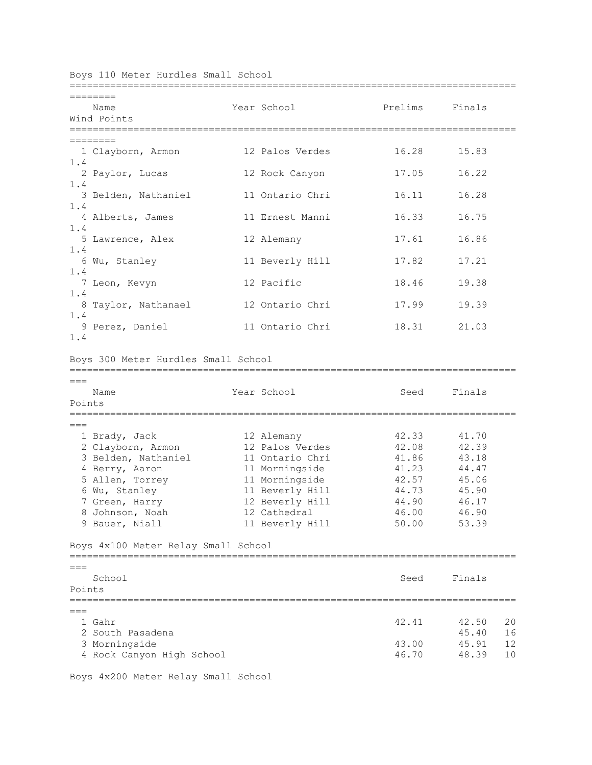|  | Boys 110 Meter Hurdles Small School |  |
|--|-------------------------------------|--|
|  |                                     |  |

|                 | Name                                | Year School |                 | Prelims | Finals      |
|-----------------|-------------------------------------|-------------|-----------------|---------|-------------|
|                 | Wind Points                         |             |                 |         |             |
|                 |                                     |             |                 |         |             |
|                 | ========                            |             |                 |         |             |
| 1.4             | 1 Clayborn, Armon                   |             | 12 Palos Verdes | 16.28   | 15.83       |
| 1.4             | 2 Paylor, Lucas                     |             | 12 Rock Canyon  | 17.05   | 16.22       |
| 1.4             | 3 Belden, Nathaniel                 |             | 11 Ontario Chri | 16.11   | 16.28       |
| 1.4             | 4 Alberts, James                    |             | 11 Ernest Manni | 16.33   | 16.75       |
| 1.4             | 5 Lawrence, Alex                    |             | 12 Alemany      | 17.61   | 16.86       |
| 1.4             | 6 Wu, Stanley                       |             | 11 Beverly Hill | 17.82   | 17.21       |
| 1.4             | 7 Leon, Kevyn                       |             | 12 Pacific      | 18.46   | 19.38       |
| 1.4             | 8 Taylor, Nathanael                 |             | 12 Ontario Chri | 17.99   | 19.39       |
| 1.4             | 9 Perez, Daniel                     |             | 11 Ontario Chri | 18.31   | 21.03       |
|                 | Boys 300 Meter Hurdles Small School |             |                 |         |             |
| $===$<br>Points | Name                                |             | Year School     | Seed    | Finals      |
|                 |                                     |             |                 |         |             |
| $==$            |                                     |             |                 |         |             |
|                 | 1 Brady, Jack                       |             | 12 Alemany      | 42.33   | 41.70       |
|                 | 2 Clayborn, Armon                   |             | 12 Palos Verdes | 42.08   | 42.39       |
|                 | 3 Belden, Nathaniel                 |             | 11 Ontario Chri | 41.86   | 43.18       |
|                 | 4 Berry, Aaron                      |             | 11 Morningside  | 41.23   | 44.47       |
|                 | 5 Allen, Torrey                     |             | 11 Morningside  | 42.57   | 45.06       |
|                 | 6 Wu, Stanley                       |             | 11 Beverly Hill | 44.73   | 45.90       |
|                 | 7 Green, Harry                      |             | 12 Beverly Hill | 44.90   | 46.17       |
|                 | 8 Johnson, Noah                     |             | 12 Cathedral    | 46.00   | 46.90       |
|                 | 9 Bauer, Niall                      |             | 11 Beverly Hill | 50.00   | 53.39       |
|                 | Boys 4x100 Meter Relay Small School |             |                 |         |             |
| $==$            |                                     |             |                 |         |             |
|                 | School                              |             |                 | Seed    | Finals      |
| Points          |                                     |             |                 |         |             |
|                 |                                     |             |                 |         |             |
| $===$           |                                     |             |                 |         |             |
|                 | 1 Gahr                              |             |                 | 42.41   | 42.50<br>20 |
|                 | 2 South Pasadena                    |             |                 |         | 45.40<br>16 |
|                 | 3 Morningside                       |             |                 | 43.00   | 12<br>45.91 |
|                 | 4 Rock Canyon High School           |             |                 | 46.70   | 48.39<br>10 |
|                 |                                     |             |                 |         |             |

Boys 4x200 Meter Relay Small School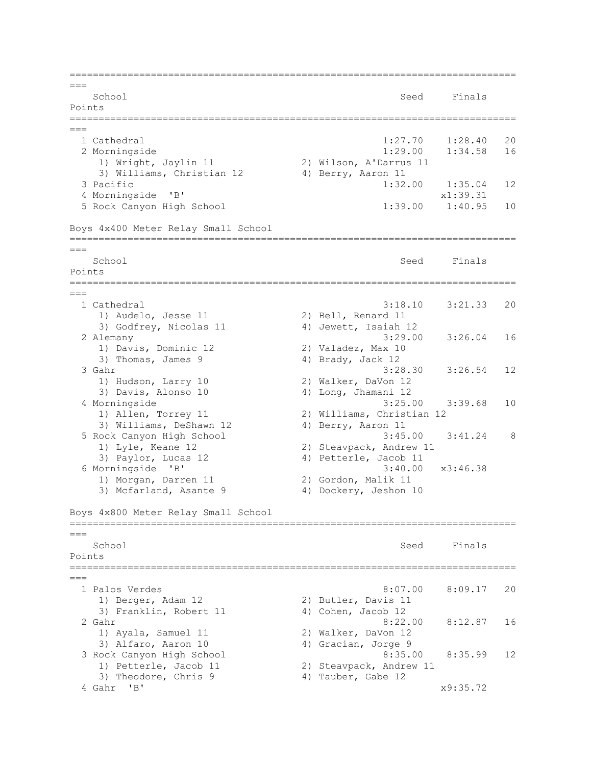=============================================================================  $---$ School Seed Finals Points =============================================================================  $---$  1 Cathedral 1:27.70 1:28.40 20 2 Morningside 1:29.00 1:34.58 16 1) Wright, Jaylin 11 2) Wilson, A'Darrus 11 3) Williams, Christian 12 4) Berry, Aaron 11 3 Pacific 1:32.00 1:35.04 12 4 Morningside 'B' x1:39.31 5 Rock Canyon High School 1:39.00 1:40.95 10 Boys 4x400 Meter Relay Small School =============================================================================  $=-$ School School School Seed Finals Points ============================================================================= === 1 Cathedral 3:18.10 3:21.33 20 1) Audelo, Jesse 11 2) Bell, Renard 11 3) Godfrey, Nicolas 11 4) Jewett, Isaiah 12 2 Alemany 3:29.00 3:26.04 16 1) Davis, Dominic 12 2) Valadez, Max 10 3) Thomas, James 9 4) Brady, Jack 12 3 Gahr 3:28.30 3:26.54 12<br>1) Hudson, Larry 10 2) Walker, DaVon 12 1) Hudson, Larry 10 2) Walker, DaVon 12 3) Davis, Alonso 10 4) Long, Jhamani 12 4 Morningside 3:25.00 3:39.68 10 1) Allen, Torrey 11 2) Williams, Christian 12 3) Williams, DeShawn 12 4) Berry, Aaron 11 5 Rock Canyon High School 1) Lyle, Keane 12 2) Steavpack, Andrew 11 3) Paylor, Lucas 12 4) Petterle, Jacob 11 6 Morningside 'B' 3:40.00 x3:46.38 1) Morgan, Darren 11 (2) Gordon, Malik 11 3) Mcfarland, Asante 9 4) Dockery, Jeshon 10 Boys 4x800 Meter Relay Small School =============================================================================  $---$ School School School Seed Finals Points =============================================================================  $=$  1 Palos Verdes 8:07.00 8:09.17 20 1) Berger, Adam 12 2) Butler, Davis 11 3) Franklin, Robert 11 (4) Cohen, Jacob 12 2 Gahr 8:22.00 8:12.87 16 1) Ayala, Samuel 11 2) Walker, DaVon 12 3) Alfaro, Aaron 10 4) Gracian, Jorge 9 3 Rock Canyon High School 8:35.00 8:35.99 12 1) Petterle, Jacob 11 2) Steavpack, Andrew 11 3) Theodore, Chris 9 4) Tauber, Gabe 12 4 Gahr 'B' x9:35.72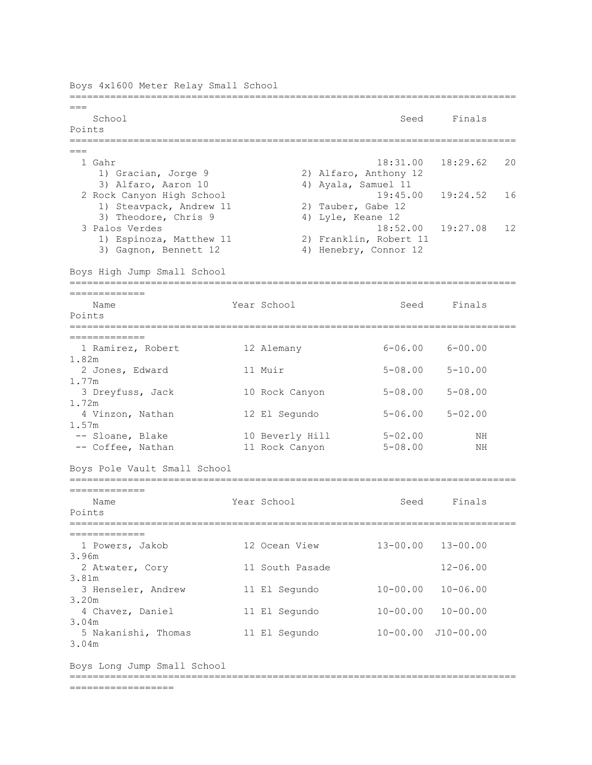Boys 4x1600 Meter Relay Small School =============================================================================  $===$ School School Seed Finals Points ============================================================================= === 1 Gahr 18:31.00 18:29.62 20 1) Gracian, Jorge 9 2) Alfaro, Anthony 12 3) Alfaro, Aaron 10 4) Ayala, Samuel 11 2 Rock Canyon High School 19:45.00 19:24.52 16 1) Steavpack, Andrew 11 2) Tauber, Gabe 12 3) Theodore, Chris 9 4) Lyle, Keane 12 3 Palos Verdes 18:52.00 19:27.08 12 1) Espinoza, Matthew 11 2) Franklin, Robert 11 3) Gagnon, Bennett 12 4) Henebry, Connor 12 Boys High Jump Small School ============================================================================= ============= Name Year School Seed Finals Points ============================================================================= ============= 1 Ramirez, Robert 12 Alemany 6-06.00 6-00.00 1.82m 2 Jones, Edward 11 Muir 5-08.00 5-10.00 1.77m 3 Dreyfuss, Jack 10 Rock Canyon 5-08.00 5-08.00 1.72m 4 Vinzon, Nathan 12 El Segundo 5-06.00 5-02.00 1.57m -- Sloane, Blake 10 Beverly Hill 5-02.00 NH -- Coffee, Nathan 11 Rock Canyon 5-08.00 NH Boys Pole Vault Small School ============================================================================= ============= Name Tear School Seed Finals Points ============================================================================= ============= 1 Powers, Jakob 12 Ocean View 13-00.00 13-00.00 3.96m 2 Atwater, Cory 11 South Pasade 12-06.00 3.81m 3 Henseler, Andrew 11 El Segundo 10-00.00 10-06.00 3.20m 4 Chavez, Daniel 11 El Segundo 10-00.00 10-00.00 3.04m 5 Nakanishi, Thomas 11 El Segundo 10-00.00 J10-00.00 3.04m Boys Long Jump Small School ============================================================================= ==================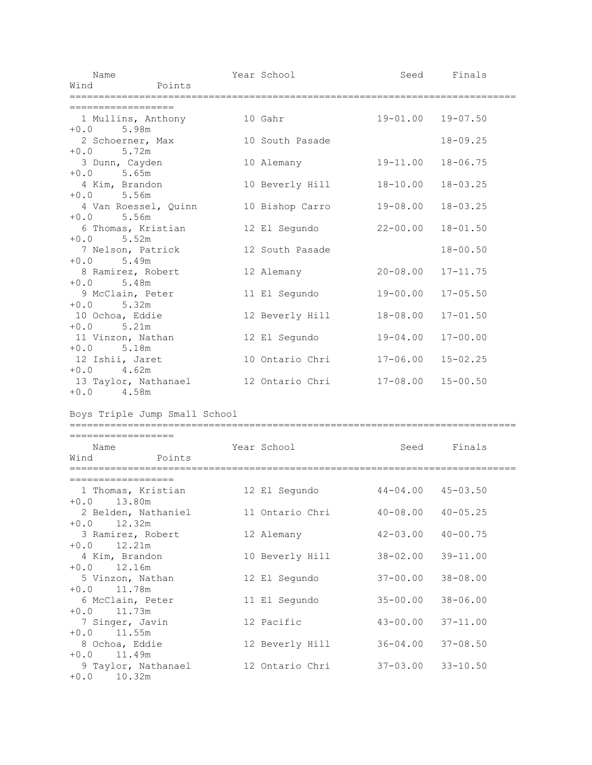| Name                                       |                     | Year School     |                                                       | Seed Finals       |  |
|--------------------------------------------|---------------------|-----------------|-------------------------------------------------------|-------------------|--|
| Wind                                       | Points              |                 |                                                       |                   |  |
| =================                          |                     |                 |                                                       |                   |  |
| 1 Mullins, Anthony 10 Gahr<br>$+0.0$ 5.98m |                     |                 |                                                       | 19-01.00 19-07.50 |  |
| 2 Schoerner, Max<br>$+0.0$ 5.72m           |                     | 10 South Pasade |                                                       | $18 - 09.25$      |  |
| 3 Dunn, Cayden<br>$+0.0$ 5.65m             |                     | 10 Alemany      | 19-11.00                                              | $18 - 06.75$      |  |
| 4 Kim, Brandon<br>$+0.0$ 5.56m             |                     | 10 Beverly Hill | 18-10.00                                              | $18 - 03.25$      |  |
| 4 Van Roessel, Quinn<br>$+0.0$ 5.56m       |                     | 10 Bishop Carro | 19-08.00                                              | $18 - 03.25$      |  |
| 6 Thomas, Kristian<br>$+0.0$ 5.52m         |                     | 12 El Segundo   | $22 - 00.00$                                          | $18 - 01.50$      |  |
| 7 Nelson, Patrick<br>$+0.0$<br>5.49m       |                     | 12 South Pasade |                                                       | $18 - 00.50$      |  |
| 8 Ramirez, Robert<br>5.48m<br>$+0.0$       |                     | 12 Alemany      | 20-08.00                                              | $17 - 11.75$      |  |
| 9 McClain, Peter<br>$+0.0$ 5.32m           |                     | 11 El Segundo   | 19-00.00                                              | $17 - 05.50$      |  |
| 10 Ochoa, Eddie<br>$+0.0$ 5.21m            |                     | 12 Beverly Hill | 18-08.00                                              | $17 - 01.50$      |  |
| 11 Vinzon, Nathan<br>$+0.0$ 5.18m          |                     | 12 El Segundo   | 19-04.00                                              | $17 - 00.00$      |  |
| 12 Ishii, Jaret<br>$+0.0$ 4.62m            |                     | 10 Ontario Chri | $17 - 06.00$                                          | $15 - 02.25$      |  |
| 13 Taylor, Nathanael<br>$+0.0$ 4.58m       |                     |                 | 12 Ontario Chri 17-08.00                              | $15 - 00.50$      |  |
| Boys Triple Jump Small School              |                     |                 |                                                       |                   |  |
| ==================                         |                     |                 |                                                       |                   |  |
| Name<br>Wind                               | Points              | Year School     |                                                       | Seed Finals       |  |
| ==================                         |                     |                 |                                                       |                   |  |
| $+0.0$ 13.80m                              |                     |                 | 1 Thomas, Kristian 12 El Segundo 44-04.00 45-03.50    |                   |  |
| $+0.0$ 12.32m                              |                     |                 | 2 Belden, Nathaniel 11 Ontario Chri 40-08.00 40-05.25 |                   |  |
| 3 Ramirez, Robert<br>$+0.0$ 12.21m         |                     | 12 Alemany      | $42 - 03.00$                                          | $40 - 00.75$      |  |
| 4 Kim, Brandon<br>$+0.0$ 12.16m            |                     | 10 Beverly Hill | 38-02.00                                              | $39 - 11.00$      |  |
| 5 Vinzon, Nathan<br>$+0.0$ 11.78m          |                     | 12 El Segundo   | $37 - 00.00$                                          | $38 - 08.00$      |  |
| 6 McClain, Peter<br>$+0.0$ 11.73m          |                     | 11 El Segundo   | $35 - 00.00$                                          | $38 - 06.00$      |  |
| 7 Singer, Javin<br>$+0.0$ 11.55m           |                     | 12 Pacific      | $43 - 00.00$                                          | $37 - 11.00$      |  |
| 8 Ochoa, Eddie<br>$+0.0$ 11.49m            |                     |                 | 12 Beverly Hill 36-04.00                              | $37 - 08.50$      |  |
| $+0.0$ 10.32m                              | 9 Taylor, Nathanael | 12 Ontario Chri | $37 - 03.00$                                          | $33 - 10.50$      |  |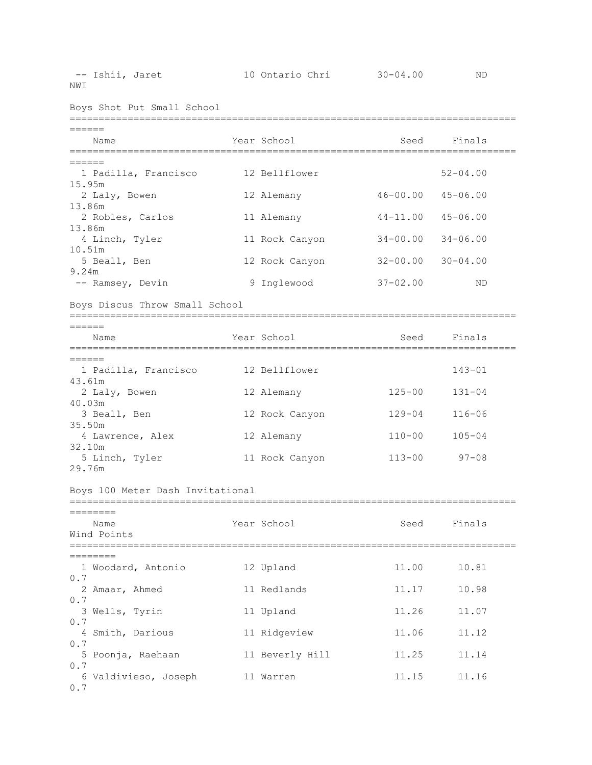NWI

| Boys Shot Put Small School                  |  |                 |              |              |  |  |  |
|---------------------------------------------|--|-----------------|--------------|--------------|--|--|--|
| ------<br>Name                              |  | Year School     | Seed         | Finals       |  |  |  |
| ================<br>======                  |  | =============   |              |              |  |  |  |
| 1 Padilla, Francisco<br>15.95m              |  | 12 Bellflower   |              | $52 - 04.00$ |  |  |  |
| 2 Laly, Bowen                               |  | 12 Alemany      | $46 - 00.00$ | $45 - 06.00$ |  |  |  |
| 13.86m<br>2 Robles, Carlos                  |  | 11 Alemany      | $44 - 11.00$ | $45 - 06.00$ |  |  |  |
| 13.86m                                      |  |                 |              |              |  |  |  |
| 4 Linch, Tyler                              |  | 11 Rock Canyon  | $34 - 00.00$ | $34 - 06.00$ |  |  |  |
| 10.51m<br>5 Beall, Ben                      |  | 12 Rock Canyon  | $32 - 00.00$ | $30 - 04.00$ |  |  |  |
| 9.24m<br>-- Ramsey, Devin                   |  | 9 Inglewood     | $37 - 02.00$ | ND           |  |  |  |
| Boys Discus Throw Small School              |  |                 |              |              |  |  |  |
|                                             |  |                 |              |              |  |  |  |
| ======<br>Name                              |  | Year School     | Seed         | Finals       |  |  |  |
| ==========                                  |  |                 |              |              |  |  |  |
| $=$ $=$ $=$ $=$ $=$<br>1 Padilla, Francisco |  | 12 Bellflower   |              | $143 - 01$   |  |  |  |
| 43.61m                                      |  |                 |              |              |  |  |  |
| 2 Laly, Bowen<br>40.03m                     |  | 12 Alemany      | 125-00       | $131 - 04$   |  |  |  |
| 3 Beall, Ben                                |  | 12 Rock Canyon  | $129 - 04$   | $116 - 06$   |  |  |  |
| 35.50m<br>4 Lawrence, Alex                  |  | 12 Alemany      | $110 - 00$   | $105 - 04$   |  |  |  |
| 32.10m                                      |  |                 |              |              |  |  |  |
| 5 Linch, Tyler<br>29.76m                    |  | 11 Rock Canyon  | $113 - 00$   | $97 - 08$    |  |  |  |
| Boys 100 Meter Dash Invitational            |  |                 |              |              |  |  |  |
| =======                                     |  |                 |              |              |  |  |  |
| Name                                        |  | Year School     | Seed         | Finals       |  |  |  |
| Wind Points                                 |  |                 |              |              |  |  |  |
| ========                                    |  |                 |              |              |  |  |  |
| 1 Woodard, Antonio<br>0.7                   |  | 12 Upland       | 11.00        | 10.81        |  |  |  |
| 2 Amaar, Ahmed                              |  | 11 Redlands     | 11.17        | 10.98        |  |  |  |
| 0.7<br>3 Wells, Tyrin                       |  | 11 Upland       | 11.26        | 11.07        |  |  |  |
| 0.7                                         |  |                 |              |              |  |  |  |
| 4 Smith, Darious<br>0.7                     |  | 11 Ridgeview    | 11.06        | 11.12        |  |  |  |
| 5 Poonja, Raehaan                           |  | 11 Beverly Hill | 11.25        | 11.14        |  |  |  |
| 0.7<br>6 Valdivieso, Joseph                 |  | 11 Warren       | 11.15        | 11.16        |  |  |  |
| 0.7                                         |  |                 |              |              |  |  |  |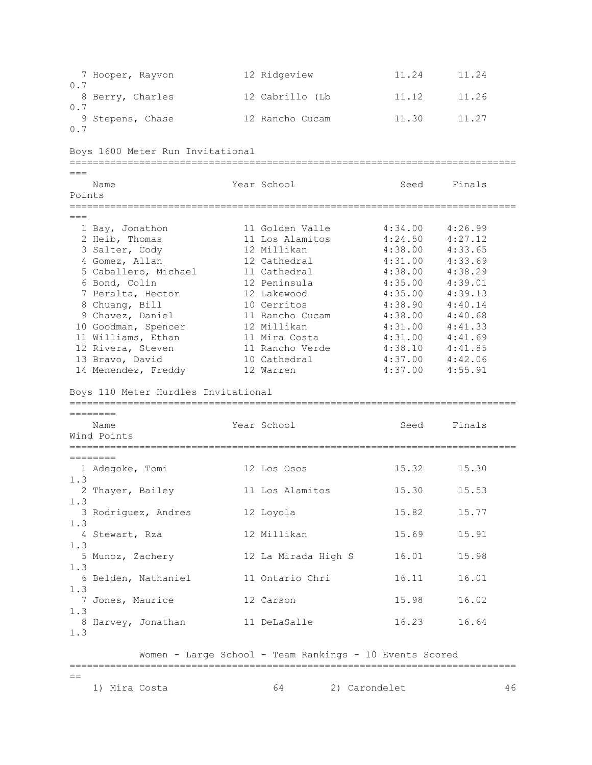7 Hooper, Rayvon 12 Ridgeview 11.24 11.24 0.7 8 Berry, Charles 12 Cabrillo (Lb 11.12 11.26 0.7 9 Stepens, Chase 12 Rancho Cucam 11.30 11.27 0.7 Boys 1600 Meter Run Invitational ============================================================================= === Name Year School Seed Finals Points ============================================================================= === 1 Bay, Jonathon 11 Golden Valle 4:34.00 4:26.99 2 Heib, Thomas 11 Los Alamitos 4:24.50 4:27.12 3 Salter, Cody<br>
4:38.00 4:33.65<br>
4 Gomez, Allan 12 Cathedral 4:31.00 4:33.65<br>
5 Caballero, Michael 11 Cathedral 4:38.00 4:33.69<br>
5 Caballero, Michael 11 Cathedral 4:38.00 4:38.29<br>
6 Bond, Colin 12 Peninsula 4:35.00 4:39.01 4 Gomez, Allan 12 Cathedral 4:31.00 4:33.69 5 Caballero, Michael 11 Cathedral 4:38.00 4:38.29 6 Bond, Colin 12 Peninsula 4:35.00 4:39.01 7 Peralta, Hector 12 Lakewood 4:35.00 4:39.13 8 Chuang, Bill 10 Cerritos 4:38.90 4:40.14 9 Chavez, Daniel 11 Rancho Cucam 4:38.00 4:40.68 10 Goodman, Spencer 12 Millikan 4:31.00 4:41.33 11 Williams, Ethan 11 Mira Costa 4:31.00 4:41.69 12 Rivera, Steven 11 Rancho Verde 4:38.10 4:41.85 13 Bravo, David 10 Cathedral 4:37.00 4:42.06 14 Menendez, Freddy 12 Warren 4:37.00 4:55.91 Boys 110 Meter Hurdles Invitational ============================================================================= ======== Name Tear School Seed Finals Wind Points ============================================================================= ======== 1 Adegoke, Tomi 12 Los Osos 15.32 15.30 1.3 2 Thayer, Bailey 11 Los Alamitos 15.30 15.53 1.3 3 Rodriguez, Andres 12 Loyola 15.82 15.77 1.3 4 Stewart, Rza 12 Millikan 15.69 15.91 1.3 5 Munoz, Zachery 12 La Mirada High S 16.01 15.98 1.3 6 Belden, Nathaniel 11 Ontario Chri 16.11 16.01 1.3 7 Jones, Maurice 12 Carson 15.98 16.02 1.3 8 Harvey, Jonathan 11 DeLaSalle 16.23 16.64 1.3 Women - Large School - Team Rankings - 10 Events Scored

=============================================================================

 $=$ 

1) Mira Costa 64 2) Carondelet 46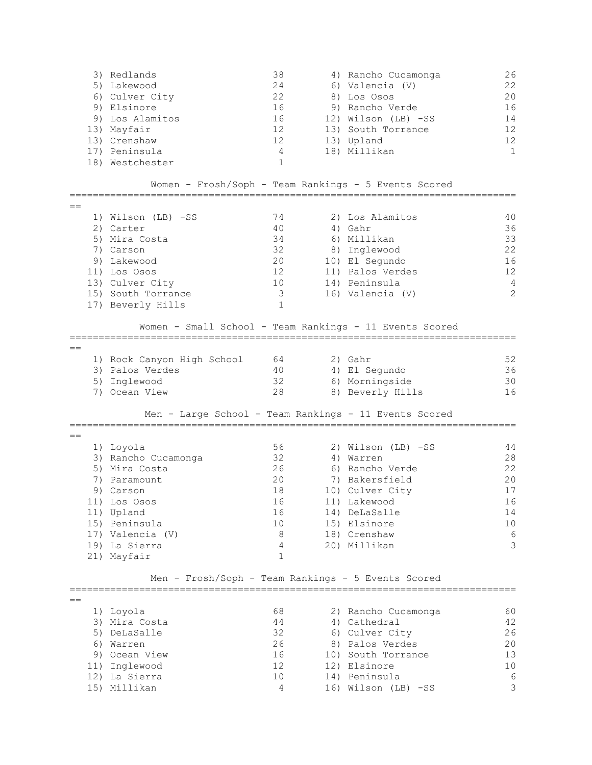|         | 3) Redlands<br>5) Lakewood                         | 38<br>24        | 4) Rancho Cucamonga<br>6) Valencia (V)                  | 26<br>22        |
|---------|----------------------------------------------------|-----------------|---------------------------------------------------------|-----------------|
|         | 6) Culver City                                     | 22              | 8) Los Osos                                             | 20              |
|         | 9) Elsinore                                        | 16              | 9) Rancho Verde                                         | 16              |
|         | 9) Los Alamitos                                    | 16              | 12) Wilson (LB) -SS                                     | 14              |
|         | 13) Mayfair                                        | 12              | 13) South Torrance                                      | 12              |
|         | 13) Crenshaw                                       | 12              | 13) Upland                                              | 12 <sup>2</sup> |
|         | 17) Peninsula                                      | 4               | 18) Millikan                                            | $\mathbf{1}$    |
|         | 18) Westchester                                    | 1               |                                                         |                 |
|         |                                                    |                 | Women - Frosh/Soph - Team Rankings - 5 Events Scored    |                 |
| $==$    |                                                    |                 |                                                         |                 |
|         | 1) Wilson (LB) -SS                                 | 74              | 2) Los Alamitos                                         | 40              |
|         | 2) Carter                                          | 40              | 4) Gahr                                                 | 36              |
|         | 5) Mira Costa                                      | 34              | 6) Millikan                                             | 33              |
|         | 7) Carson                                          | 32              | 8) Inglewood                                            | 22              |
|         | 9) Lakewood                                        | 20              | 10) El Segundo                                          | 16              |
|         | 11) Los Osos                                       | 12              | 11) Palos Verdes                                        | 12              |
|         | 13) Culver City                                    | 10 <sub>1</sub> | 14) Peninsula                                           | 4               |
|         | 15) South Torrance                                 | 3               | 16) Valencia (V)                                        | 2               |
|         | 17) Beverly Hills                                  | $\mathbf 1$     |                                                         |                 |
|         |                                                    |                 | Women - Small School - Team Rankings - 11 Events Scored |                 |
| $==$    |                                                    |                 |                                                         |                 |
|         | 1) Rock Canyon High School                         | 64              | 2) Gahr                                                 | 52              |
|         | 3) Palos Verdes                                    | 40              | 4) El Segundo                                           | 36              |
|         | 5) Inglewood                                       | 32              | 6) Morningside                                          | 30              |
|         | 7) Ocean View                                      | 28              | 8) Beverly Hills                                        | 16              |
|         |                                                    |                 | Men - Large School - Team Rankings - 11 Events Scored   |                 |
|         |                                                    |                 |                                                         |                 |
| $==$    | 1) Loyola                                          | 56              | 2) Wilson (LB) -SS                                      | 44              |
|         | 3) Rancho Cucamonga                                | 32              | 4) Warren                                               | 28              |
|         | 5) Mira Costa                                      | 26              | 6) Rancho Verde                                         | 22              |
|         | 7) Paramount                                       | 20              | 7) Bakersfield                                          | 20              |
|         | 9) Carson                                          | 18              | 10) Culver City                                         | 17              |
|         | 11) Los Osos                                       | 16              | 11) Lakewood                                            | 16              |
|         | 11) Upland                                         | 16              | 14) DeLaSalle                                           | 14              |
|         | 15) Peninsula                                      | 10              | 15) Elsinore                                            | 10 <sub>o</sub> |
|         | 17) Valencia (V)                                   | 8               | 18) Crenshaw                                            | 6               |
|         | 19) La Sierra                                      | 4               | 20) Millikan                                            | 3               |
|         | 21) Mayfair                                        | $\mathbf{1}$    |                                                         |                 |
|         | Men - Frosh/Soph - Team Rankings - 5 Events Scored |                 |                                                         |                 |
|         |                                                    |                 |                                                         |                 |
| $=$ $=$ | 1) Loyola                                          | 68              | 2) Rancho Cucamonga                                     | 60              |
|         | 3) Mira Costa                                      | 44              | 4) Cathedral                                            | 42              |
|         | 5) DeLaSalle                                       | 32              | 6) Culver City                                          | 26              |
|         | 6) Warren                                          | 26              | 8) Palos Verdes                                         | 20              |
|         | 9) Ocean View                                      | 16              | 10) South Torrance                                      | 13              |
|         | 11) Inglewood                                      | 12 <sup>°</sup> | 12) Elsinore                                            | 10              |
|         |                                                    | 10              |                                                         |                 |
|         | 12) La Sierra                                      | 4               | 14) Peninsula                                           | 6<br>3          |
|         | 15) Millikan                                       |                 | 16) Wilson (LB) -SS                                     |                 |